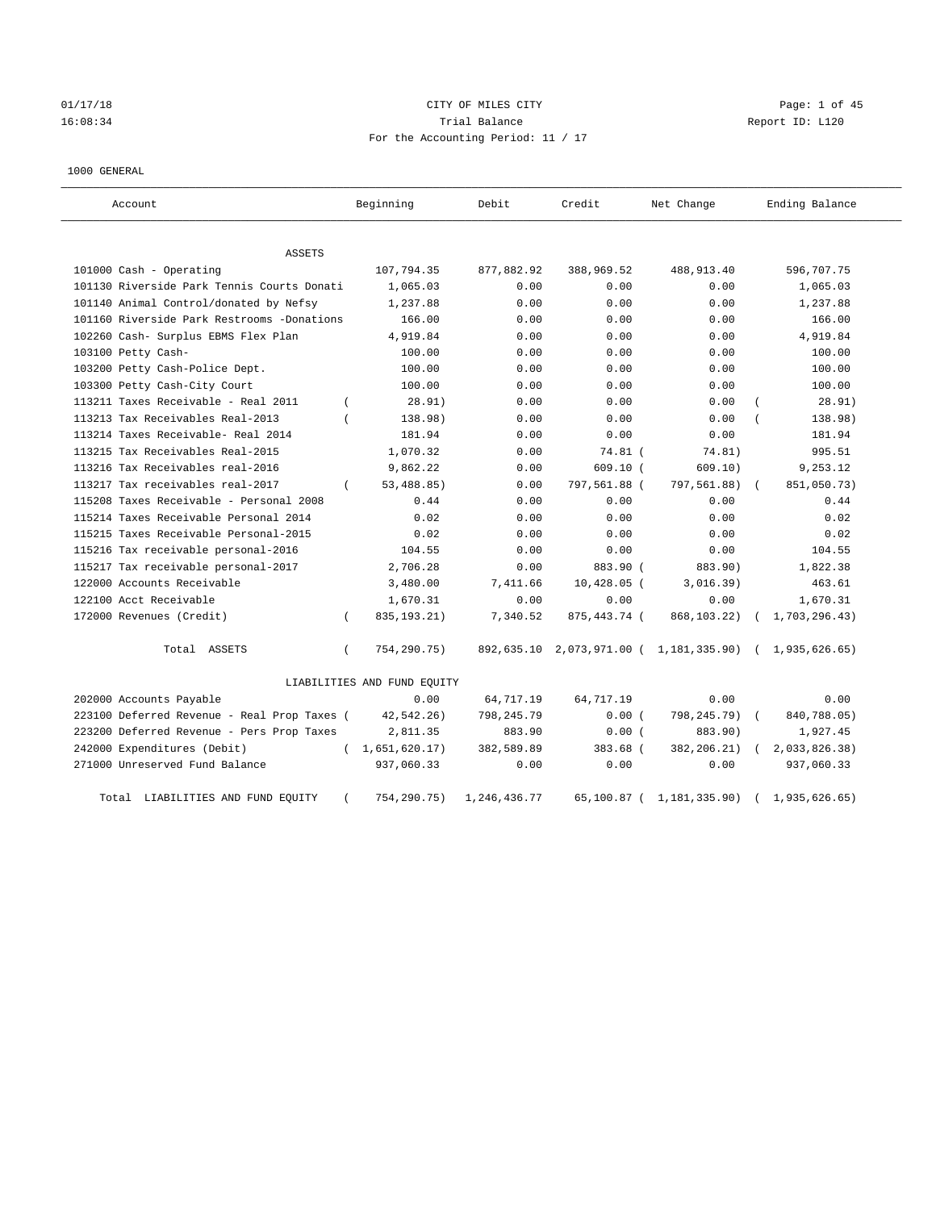## 01/17/18 Page: 1 of 45 16:08:34 Trial Balance Report ID: L120 For the Accounting Period: 11 / 17

#### 1000 GENERAL

| Account                                     |          | Beginning                   | Debit        | Credit        | Net Change                                              |            | Ending Balance   |
|---------------------------------------------|----------|-----------------------------|--------------|---------------|---------------------------------------------------------|------------|------------------|
| <b>ASSETS</b>                               |          |                             |              |               |                                                         |            |                  |
| 101000 Cash - Operating                     |          | 107,794.35                  | 877,882.92   | 388,969.52    | 488,913.40                                              |            | 596,707.75       |
| 101130 Riverside Park Tennis Courts Donati  |          | 1,065.03                    | 0.00         | 0.00          | 0.00                                                    |            | 1,065.03         |
| 101140 Animal Control/donated by Nefsy      |          | 1,237.88                    | 0.00         | 0.00          | 0.00                                                    |            | 1,237.88         |
| 101160 Riverside Park Restrooms -Donations  |          | 166.00                      | 0.00         | 0.00          | 0.00                                                    |            | 166.00           |
| 102260 Cash- Surplus EBMS Flex Plan         |          | 4,919.84                    | 0.00         | 0.00          | 0.00                                                    |            | 4,919.84         |
| 103100 Petty Cash-                          |          | 100.00                      | 0.00         | 0.00          | 0.00                                                    |            | 100.00           |
| 103200 Petty Cash-Police Dept.              |          | 100.00                      | 0.00         | 0.00          | 0.00                                                    |            | 100.00           |
| 103300 Petty Cash-City Court                |          | 100.00                      | 0.00         | 0.00          | 0.00                                                    |            | 100.00           |
| 113211 Taxes Receivable - Real 2011         | $\left($ | 28.91)                      | 0.00         | 0.00          | 0.00                                                    |            | 28.91)           |
| 113213 Tax Receivables Real-2013            | $\left($ | 138.98)                     | 0.00         | 0.00          | 0.00                                                    |            | 138.98)          |
| 113214 Taxes Receivable- Real 2014          |          | 181.94                      | 0.00         | 0.00          | 0.00                                                    |            | 181.94           |
| 113215 Tax Receivables Real-2015            |          | 1,070.32                    | 0.00         | 74.81 (       | 74.81)                                                  |            | 995.51           |
| 113216 Tax Receivables real-2016            |          | 9,862.22                    | 0.00         | 609.10(       | 609.10)                                                 |            | 9,253.12         |
| 113217 Tax receivables real-2017            | $\left($ | 53,488.85)                  | 0.00         | 797,561.88 (  | 797,561.88)                                             | $\sqrt{2}$ | 851,050.73)      |
| 115208 Taxes Receivable - Personal 2008     |          | 0.44                        | 0.00         | 0.00          | 0.00                                                    |            | 0.44             |
| 115214 Taxes Receivable Personal 2014       |          | 0.02                        | 0.00         | 0.00          | 0.00                                                    |            | 0.02             |
| 115215 Taxes Receivable Personal-2015       |          | 0.02                        | 0.00         | 0.00          | 0.00                                                    |            | 0.02             |
| 115216 Tax receivable personal-2016         |          | 104.55                      | 0.00         | 0.00          | 0.00                                                    |            | 104.55           |
| 115217 Tax receivable personal-2017         |          | 2,706.28                    | 0.00         | 883.90 (      | 883.90)                                                 |            | 1,822.38         |
| 122000 Accounts Receivable                  |          | 3,480.00                    | 7.411.66     | $10,428.05$ ( | 3,016.39)                                               |            | 463.61           |
| 122100 Acct Receivable                      |          | 1,670.31                    | 0.00         | 0.00          | 0.00                                                    |            | 1,670.31         |
| 172000 Revenues (Credit)                    | $\left($ | 835, 193. 21)               | 7,340.52     | 875,443.74 (  | 868, 103. 22)                                           |            | 1,703,296.43)    |
| Total ASSETS                                | $\left($ | 754,290.75)                 |              |               | 892,635.10 2,073,971.00 ( 1,181,335.90) ( 1,935,626.65) |            |                  |
|                                             |          | LIABILITIES AND FUND EQUITY |              |               |                                                         |            |                  |
| 202000 Accounts Payable                     |          | 0.00                        | 64,717.19    | 64,717.19     | 0.00                                                    |            | 0.00             |
| 223100 Deferred Revenue - Real Prop Taxes ( |          | 42,542.26)                  | 798,245.79   | 0.00(         | 798,245.79)                                             |            | 840,788.05)      |
| 223200 Deferred Revenue - Pers Prop Taxes   |          | 2,811.35                    | 883.90       | 0.00(         | 883.90)                                                 |            | 1,927.45         |
| 242000 Expenditures (Debit)                 |          | (1,651,620.17)              | 382,589.89   | 383.68 (      | 382, 206. 21)                                           |            | 2,033,826.38)    |
| 271000 Unreserved Fund Balance              |          | 937,060.33                  | 0.00         | 0.00          | 0.00                                                    |            | 937,060.33       |
| Total LIABILITIES AND FUND EQUITY           | $\left($ | 754,290.75)                 | 1,246,436.77 |               | 65,100.87 ( 1,181,335.90)                               |            | (1, 935, 626.65) |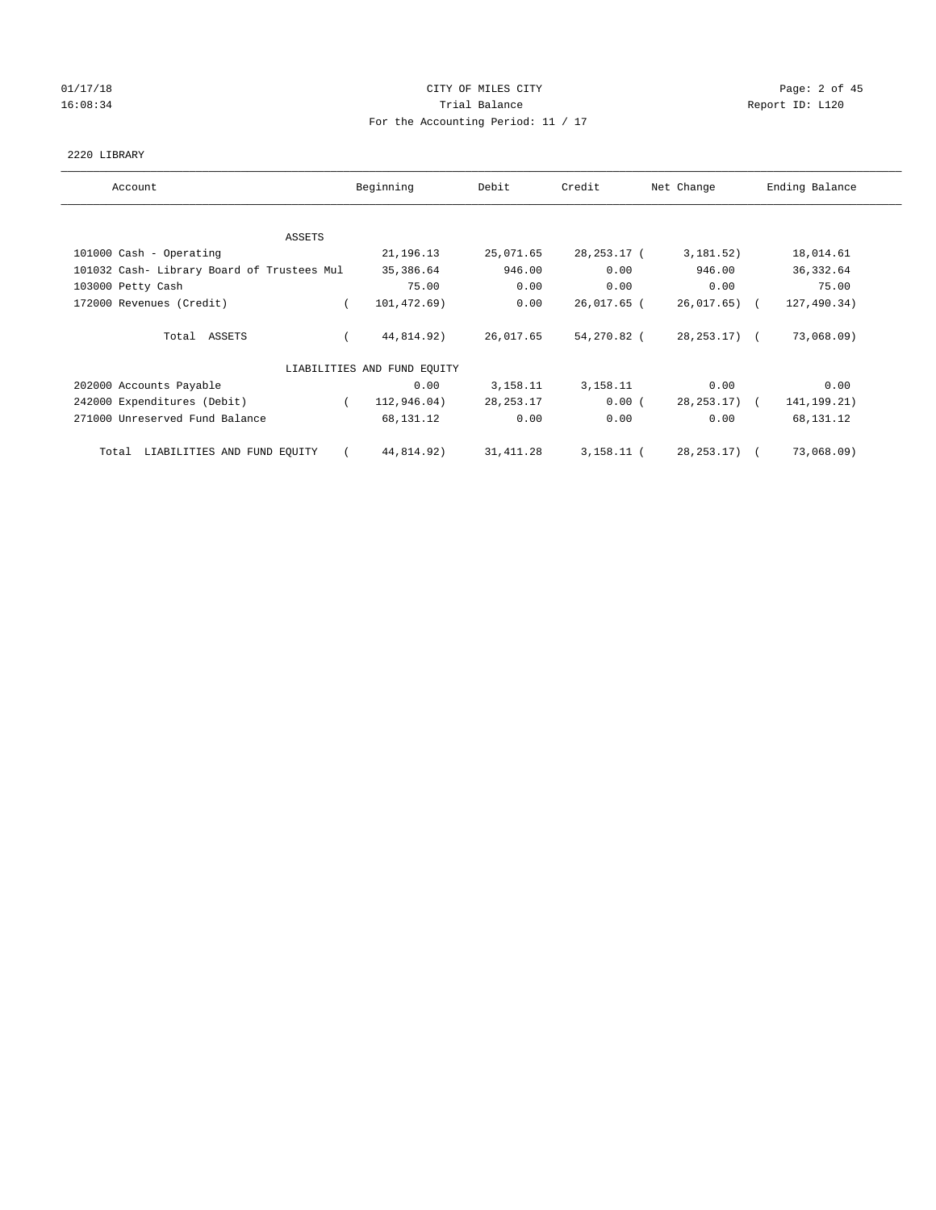# 01/17/18 Page: 2 of 45 16:08:34 Report ID: L120 For the Accounting Period: 11 / 17

#### 2220 LIBRARY

| Account                                    | Beginning                   | Debit       | Credit        | Net Change       | Ending Balance |
|--------------------------------------------|-----------------------------|-------------|---------------|------------------|----------------|
|                                            |                             |             |               |                  |                |
| ASSETS                                     |                             |             |               |                  |                |
| 101000 Cash - Operating                    | 21, 196. 13                 | 25,071.65   | 28, 253. 17 ( | 3,181.52)        | 18,014.61      |
| 101032 Cash- Library Board of Trustees Mul | 35,386.64                   | 946.00      | 0.00          | 946.00           | 36, 332.64     |
| 103000 Petty Cash                          | 75.00                       | 0.00        | 0.00          | 0.00             | 75.00          |
| 172000 Revenues (Credit)                   | 101,472.69)                 | 0.00        | 26,017.65 (   | 26,017.65)       | 127,490.34)    |
| Total ASSETS                               | 44,814.92)                  | 26,017.65   | 54,270.82 (   | $28, 253, 17)$ ( | 73,068.09)     |
|                                            | LIABILITIES AND FUND EQUITY |             |               |                  |                |
| 202000 Accounts Payable                    | 0.00                        | 3,158.11    | 3,158.11      | 0.00             | 0.00           |
| 242000 Expenditures (Debit)                | 112,946.04)                 | 28, 253. 17 | 0.00(         | $28, 253, 17)$ ( | 141, 199. 21)  |
| 271000 Unreserved Fund Balance             | 68,131.12                   | 0.00        | 0.00          | 0.00             | 68,131.12      |
| LIABILITIES AND FUND EQUITY<br>Total       | 44,814.92)                  | 31, 411.28  | $3,158.11$ (  | 28, 253. 17)     | 73,068.09)     |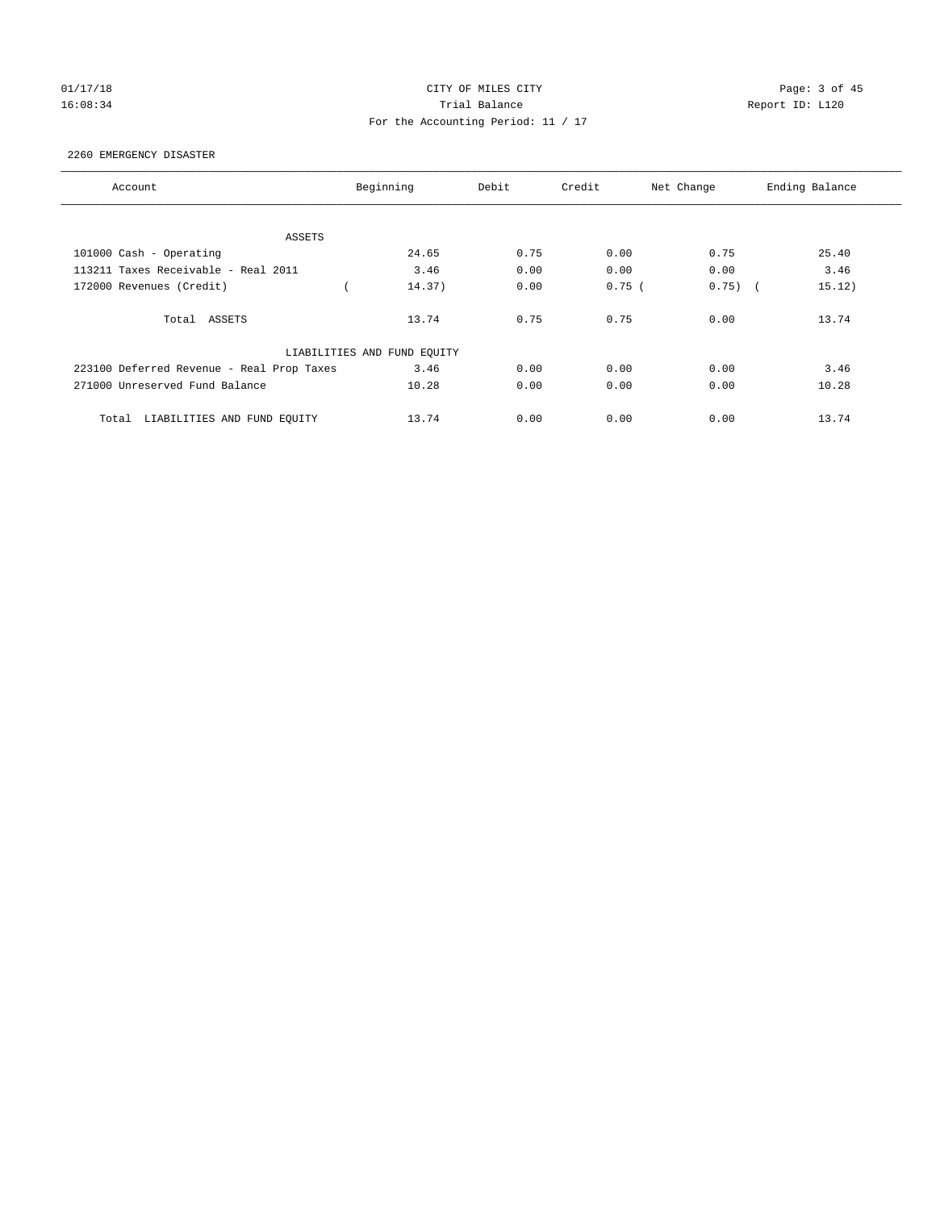# 01/17/18 Page: 3 of 45 16:08:34 Report ID: L120 For the Accounting Period: 11 / 17

#### 2260 EMERGENCY DISASTER

| Account                                   | Beginning                   | Debit | Credit   | Net Change | Ending Balance |
|-------------------------------------------|-----------------------------|-------|----------|------------|----------------|
|                                           |                             |       |          |            |                |
| ASSETS                                    |                             |       |          |            |                |
| 101000 Cash - Operating                   | 24.65                       | 0.75  | 0.00     | 0.75       | 25.40          |
| 113211 Taxes Receivable - Real 2011       | 3.46                        | 0.00  | 0.00     | 0.00       | 3.46           |
| 172000 Revenues (Credit)                  | 14.37)                      | 0.00  | $0.75$ ( | $0.75)$ (  | 15.12)         |
| Total ASSETS                              | 13.74                       | 0.75  | 0.75     | 0.00       | 13.74          |
|                                           | LIABILITIES AND FUND EQUITY |       |          |            |                |
| 223100 Deferred Revenue - Real Prop Taxes | 3.46                        | 0.00  | 0.00     | 0.00       | 3.46           |
| 271000 Unreserved Fund Balance            | 10.28                       | 0.00  | 0.00     | 0.00       | 10.28          |
| LIABILITIES AND FUND EQUITY<br>Total      | 13.74                       | 0.00  | 0.00     | 0.00       | 13.74          |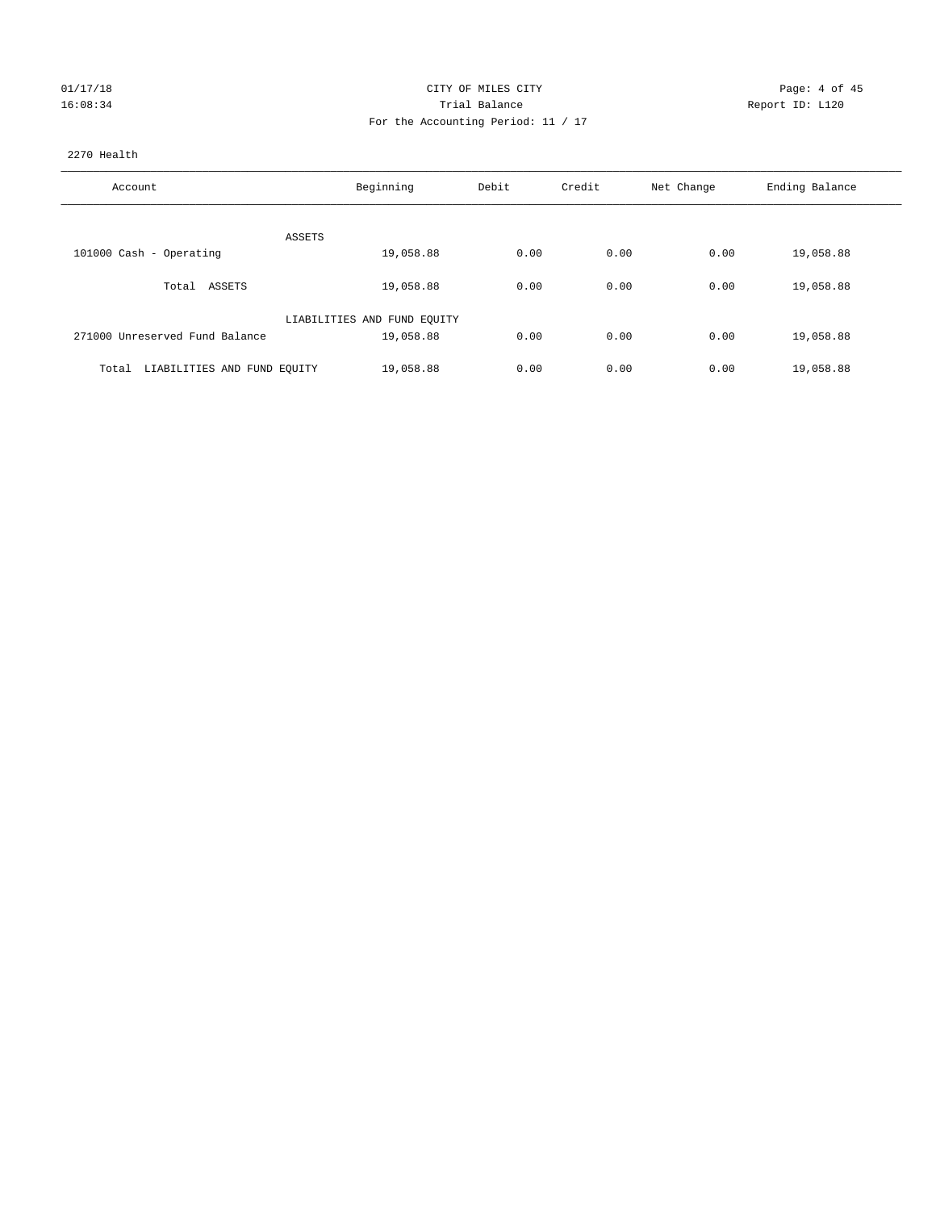| 01/17/18 |  |
|----------|--|
| 16:08:34 |  |

#### CITY OF MILES CITY CONTROL CONTROL CITY CONTROL PAGE: 4 of 45 16:08:34 Trial Balance Report ID: L120 For the Accounting Period: 11 / 17

#### 2270 Health

| Account                              | Beginning                   | Debit | Credit | Net Change | Ending Balance |
|--------------------------------------|-----------------------------|-------|--------|------------|----------------|
|                                      |                             |       |        |            |                |
|                                      | ASSETS                      |       |        |            |                |
| 101000 Cash - Operating              | 19,058.88                   | 0.00  | 0.00   | 0.00       | 19,058.88      |
| Total ASSETS                         | 19,058.88                   | 0.00  | 0.00   | 0.00       | 19,058.88      |
|                                      | LIABILITIES AND FUND EQUITY |       |        |            |                |
| 271000 Unreserved Fund Balance       | 19,058.88                   | 0.00  | 0.00   | 0.00       | 19,058.88      |
|                                      |                             |       |        |            |                |
| LIABILITIES AND FUND EQUITY<br>Total | 19,058.88                   | 0.00  | 0.00   | 0.00       | 19,058.88      |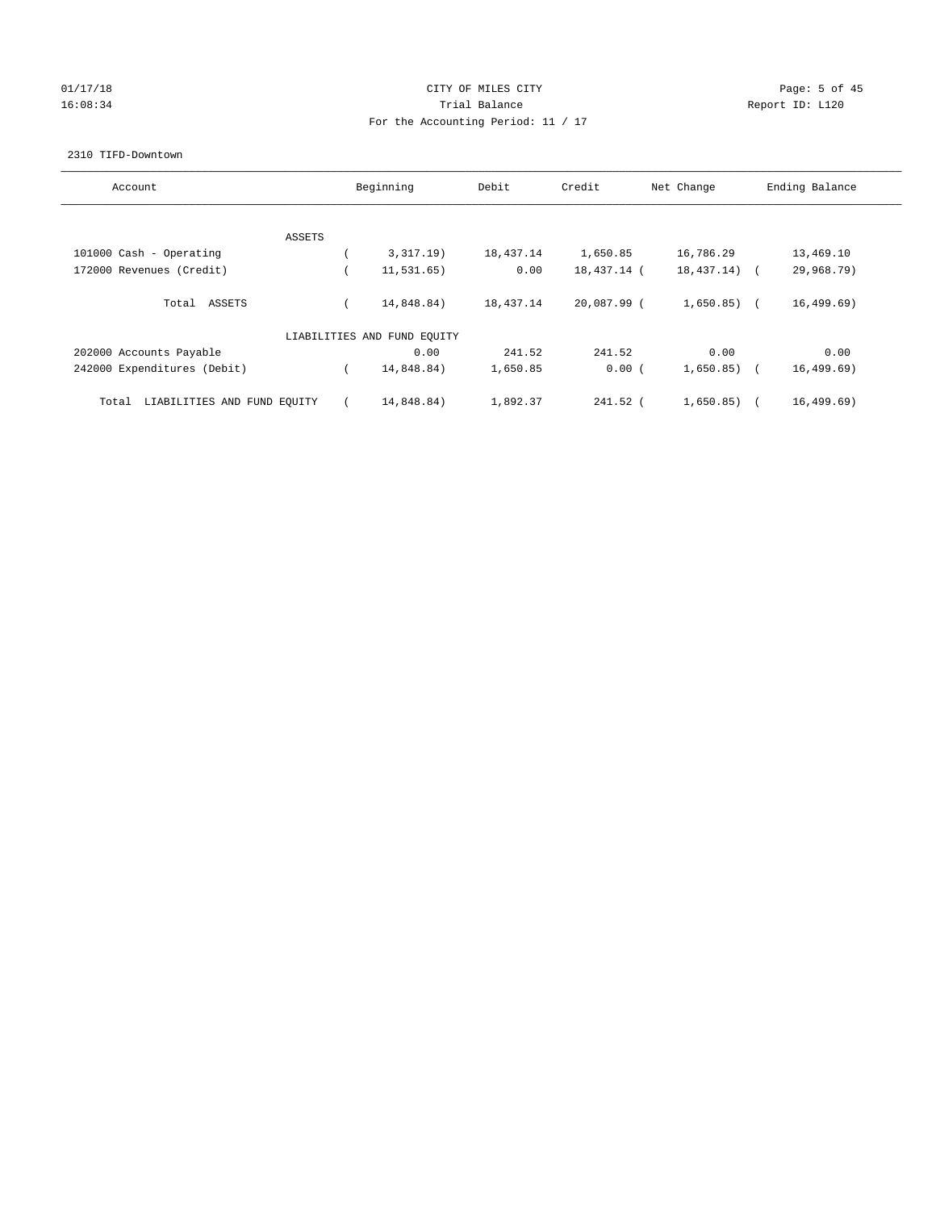# 01/17/18 Page: 5 of 45 16:08:34 Report ID: L120 For the Accounting Period: 11 / 17

#### 2310 TIFD-Downtown

| Account                              | Beginning                   | Debit     | Credit      | Net Change   | Ending Balance           |
|--------------------------------------|-----------------------------|-----------|-------------|--------------|--------------------------|
|                                      |                             |           |             |              |                          |
| ASSETS                               |                             |           |             |              |                          |
| 101000 Cash - Operating              | 3,317.19)                   | 18,437.14 | 1,650.85    | 16,786.29    | 13,469.10                |
| 172000 Revenues (Credit)             | 11,531.65)                  | 0.00      | 18,437.14 ( | 18,437.14)   | 29,968.79)<br>$\sqrt{2}$ |
| Total ASSETS                         | 14,848.84)                  | 18,437.14 | 20,087.99 ( | $1,650.85$ ( | 16, 499.69)              |
|                                      | LIABILITIES AND FUND EQUITY |           |             |              |                          |
| 202000 Accounts Payable              | 0.00                        | 241.52    | 241.52      | 0.00         | 0.00                     |
| 242000 Expenditures (Debit)          | 14,848.84)                  | 1,650.85  | 0.00(       | 1,650.85)    | 16, 499.69)              |
| LIABILITIES AND FUND EQUITY<br>Total | 14,848.84)                  | 1,892.37  | 241.52 (    | 1,650.85)    | 16, 499.69)              |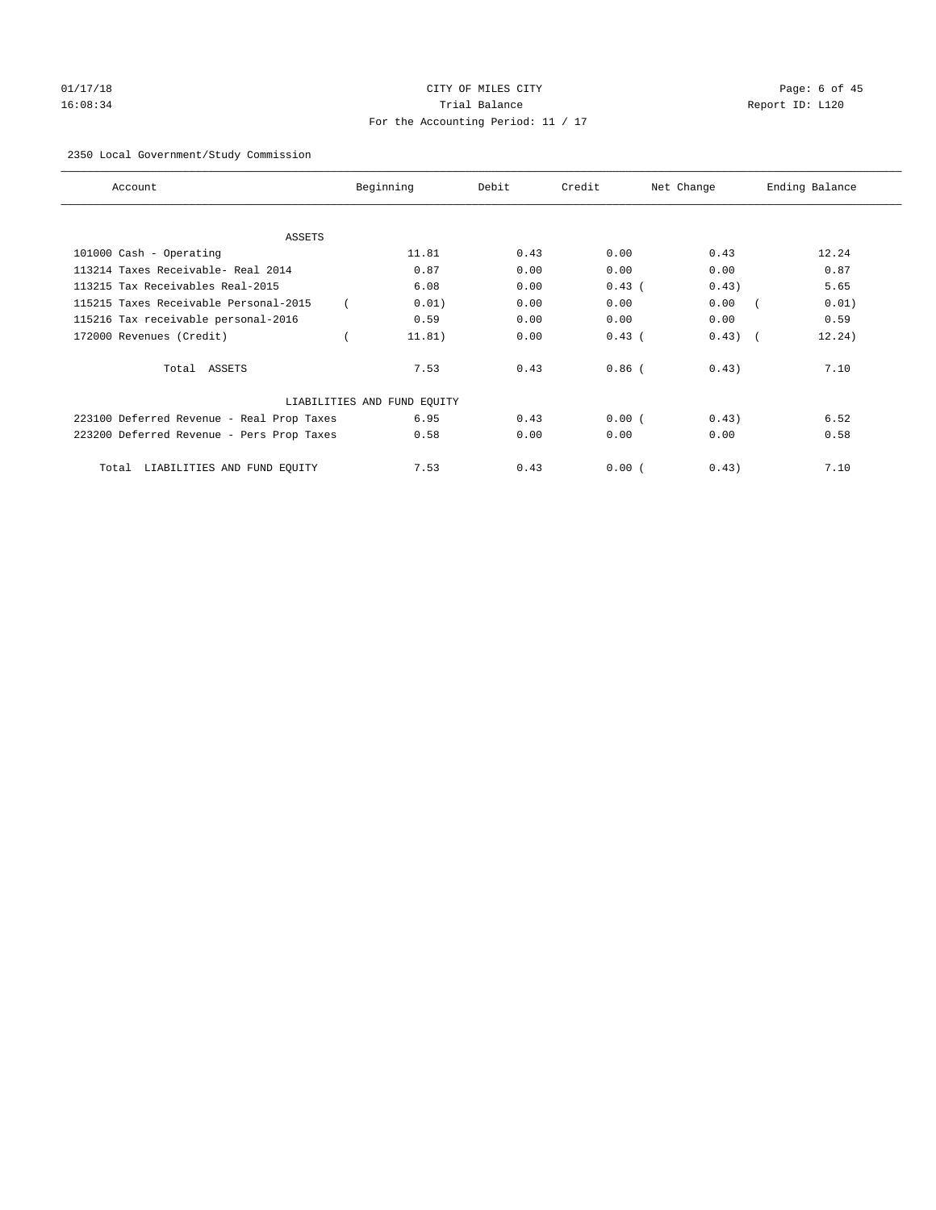# 01/17/18 Page: 6 of 45 16:08:34 Trial Balance Report ID: L120 For the Accounting Period: 11 / 17

#### 2350 Local Government/Study Commission

| Account                                   | Beginning                   | Debit | Credit   | Net Change | Ending Balance |
|-------------------------------------------|-----------------------------|-------|----------|------------|----------------|
| <b>ASSETS</b>                             |                             |       |          |            |                |
| 101000 Cash - Operating                   | 11.81                       | 0.43  | 0.00     | 0.43       | 12.24          |
| 113214 Taxes Receivable- Real 2014        | 0.87                        | 0.00  | 0.00     | 0.00       | 0.87           |
| 113215 Tax Receivables Real-2015          | 6.08                        | 0.00  | $0.43$ ( | 0.43)      | 5.65           |
| 115215 Taxes Receivable Personal-2015     | 0.01)                       | 0.00  | 0.00     | 0.00       | 0.01)          |
| 115216 Tax receivable personal-2016       | 0.59                        | 0.00  | 0.00     | 0.00       | 0.59           |
| 172000 Revenues (Credit)                  | 11.81)                      | 0.00  | $0.43$ ( | 0.43)      | 12.24)         |
| Total ASSETS                              | 7.53                        | 0.43  | $0.86$ ( | 0.43)      | 7.10           |
|                                           | LIABILITIES AND FUND EQUITY |       |          |            |                |
| 223100 Deferred Revenue - Real Prop Taxes | 6.95                        | 0.43  | 0.00(    | 0.43)      | 6.52           |
| 223200 Deferred Revenue - Pers Prop Taxes | 0.58                        | 0.00  | 0.00     | 0.00       | 0.58           |
| LIABILITIES AND FUND EQUITY<br>Total      | 7.53                        | 0.43  | 0.00(    | 0.43)      | 7.10           |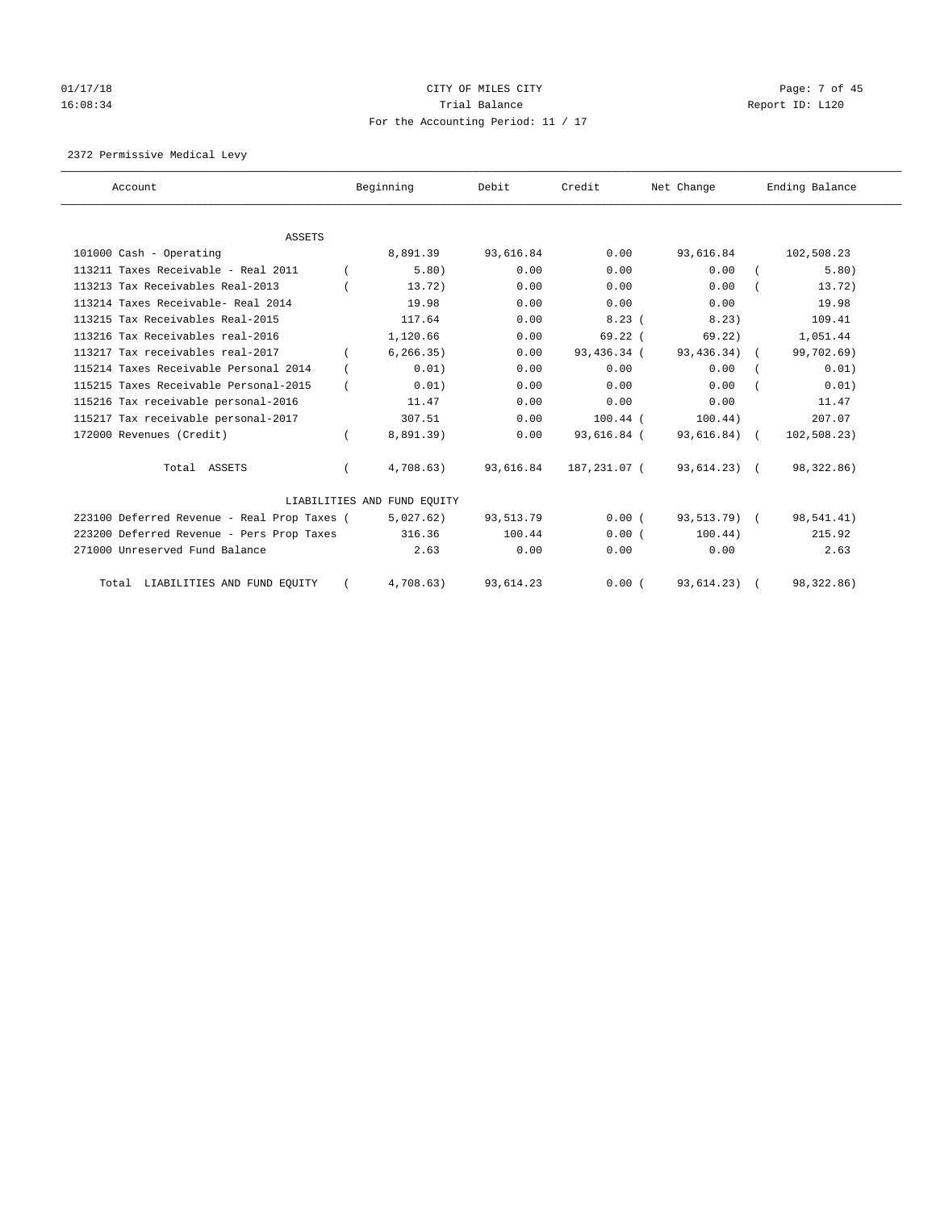# 01/17/18 Page: 7 of 45 16:08:34 Trial Balance Report ID: L120 For the Accounting Period: 11 / 17

2372 Permissive Medical Levy

| Account                                     | Beginning                   | Debit     | Credit       | Net Change     | Ending Balance |
|---------------------------------------------|-----------------------------|-----------|--------------|----------------|----------------|
|                                             |                             |           |              |                |                |
| <b>ASSETS</b>                               |                             |           |              |                |                |
| 101000 Cash - Operating                     | 8,891.39                    | 93,616.84 | 0.00         | 93,616.84      | 102,508.23     |
| 113211 Taxes Receivable - Real 2011         | 5.80)                       | 0.00      | 0.00         | 0.00           | 5.80)          |
| 113213 Tax Receivables Real-2013            | 13.72)                      | 0.00      | 0.00         | 0.00           | 13.72)         |
| 113214 Taxes Receivable- Real 2014          | 19.98                       | 0.00      | 0.00         | 0.00           | 19.98          |
| 113215 Tax Receivables Real-2015            | 117.64                      | 0.00      | 8.23(        | 8.23)          | 109.41         |
| 113216 Tax Receivables real-2016            | 1,120.66                    | 0.00      | $69.22$ (    | 69.22)         | 1,051.44       |
| 113217 Tax receivables real-2017            | 6, 266.35)                  | 0.00      | 93,436.34 (  | $93,436.34)$ ( | 99,702.69)     |
| 115214 Taxes Receivable Personal 2014       | 0.01)                       | 0.00      | 0.00         | 0.00           | 0.01)          |
| 115215 Taxes Receivable Personal-2015       | 0.01)                       | 0.00      | 0.00         | 0.00           | 0.01)          |
| 115216 Tax receivable personal-2016         | 11.47                       | 0.00      | 0.00         | 0.00           | 11.47          |
| 115217 Tax receivable personal-2017         | 307.51                      | 0.00      | $100.44$ (   | 100.44)        | 207.07         |
| 172000 Revenues (Credit)                    | 8,891.39)                   | 0.00      | 93,616.84 (  | 93,616.84) (   | 102, 508.23)   |
| Total ASSETS                                | 4,708.63)                   | 93,616.84 | 187,231.07 ( | 93,614.23) (   | 98,322.86)     |
|                                             | LIABILITIES AND FUND EOUITY |           |              |                |                |
| 223100 Deferred Revenue - Real Prop Taxes ( | 5,027.62)                   | 93,513.79 | 0.00(        | 93,513.79) (   | 98,541.41)     |
| 223200 Deferred Revenue - Pers Prop Taxes   | 316.36                      | 100.44    | 0.00(        | 100.44)        | 215.92         |
| 271000 Unreserved Fund Balance              | 2.63                        | 0.00      | 0.00         | 0.00           | 2.63           |
| Total LIABILITIES AND FUND EQUITY           | 4.708.63                    | 93,614.23 | 0.00(        | 93,614.23) (   | 98,322.86)     |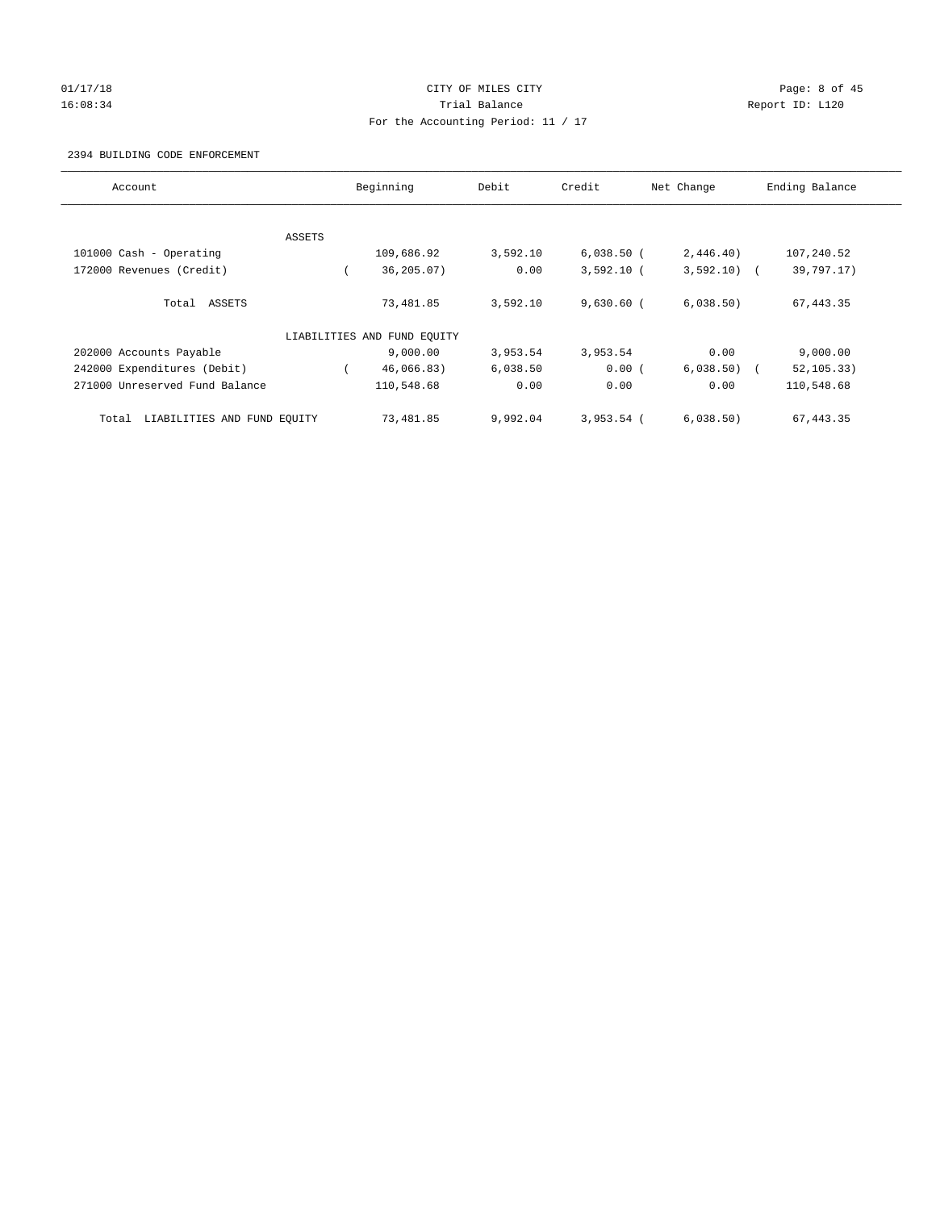## 01/17/18 Page: 8 of 45 16:08:34 Trial Balance Report ID: L120 For the Accounting Period: 11 / 17

#### 2394 BUILDING CODE ENFORCEMENT

| Account                              | Beginning                   | Debit    | Credit       | Net Change   | Ending Balance |
|--------------------------------------|-----------------------------|----------|--------------|--------------|----------------|
|                                      |                             |          |              |              |                |
| ASSETS                               |                             |          |              |              |                |
| 101000 Cash - Operating              | 109,686.92                  | 3,592.10 | $6,038.50$ ( | 2,446.40)    | 107,240.52     |
| 172000 Revenues (Credit)             | 36,205.07)                  | 0.00     | $3,592.10$ ( | $3,592.10$ ( | 39,797.17)     |
| Total ASSETS                         | 73,481.85                   | 3,592.10 | $9,630.60$ ( | 6,038.50)    | 67, 443.35     |
|                                      | LIABILITIES AND FUND EQUITY |          |              |              |                |
| 202000 Accounts Payable              | 9.000.00                    | 3,953.54 | 3,953.54     | 0.00         | 9,000.00       |
| 242000 Expenditures (Debit)          | 46,066.83)                  | 6,038.50 | 0.00(        | $6,038.50$ ( | 52, 105.33)    |
| 271000 Unreserved Fund Balance       | 110,548.68                  | 0.00     | 0.00         | 0.00         | 110,548.68     |
| LIABILITIES AND FUND EQUITY<br>Total | 73,481.85                   | 9,992.04 | $3.953.54$ ( | 6,038.50)    | 67, 443.35     |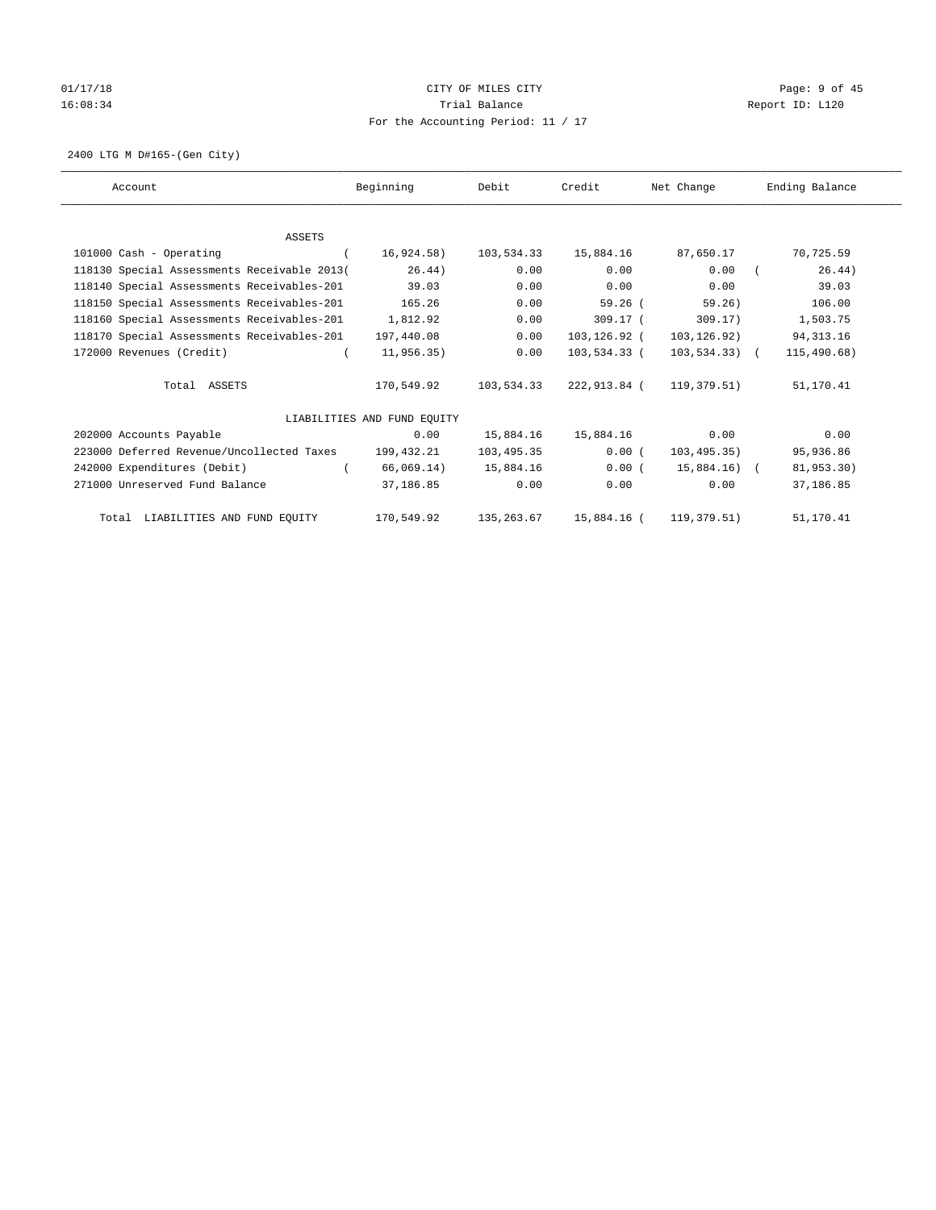# 01/17/18 Page: 9 of 45 16:08:34 Report ID: L120 For the Accounting Period: 11 / 17

2400 LTG M D#165-(Gen City)

| Account                                     | Beginning                   | Debit      | Credit       | Net Change       | Ending Balance |
|---------------------------------------------|-----------------------------|------------|--------------|------------------|----------------|
|                                             |                             |            |              |                  |                |
| <b>ASSETS</b>                               |                             |            |              |                  |                |
| 101000 Cash - Operating                     | 16,924.58)                  | 103,534.33 | 15,884.16    | 87,650.17        | 70,725.59      |
| 118130 Special Assessments Receivable 2013( | 26.44)                      | 0.00       | 0.00         | 0.00             | 26.44)         |
| 118140 Special Assessments Receivables-201  | 39.03                       | 0.00       | 0.00         | 0.00             | 39.03          |
| 118150 Special Assessments Receivables-201  | 165.26                      | 0.00       | $59.26$ (    | 59.26)           | 106.00         |
| 118160 Special Assessments Receivables-201  | 1,812.92                    | 0.00       | $309.17$ (   | 309.17)          | 1,503.75       |
| 118170 Special Assessments Receivables-201  | 197,440.08                  | 0.00       | 103,126.92 ( | 103,126.92)      | 94, 313.16     |
| 172000 Revenues (Credit)                    | 11,956.35)                  | 0.00       | 103,534.33 ( | $103, 534.33)$ ( | 115,490.68)    |
| Total ASSETS                                | 170,549.92                  | 103,534.33 | 222,913.84 ( | 119,379.51)      | 51,170.41      |
|                                             | LIABILITIES AND FUND EQUITY |            |              |                  |                |
| 202000 Accounts Payable                     | 0.00                        | 15,884.16  | 15,884.16    | 0.00             | 0.00           |
| 223000 Deferred Revenue/Uncollected Taxes   | 199,432.21                  | 103,495.35 | 0.00(        | 103, 495.35)     | 95,936.86      |
| 242000 Expenditures (Debit)                 | 66,069.14)                  | 15,884.16  | 0.00(        | 15,884.16) (     | 81,953.30)     |
| 271000 Unreserved Fund Balance              | 37,186.85                   | 0.00       | 0.00         | 0.00             | 37,186.85      |
| Total LIABILITIES AND FUND EQUITY           | 170,549.92                  | 135,263.67 | 15,884.16 (  | 119, 379.51)     | 51,170.41      |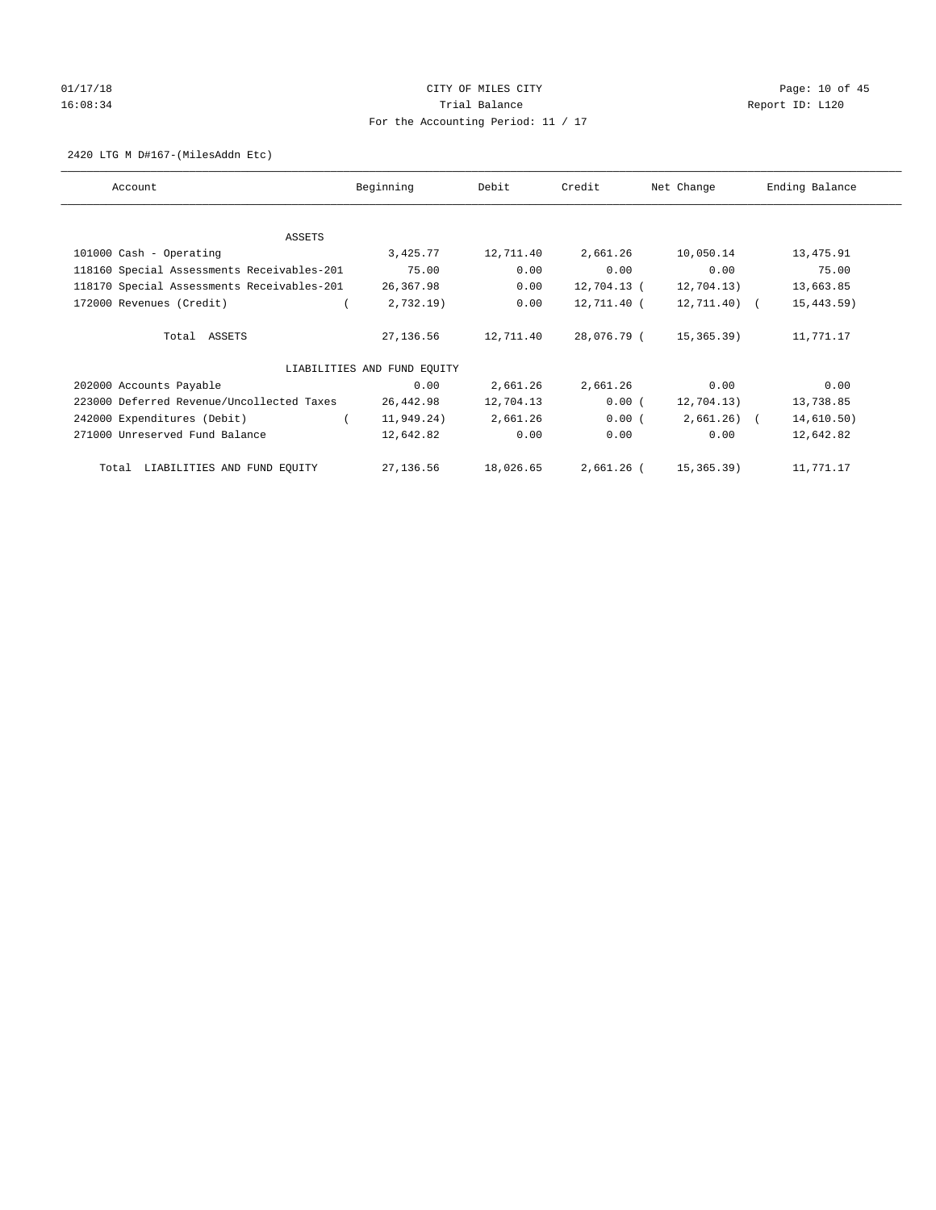# 01/17/18 Page: 10 of 45 16:08:34 Report ID: L120 For the Accounting Period: 11 / 17

#### 2420 LTG M D#167-(MilesAddn Etc)

| Account                                    | Beginning                   | Debit     | Credit      | Net Change    | Ending Balance |
|--------------------------------------------|-----------------------------|-----------|-------------|---------------|----------------|
|                                            |                             |           |             |               |                |
| ASSETS                                     |                             |           |             |               |                |
| 101000 Cash - Operating                    | 3,425.77                    | 12,711.40 | 2,661.26    | 10,050.14     | 13,475.91      |
| 118160 Special Assessments Receivables-201 | 75.00                       | 0.00      | 0.00        | 0.00          | 75.00          |
| 118170 Special Assessments Receivables-201 | 26,367.98                   | 0.00      | 12,704.13 ( | 12,704.13)    | 13,663.85      |
| 172000 Revenues (Credit)                   | 2,732.19                    | 0.00      | 12,711.40 ( | $12,711.40$ ( | 15, 443.59)    |
| Total ASSETS                               | 27,136.56                   | 12,711.40 | 28,076.79 ( | 15,365.39)    | 11,771.17      |
|                                            | LIABILITIES AND FUND EQUITY |           |             |               |                |
| 202000 Accounts Payable                    | 0.00                        | 2,661.26  | 2,661.26    | 0.00          | 0.00           |
| 223000 Deferred Revenue/Uncollected Taxes  | 26,442.98                   | 12,704.13 | 0.00(       | 12,704.13)    | 13,738.85      |
| 242000 Expenditures (Debit)                | 11,949.24)                  | 2,661.26  | 0.00(       | $2,661.26$ (  | 14,610.50)     |
| 271000 Unreserved Fund Balance             | 12,642.82                   | 0.00      | 0.00        | 0.00          | 12,642.82      |
| LIABILITIES AND FUND EQUITY<br>Total       | 27,136.56                   | 18,026.65 | 2,661.26 (  | 15,365.39)    | 11,771.17      |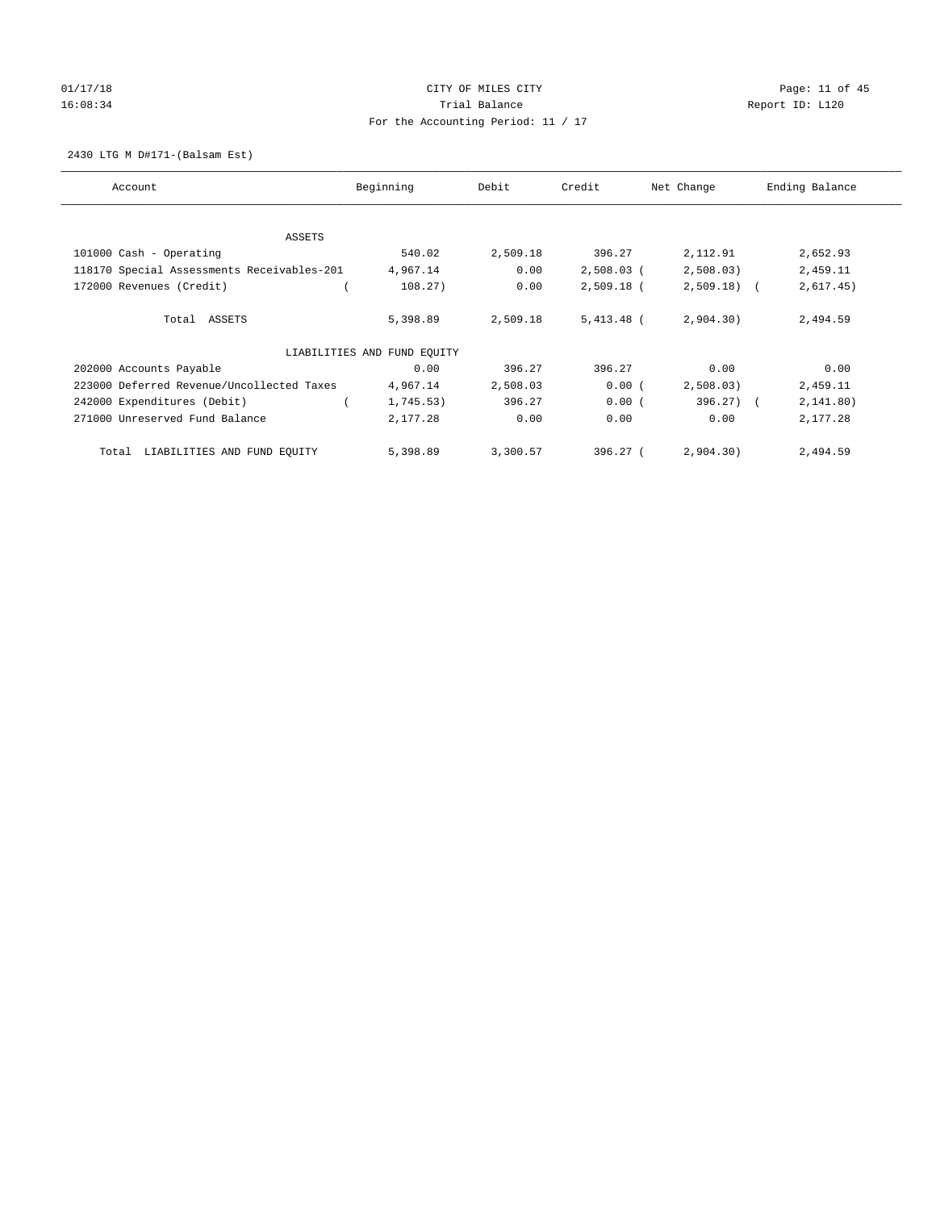# 01/17/18 Page: 11 of 45 16:08:34 Report ID: L120 For the Accounting Period: 11 / 17

2430 LTG M D#171-(Balsam Est)

| Account                                    | Beginning                   | Debit    | Credit       | Net Change   | Ending Balance |
|--------------------------------------------|-----------------------------|----------|--------------|--------------|----------------|
| ASSETS                                     |                             |          |              |              |                |
|                                            | 540.02                      | 2,509.18 | 396.27       | 2,112.91     |                |
| 101000 Cash - Operating                    |                             |          |              |              | 2,652.93       |
| 118170 Special Assessments Receivables-201 | 4,967.14                    | 0.00     | $2,508.03$ ( | 2,508.03)    | 2,459.11       |
| 172000 Revenues (Credit)                   | 108.27)                     | 0.00     | $2,509.18$ ( | $2,509.18$ ( | 2,617.45)      |
| Total ASSETS                               | 5,398.89                    | 2,509.18 | $5,413.48$ ( | 2,904.30)    | 2,494.59       |
|                                            | LIABILITIES AND FUND EOUITY |          |              |              |                |
| 202000 Accounts Payable                    | 0.00                        | 396.27   | 396.27       | 0.00         | 0.00           |
| 223000 Deferred Revenue/Uncollected Taxes  | 4,967.14                    | 2,508.03 | 0.00(        | 2,508.03)    | 2,459.11       |
| 242000 Expenditures (Debit)                | 1,745.53)                   | 396.27   | 0.00(        | $396.27$ ) ( | 2, 141.80)     |
| 271000 Unreserved Fund Balance             | 2,177.28                    | 0.00     | 0.00         | 0.00         | 2,177.28       |
| LIABILITIES AND FUND EQUITY<br>Total       | 5,398.89                    | 3,300.57 | 396.27(      | 2,904.30)    | 2,494.59       |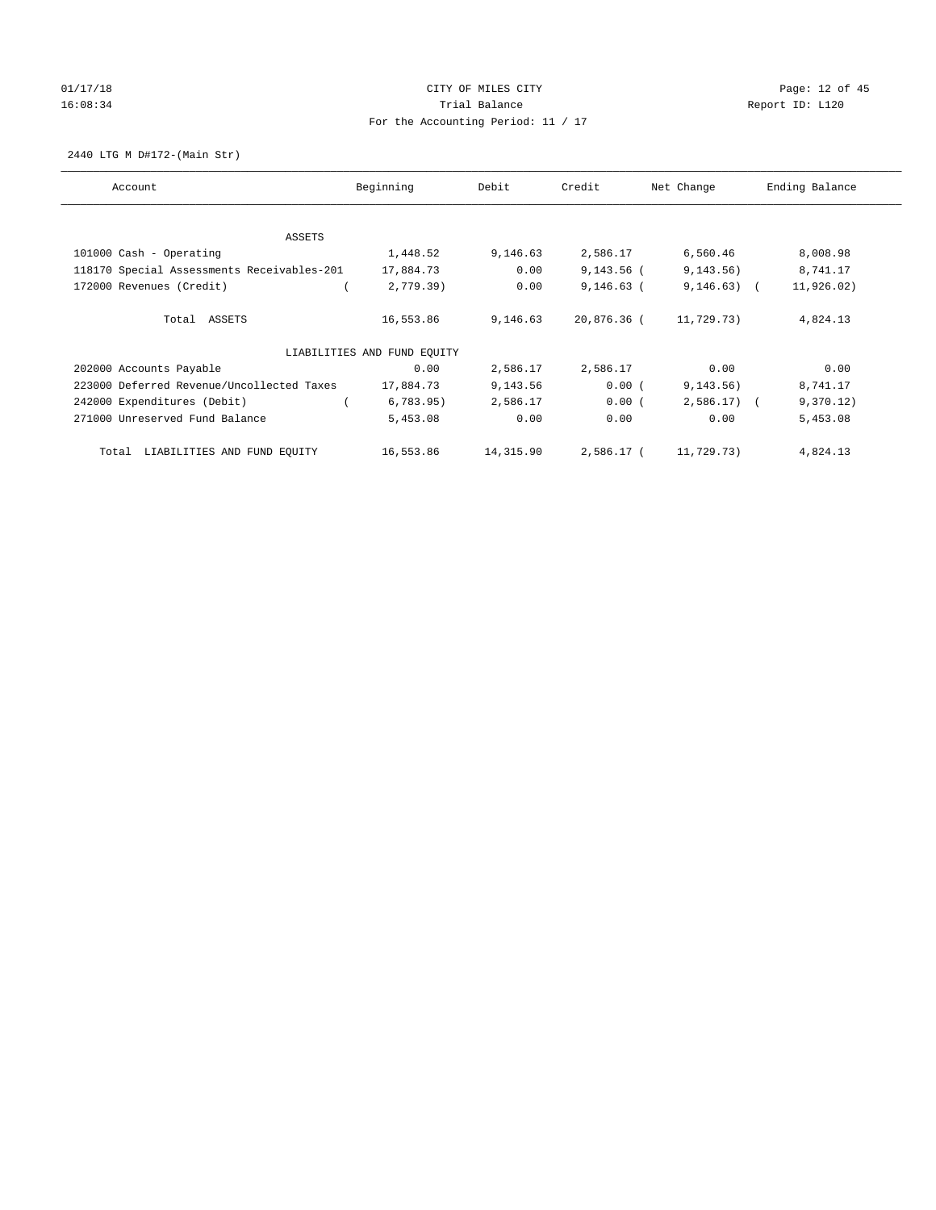# 01/17/18 Page: 12 of 45 16:08:34 Report ID: L120 For the Accounting Period: 11 / 17

2440 LTG M D#172-(Main Str)

| Account                                    | Beginning                   | Debit     | Credit       | Net Change   | Ending Balance |
|--------------------------------------------|-----------------------------|-----------|--------------|--------------|----------------|
|                                            |                             |           |              |              |                |
| <b>ASSETS</b>                              |                             |           |              |              |                |
| 101000 Cash - Operating                    | 1,448.52                    | 9,146.63  | 2,586.17     | 6,560.46     | 8,008.98       |
| 118170 Special Assessments Receivables-201 | 17,884.73                   | 0.00      | $9,143.56$ ( | 9, 143.56)   | 8,741.17       |
| 172000 Revenues (Credit)                   | 2,779.39                    | 0.00      | $9,146.63$ ( | $9,146.63$ ( | 11,926.02)     |
| Total ASSETS                               | 16,553.86                   | 9,146.63  | 20,876.36 (  | 11,729.73)   | 4,824.13       |
|                                            | LIABILITIES AND FUND EQUITY |           |              |              |                |
| 202000 Accounts Payable                    | 0.00                        | 2,586.17  | 2,586.17     | 0.00         | 0.00           |
| 223000 Deferred Revenue/Uncollected Taxes  | 17,884.73                   | 9,143.56  | 0.00(        | 9, 143.56)   | 8,741.17       |
| 242000 Expenditures (Debit)                | 6,783.95)                   | 2,586.17  | 0.00(        | $2,586.17$ ( | 9,370.12)      |
| 271000 Unreserved Fund Balance             | 5,453.08                    | 0.00      | 0.00         | 0.00         | 5,453.08       |
| LIABILITIES AND FUND EQUITY<br>Total       | 16,553.86                   | 14,315.90 | 2,586.17 (   | 11,729.73)   | 4,824.13       |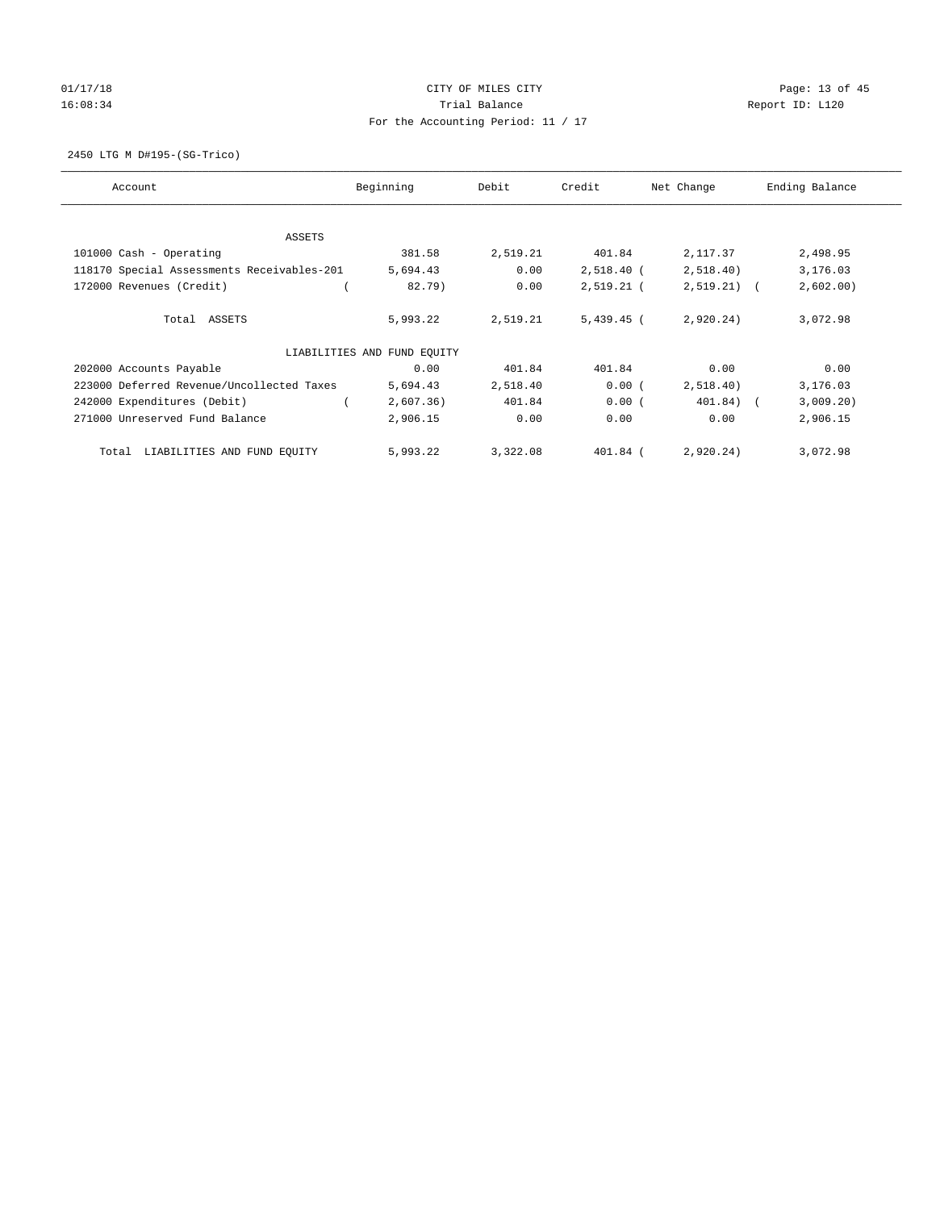# 01/17/18 Page: 13 of 45 16:08:34 Report ID: L120 For the Accounting Period: 11 / 17

2450 LTG M D#195-(SG-Trico)

| Account                                    | Beginning                   | Debit    | Credit       | Net Change   | Ending Balance |
|--------------------------------------------|-----------------------------|----------|--------------|--------------|----------------|
|                                            |                             |          |              |              |                |
| ASSETS                                     | 381.58                      | 2,519.21 | 401.84       | 2,117.37     | 2,498.95       |
| 101000 Cash - Operating                    |                             |          |              |              |                |
| 118170 Special Assessments Receivables-201 | 5,694.43                    | 0.00     | $2,518.40$ ( | 2,518.40)    | 3,176.03       |
| 172000 Revenues (Credit)                   | 82.79)                      | 0.00     | $2,519.21$ ( | $2,519.21$ ( | 2,602.00       |
| Total ASSETS                               | 5,993.22                    | 2,519.21 | $5,439.45$ ( | 2,920.24)    | 3,072.98       |
|                                            | LIABILITIES AND FUND EOUITY |          |              |              |                |
| 202000 Accounts Payable                    | 0.00                        | 401.84   | 401.84       | 0.00         | 0.00           |
| 223000 Deferred Revenue/Uncollected Taxes  | 5,694.43                    | 2,518.40 | 0.00(        | 2,518.40)    | 3,176.03       |
| 242000 Expenditures (Debit)                | 2,607.36)                   | 401.84   | 0.00(        | 401.84) (    | 3,009.20)      |
| 271000 Unreserved Fund Balance             | 2,906.15                    | 0.00     | 0.00         | 0.00         | 2,906.15       |
| LIABILITIES AND FUND EQUITY<br>Total       | 5,993.22                    | 3,322.08 | $401.84$ (   | 2,920.24)    | 3,072.98       |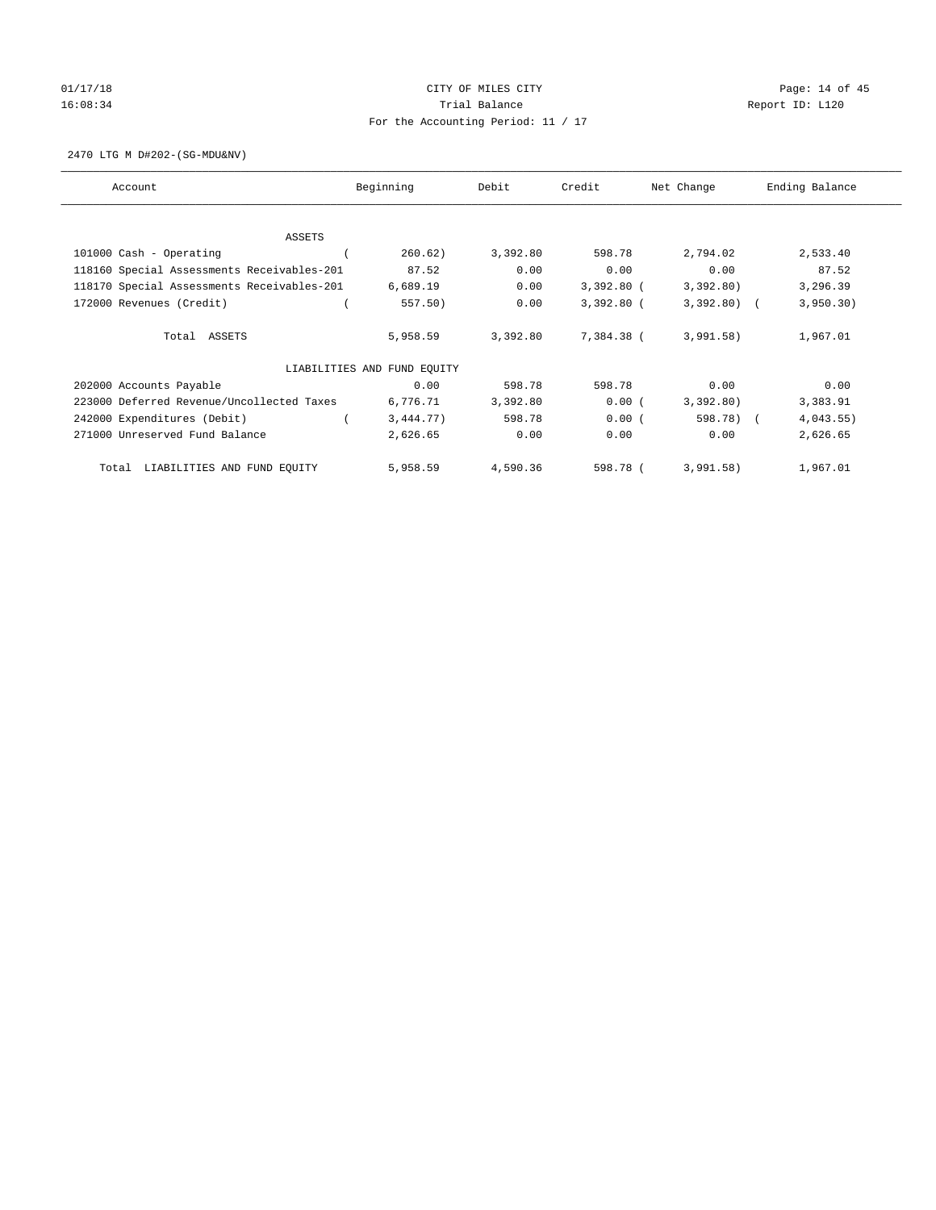# 01/17/18 Page: 14 of 45 16:08:34 Report ID: L120 For the Accounting Period: 11 / 17

2470 LTG M D#202-(SG-MDU&NV)

| Account                                    | Beginning                   | Debit    | Credit       | Net Change   | Ending Balance |
|--------------------------------------------|-----------------------------|----------|--------------|--------------|----------------|
|                                            |                             |          |              |              |                |
| ASSETS                                     |                             | 3,392.80 |              | 2,794.02     |                |
| 101000 Cash - Operating                    | 260.62)                     |          | 598.78       |              | 2,533.40       |
| 118160 Special Assessments Receivables-201 | 87.52                       | 0.00     | 0.00         | 0.00         | 87.52          |
| 118170 Special Assessments Receivables-201 | 6,689.19                    | 0.00     | $3,392.80$ ( | 3,392.80)    | 3,296.39       |
| 172000 Revenues (Credit)                   | 557.50)                     | 0.00     | $3,392.80$ ( | $3,392.80$ ( | 3,950.30)      |
| Total ASSETS                               | 5,958.59                    | 3,392.80 | 7,384.38 (   | 3,991.58)    | 1,967.01       |
|                                            | LIABILITIES AND FUND EQUITY |          |              |              |                |
| 202000 Accounts Payable                    | 0.00                        | 598.78   | 598.78       | 0.00         | 0.00           |
| 223000 Deferred Revenue/Uncollected Taxes  | 6,776.71                    | 3,392.80 | 0.00(        | 3,392.80)    | 3,383.91       |
| 242000 Expenditures (Debit)                | 3,444.77)                   | 598.78   | 0.00(        | 598.78)      | 4,043.55)      |
| 271000 Unreserved Fund Balance             | 2,626.65                    | 0.00     | 0.00         | 0.00         | 2,626.65       |
| LIABILITIES AND FUND EQUITY<br>Total       | 5,958.59                    | 4,590.36 | 598.78 (     | 3,991.58)    | 1,967.01       |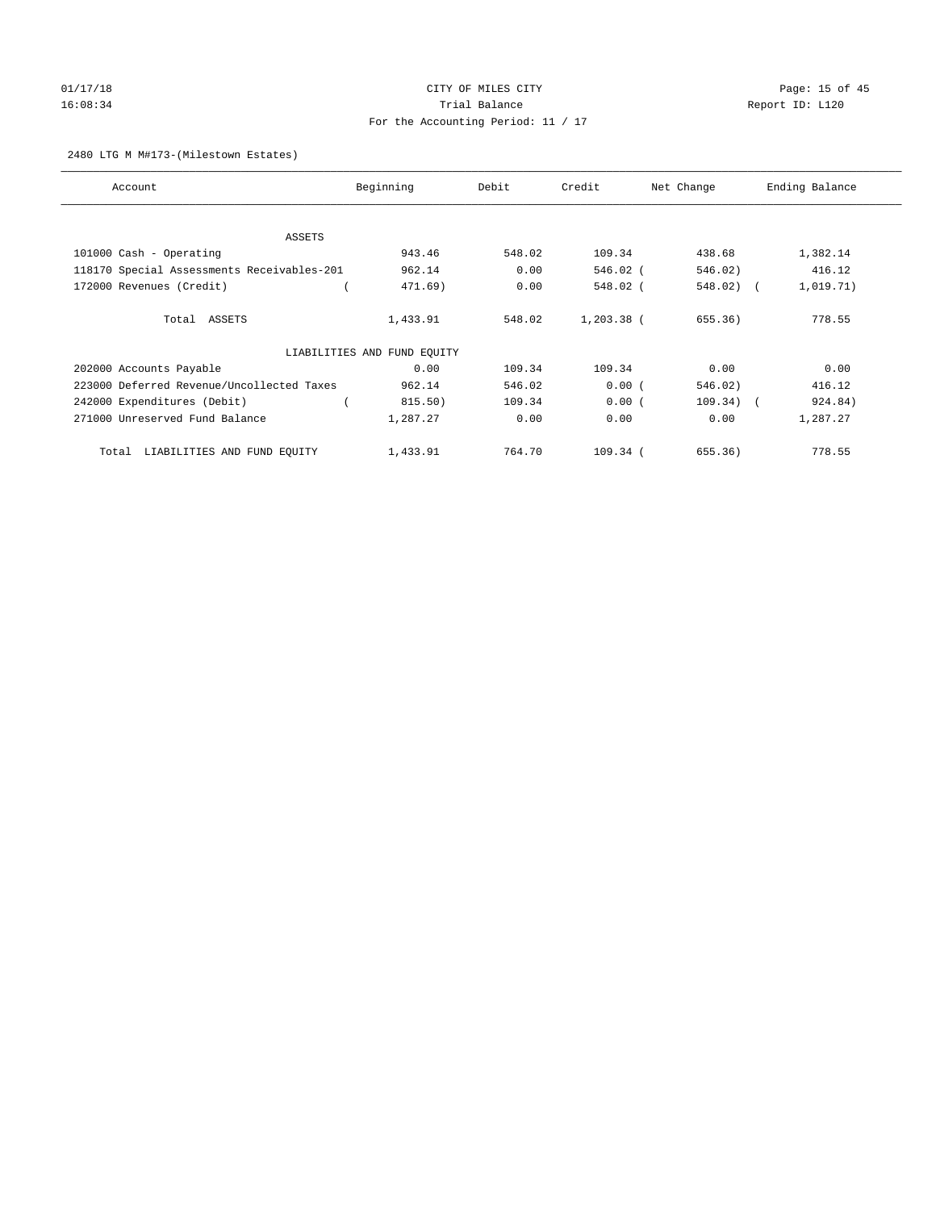# 01/17/18 Page: 15 of 45 16:08:34 Report ID: L120 For the Accounting Period: 11 / 17

#### 2480 LTG M M#173-(Milestown Estates)

| Account                                    | Beginning                   | Debit  | Credit       | Net Change  | Ending Balance |
|--------------------------------------------|-----------------------------|--------|--------------|-------------|----------------|
|                                            |                             |        |              |             |                |
| ASSETS                                     |                             |        |              |             |                |
| 101000 Cash - Operating                    | 943.46                      | 548.02 | 109.34       | 438.68      | 1,382.14       |
| 118170 Special Assessments Receivables-201 | 962.14                      | 0.00   | 546.02 (     | 546.02)     | 416.12         |
| 172000 Revenues (Credit)                   | 471.69)                     | 0.00   | $548.02$ (   | 548.02) (   | 1,019.71)      |
| Total ASSETS                               | 1,433.91                    | 548.02 | $1,203.38$ ( | 655.36)     | 778.55         |
|                                            | LIABILITIES AND FUND EQUITY |        |              |             |                |
| 202000 Accounts Payable                    | 0.00                        | 109.34 | 109.34       | 0.00        | 0.00           |
| 223000 Deferred Revenue/Uncollected Taxes  | 962.14                      | 546.02 | 0.00(        | 546.02)     | 416.12         |
| 242000 Expenditures (Debit)                | 815.50)                     | 109.34 | 0.00(        | $109.34)$ ( | 924.84)        |
| 271000 Unreserved Fund Balance             | 1,287.27                    | 0.00   | 0.00         | 0.00        | 1,287.27       |
| LIABILITIES AND FUND EQUITY<br>Total       | 1,433.91                    | 764.70 | $109.34$ (   | 655.36)     | 778.55         |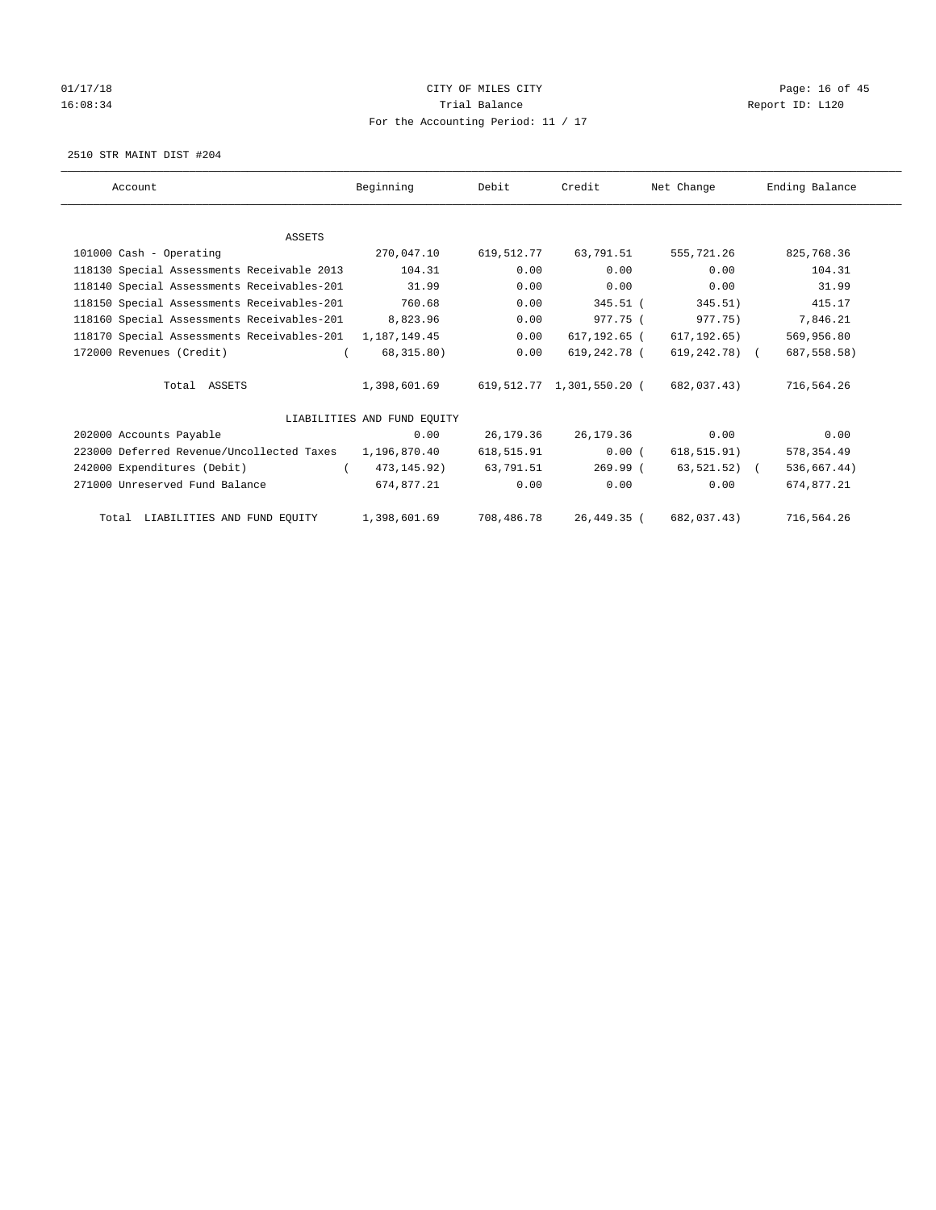# 01/17/18 Page: 16 of 45 16:08:34 Report ID: L120 For the Accounting Period: 11 / 17

2510 STR MAINT DIST #204

| Account                                                   | Beginning                   | Debit      | Credit                    | Net Change     | Ending Balance |
|-----------------------------------------------------------|-----------------------------|------------|---------------------------|----------------|----------------|
|                                                           |                             |            |                           |                |                |
| <b>ASSETS</b>                                             |                             |            |                           |                |                |
| 101000 Cash - Operating                                   | 270,047.10                  | 619,512.77 | 63,791.51                 | 555,721.26     | 825,768.36     |
| 118130 Special Assessments Receivable 2013                | 104.31                      | 0.00       | 0.00                      | 0.00           | 104.31         |
| 118140 Special Assessments Receivables-201                | 31.99                       | 0.00       | 0.00                      | 0.00           | 31.99          |
| 118150 Special Assessments Receivables-201                | 760.68                      | 0.00       | $345.51$ (                | 345.51)        | 415.17         |
| 118160 Special Assessments Receivables-201                | 8,823.96                    | 0.00       | 977.75 (                  | 977.75)        | 7,846.21       |
| 118170 Special Assessments Receivables-201 1, 187, 149.45 |                             | 0.00       | 617,192.65 (              | 617, 192.65)   | 569,956.80     |
| 172000 Revenues (Credit)                                  | 68,315.80)                  | 0.00       | 619,242.78 (              | 619,242.78) (  | 687, 558.58)   |
| Total ASSETS                                              | 1,398,601.69                |            | 619,512.77 1,301,550.20 ( | 682,037.43)    | 716,564.26     |
|                                                           | LIABILITIES AND FUND EQUITY |            |                           |                |                |
| 202000 Accounts Payable                                   | 0.00                        | 26,179.36  | 26,179.36                 | 0.00           | 0.00           |
| 223000 Deferred Revenue/Uncollected Taxes                 | 1,196,870.40                | 618,515.91 | 0.00(                     | 618, 515.91)   | 578, 354.49    |
| 242000 Expenditures (Debit)                               | 473,145.92)                 | 63,791.51  | $269.99$ (                | $63,521.52)$ ( | 536,667.44)    |
| 271000 Unreserved Fund Balance                            | 674,877.21                  | 0.00       | 0.00                      | 0.00           | 674,877.21     |
| Total LIABILITIES AND FUND EQUITY                         | 1,398,601.69                | 708,486.78 | 26,449.35 (               | 682,037.43)    | 716,564.26     |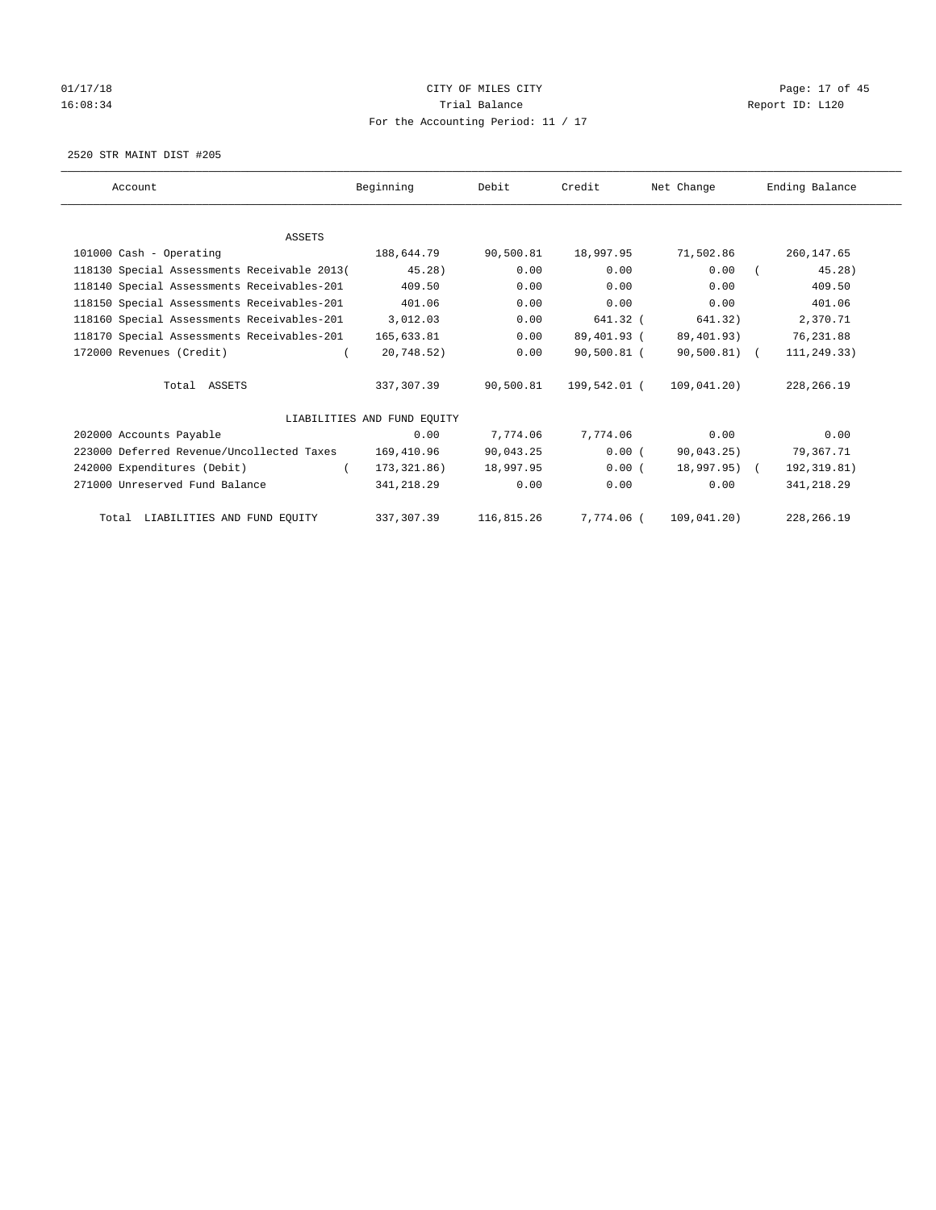# 01/17/18 Page: 17 of 45 16:08:34 Report ID: L120 For the Accounting Period: 11 / 17

2520 STR MAINT DIST #205

| Account                                     | Beginning                   | Debit      | Credit       | Net Change   | Ending Balance |
|---------------------------------------------|-----------------------------|------------|--------------|--------------|----------------|
|                                             |                             |            |              |              |                |
| <b>ASSETS</b>                               |                             |            |              |              |                |
| 101000 Cash - Operating                     | 188,644.79                  | 90,500.81  | 18,997.95    | 71,502.86    | 260,147.65     |
| 118130 Special Assessments Receivable 2013( | 45.28)                      | 0.00       | 0.00         | 0.00         | 45.28)         |
| 118140 Special Assessments Receivables-201  | 409.50                      | 0.00       | 0.00         | 0.00         | 409.50         |
| 118150 Special Assessments Receivables-201  | 401.06                      | 0.00       | 0.00         | 0.00         | 401.06         |
| 118160 Special Assessments Receivables-201  | 3,012.03                    | 0.00       | 641.32 (     | 641.32)      | 2,370.71       |
| 118170 Special Assessments Receivables-201  | 165,633.81                  | 0.00       | 89,401.93 (  | 89,401.93)   | 76,231.88      |
| 172000 Revenues (Credit)                    | 20,748.52)                  | 0.00       | 90,500.81 (  | 90,500.81) ( | 111,249.33)    |
| Total ASSETS                                | 337,307.39                  | 90,500.81  | 199,542.01 ( | 109,041.20)  | 228, 266.19    |
|                                             | LIABILITIES AND FUND EOUITY |            |              |              |                |
| 202000 Accounts Payable                     | 0.00                        | 7.774.06   | 7.774.06     | 0.00         | 0.00           |
| 223000 Deferred Revenue/Uncollected Taxes   | 169,410.96                  | 90,043.25  | 0.00(        | 90,043.25)   | 79,367.71      |
| 242000 Expenditures (Debit)                 | 173,321.86)                 | 18,997.95  | 0.00(        | 18,997.95) ( | 192,319.81)    |
| 271000 Unreserved Fund Balance              | 341,218.29                  | 0.00       | 0.00         | 0.00         | 341,218.29     |
| Total LIABILITIES AND FUND EQUITY           | 337, 307.39                 | 116,815.26 | 7,774.06 (   | 109,041.20)  | 228, 266.19    |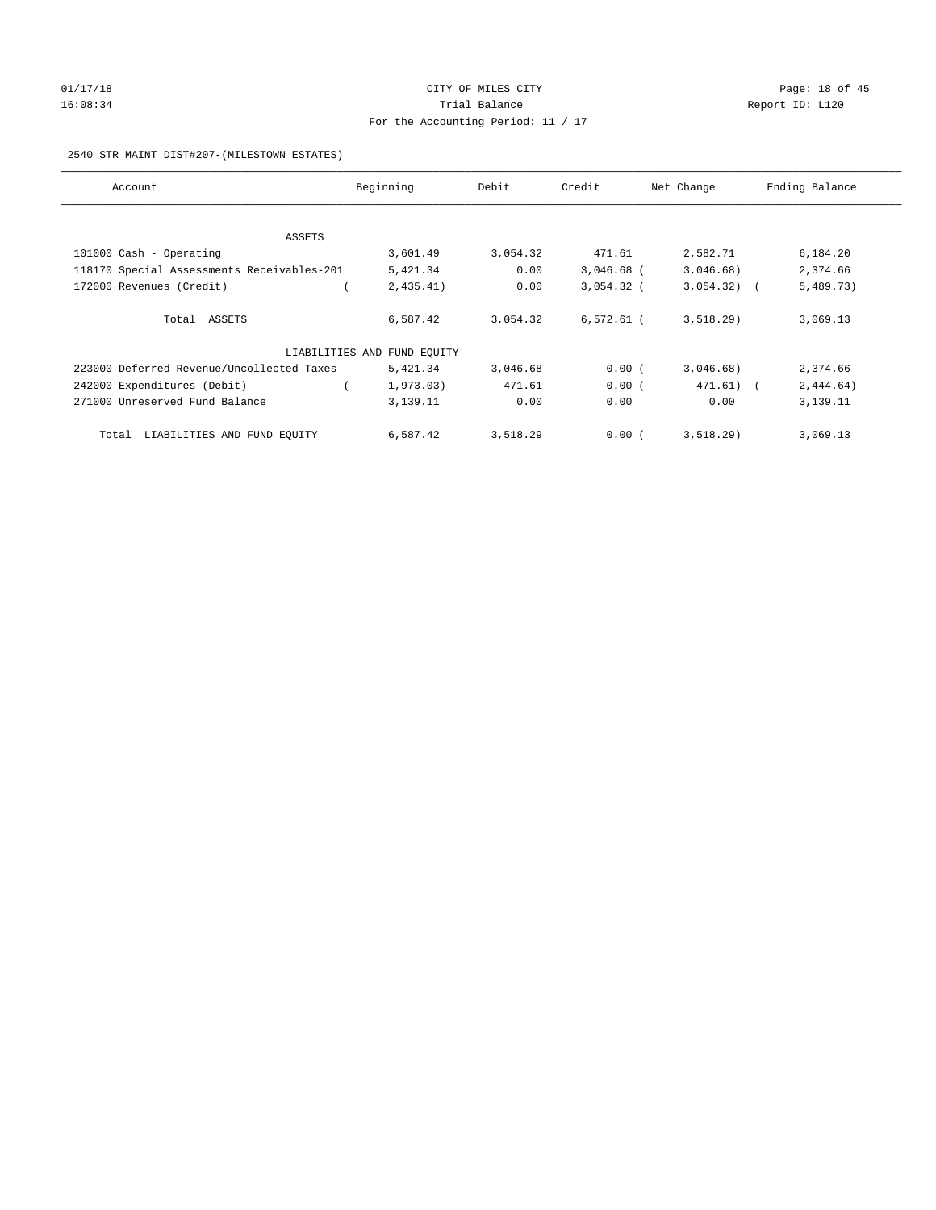# 01/17/18 Page: 18 of 45 16:08:34 Report ID: L120 For the Accounting Period: 11 / 17

#### 2540 STR MAINT DIST#207-(MILESTOWN ESTATES)

| Account                                    | Beginning                   | Debit    | Credit       | Net Change   | Ending Balance |
|--------------------------------------------|-----------------------------|----------|--------------|--------------|----------------|
|                                            |                             |          |              |              |                |
| ASSETS                                     |                             |          |              |              |                |
| 101000 Cash - Operating                    | 3,601.49                    | 3,054.32 | 471.61       | 2,582.71     | 6,184.20       |
| 118170 Special Assessments Receivables-201 | 5,421.34                    | 0.00     | $3,046.68$ ( | 3,046.68)    | 2,374.66       |
| 172000 Revenues (Credit)                   | 2,435.41)                   | 0.00     | $3,054.32$ ( | $3,054.32$ ( | 5,489.73)      |
|                                            |                             |          |              |              |                |
| Total ASSETS                               | 6,587.42                    | 3,054.32 | $6,572.61$ ( | 3,518.29     | 3,069.13       |
|                                            | LIABILITIES AND FUND EQUITY |          |              |              |                |
|                                            |                             |          |              |              |                |
| 223000 Deferred Revenue/Uncollected Taxes  | 5,421.34                    | 3,046.68 | 0.00(        | 3,046.68)    | 2,374.66       |
| 242000 Expenditures (Debit)                | 1,973.03)                   | 471.61   | 0.00(        | $471.61$ (   | 2,444.64)      |
| 271000 Unreserved Fund Balance             | 3,139.11                    | 0.00     | 0.00         | 0.00         | 3,139.11       |
|                                            |                             |          |              |              |                |
| LIABILITIES AND FUND EQUITY<br>Total       | 6,587.42                    | 3,518.29 | 0.00(        | 3,518.29)    | 3,069.13       |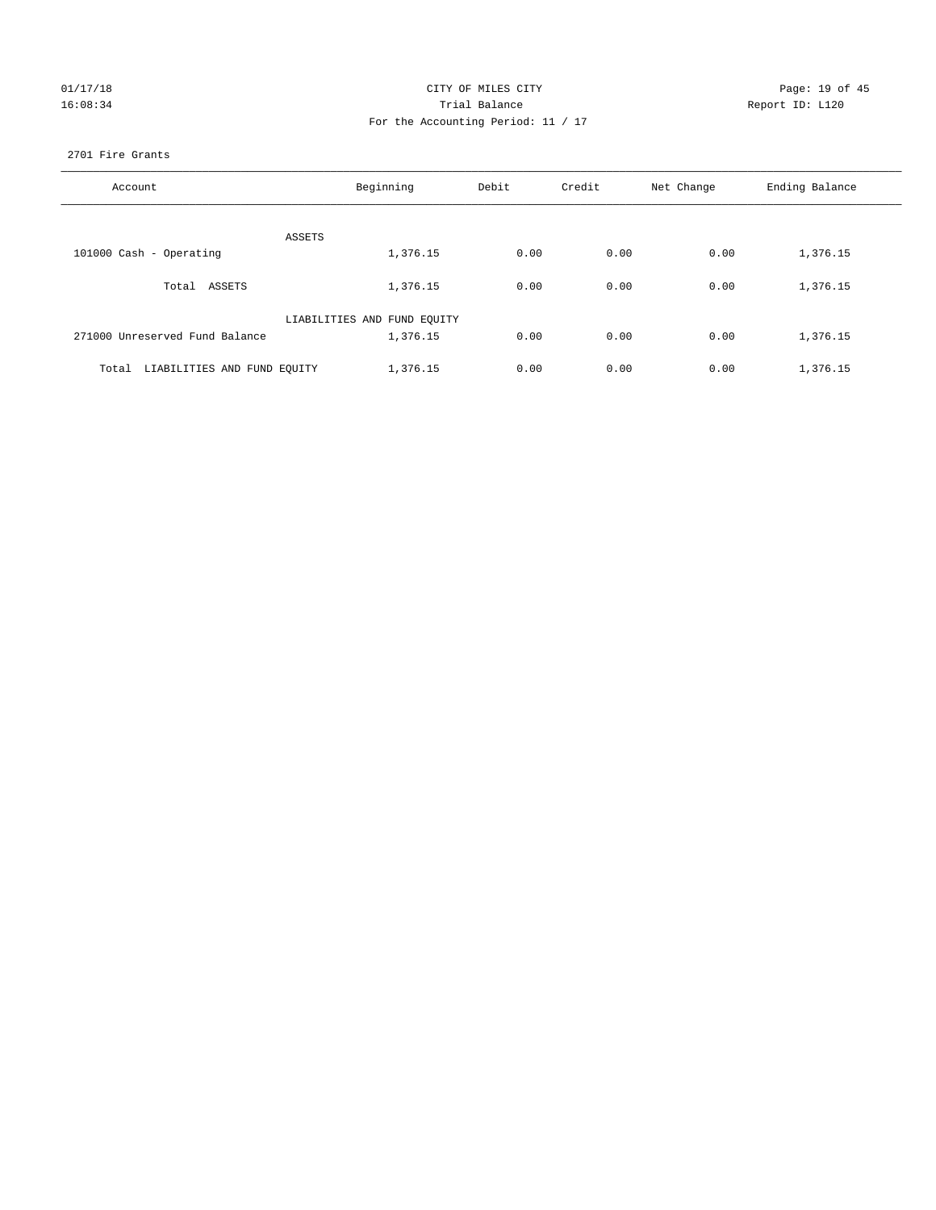| 01/17/18 |  |
|----------|--|
| 16:08:34 |  |

#### CITY OF MILES CITY CONTROL CONTROL CITY CONTROL Page: 19 of 45 16:08:34 Report ID: L120 For the Accounting Period: 11 / 17

#### 2701 Fire Grants

| Account                              | Beginning                   | Debit | Credit | Net Change | Ending Balance |
|--------------------------------------|-----------------------------|-------|--------|------------|----------------|
|                                      |                             |       |        |            |                |
| ASSETS                               |                             |       |        |            |                |
| 101000 Cash - Operating              | 1,376.15                    | 0.00  | 0.00   | 0.00       | 1,376.15       |
| Total ASSETS                         | 1,376.15                    | 0.00  | 0.00   | 0.00       | 1,376.15       |
|                                      | LIABILITIES AND FUND EQUITY |       |        |            |                |
| 271000 Unreserved Fund Balance       | 1,376.15                    | 0.00  | 0.00   | 0.00       | 1,376.15       |
| LIABILITIES AND FUND EQUITY<br>Total | 1,376.15                    | 0.00  | 0.00   | 0.00       | 1,376.15       |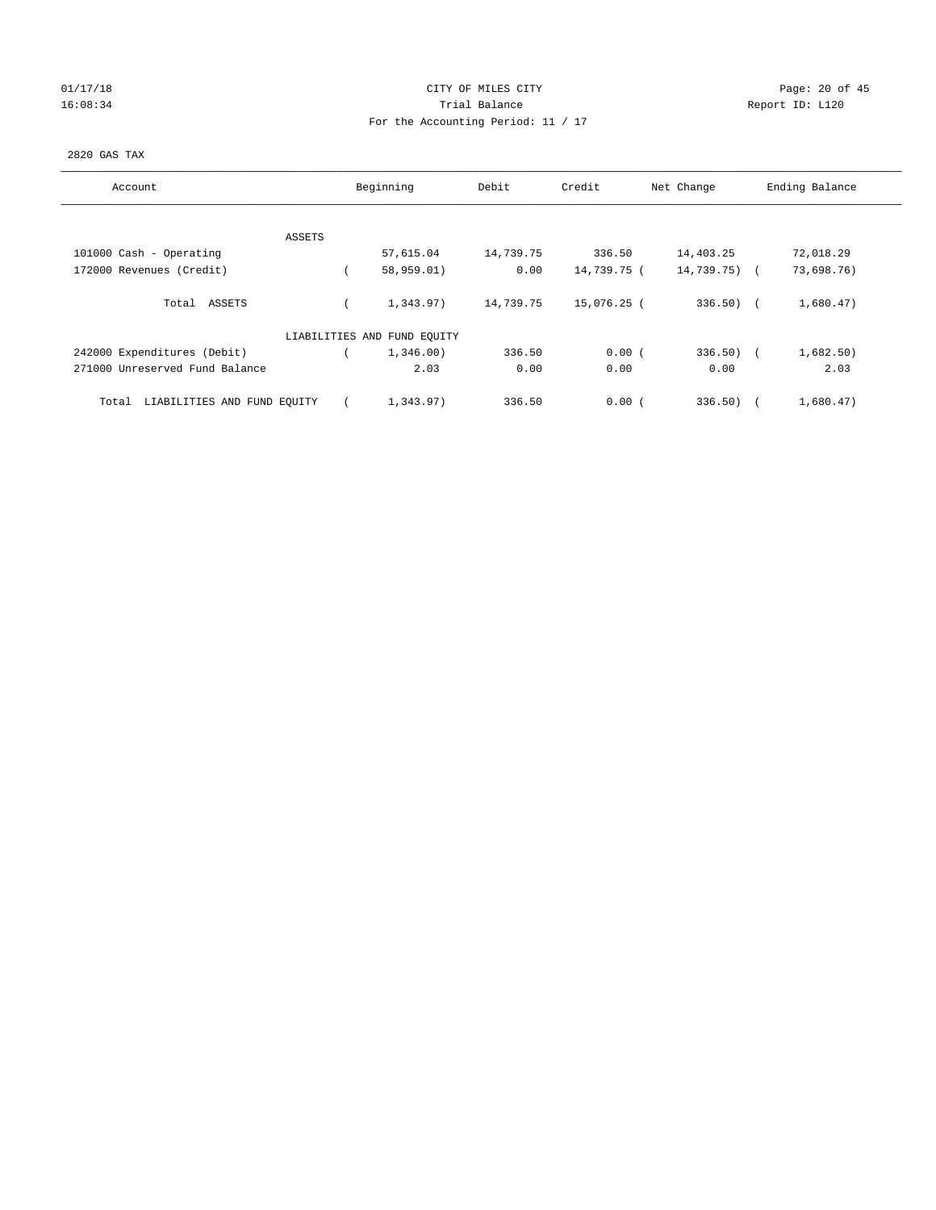## 01/17/18 Page: 20 of 45 16:08:34 Report ID: L120 For the Accounting Period: 11 / 17

#### 2820 GAS TAX

| Account                              |        | Beginning                   | Debit     | Credit      | Net Change      | Ending Balance |
|--------------------------------------|--------|-----------------------------|-----------|-------------|-----------------|----------------|
|                                      | ASSETS |                             |           |             |                 |                |
| 101000 Cash - Operating              |        | 57,615.04                   | 14,739.75 | 336.50      | 14,403.25       | 72,018.29      |
| 172000 Revenues (Credit)             |        | 58,959.01)                  | 0.00      | 14,739.75 ( | $14,739.75$ ) ( | 73,698.76)     |
| Total ASSETS                         |        | 1,343.97)                   | 14,739.75 | 15,076.25 ( | $336.50$ (      | 1,680.47)      |
|                                      |        | LIABILITIES AND FUND EQUITY |           |             |                 |                |
| 242000 Expenditures (Debit)          |        | 1,346.00)                   | 336.50    | 0.00(       | $336.50$ (      | 1,682.50)      |
| 271000 Unreserved Fund Balance       |        | 2.03                        | 0.00      | 0.00        | 0.00            | 2.03           |
| LIABILITIES AND FUND EQUITY<br>Total |        | 1,343.97)                   | 336.50    | 0.00(       | 336.50)         | 1,680.47)      |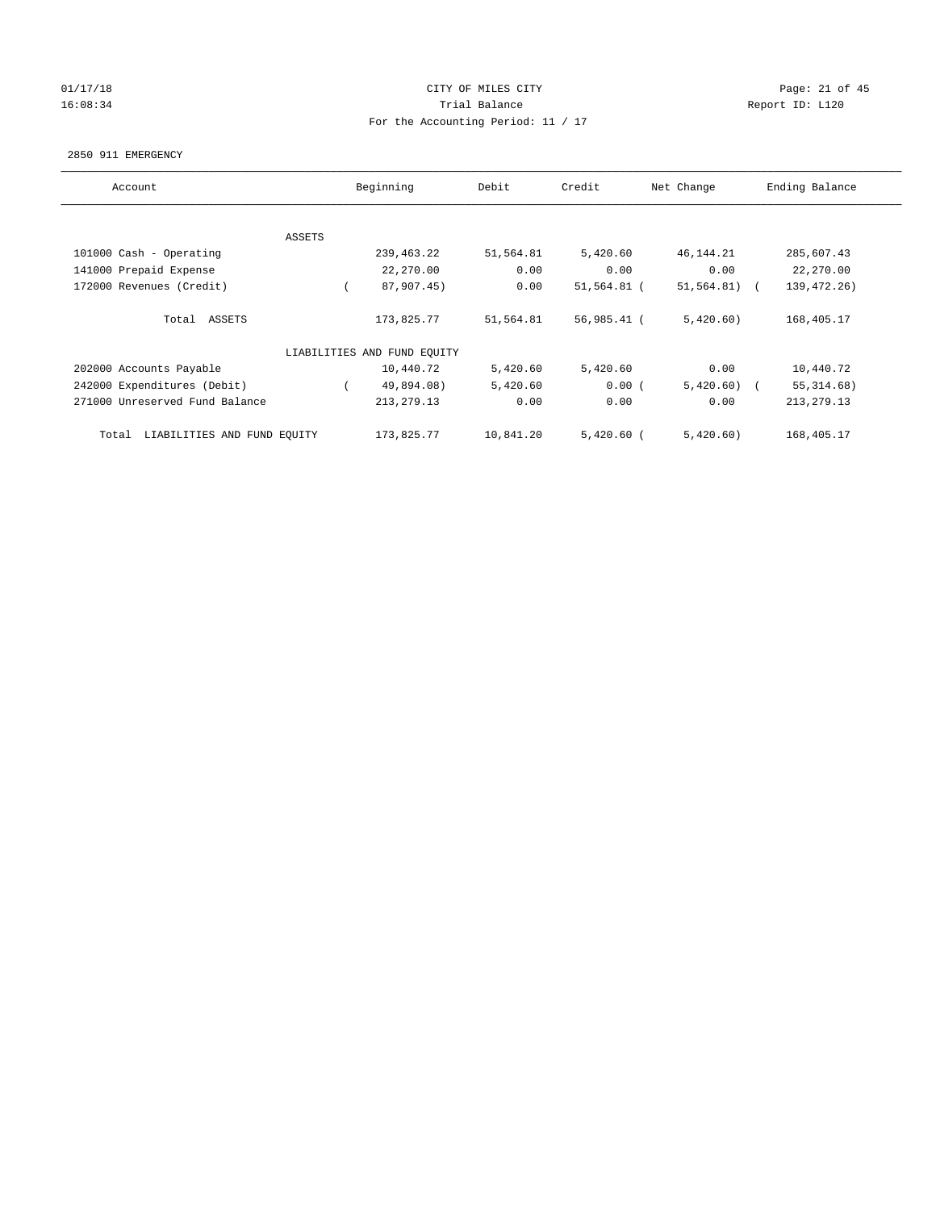## $CITY$  OF MILES  $CITY$  and the contract of  $P_0$  and  $CITY$  and  $P_1$  and  $P_2$  and  $P_3$  and  $P_4$  and  $P_5$  and  $P_6$  and  $P_7$  and  $P_8$  and  $P_7$  and  $P_8$  and  $P_9$  and  $P_9$  and  $P_9$  and  $P_9$  and  $P_9$  and  $P_9$  and  $P_$ 16:08:34 Report ID: L120 For the Accounting Period: 11 / 17

#### 2850 911 EMERGENCY

| Account                              | Beginning     |                             | Debit     | Credit       | Net Change   | Ending Balance |
|--------------------------------------|---------------|-----------------------------|-----------|--------------|--------------|----------------|
|                                      |               |                             |           |              |              |                |
|                                      | <b>ASSETS</b> |                             |           |              |              |                |
| 101000 Cash - Operating              |               | 239,463.22                  | 51,564.81 | 5,420.60     | 46,144.21    | 285,607.43     |
| 141000 Prepaid Expense               |               | 22,270.00                   | 0.00      | 0.00         | 0.00         | 22,270.00      |
| 172000 Revenues (Credit)             |               | 87,907.45)                  | 0.00      | 51,564.81 (  | 51, 564.81)  | 139, 472. 26)  |
|                                      |               |                             |           |              |              |                |
| Total ASSETS                         |               | 173,825.77                  | 51,564.81 | 56,985.41 (  | 5,420.60)    | 168,405.17     |
|                                      |               |                             |           |              |              |                |
|                                      |               | LIABILITIES AND FUND EQUITY |           |              |              |                |
| 202000 Accounts Payable              |               | 10,440.72                   | 5,420.60  | 5,420.60     | 0.00         | 10,440.72      |
| 242000 Expenditures (Debit)          |               | 49,894.08)                  | 5,420.60  | 0.00(        | $5,420.60$ ( | 55, 314.68)    |
| 271000 Unreserved Fund Balance       |               | 213, 279. 13                | 0.00      | 0.00         | 0.00         | 213, 279.13    |
|                                      |               |                             |           |              |              |                |
| LIABILITIES AND FUND EQUITY<br>Total |               | 173,825.77                  | 10,841.20 | $5,420.60$ ( | 5,420.60)    | 168,405.17     |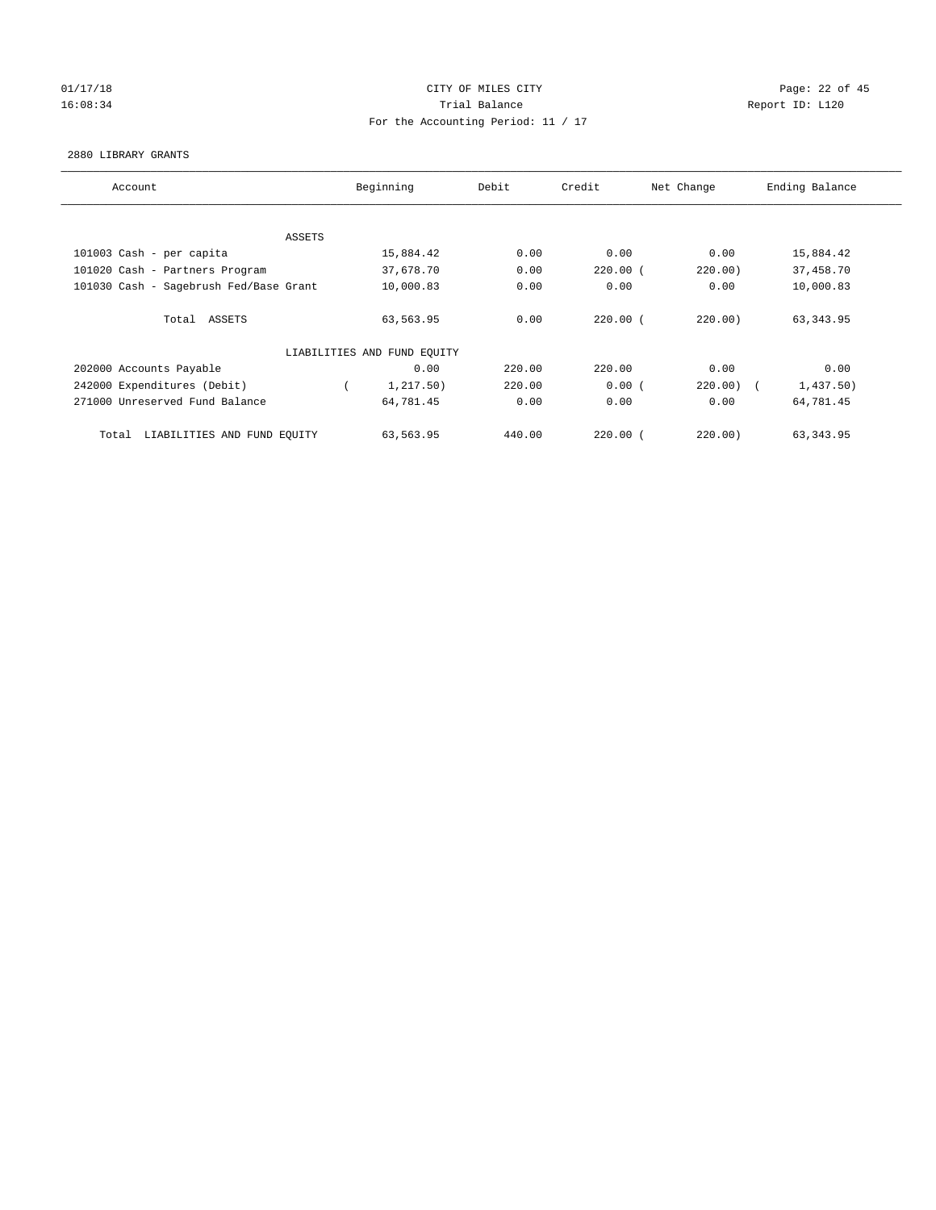# 01/17/18 Page: 22 of 45 16:08:34 Trial Balance Report ID: L120 For the Accounting Period: 11 / 17

#### 2880 LIBRARY GRANTS

| Account                                |        | Beginning                   | Debit  | Credit       | Net Change | Ending Balance |
|----------------------------------------|--------|-----------------------------|--------|--------------|------------|----------------|
|                                        |        |                             |        |              |            |                |
|                                        | ASSETS |                             |        |              |            |                |
| 101003 Cash - per capita               |        | 15,884.42                   | 0.00   | 0.00         | 0.00       | 15,884.42      |
| 101020 Cash - Partners Program         |        | 37,678.70                   | 0.00   | $220.00$ (   | 220.00)    | 37,458.70      |
| 101030 Cash - Sagebrush Fed/Base Grant |        | 10,000.83                   | 0.00   | 0.00         | 0.00       | 10,000.83      |
|                                        |        |                             |        |              |            |                |
| Total ASSETS                           |        | 63,563.95                   | 0.00   | $220.00$ (   | 220.00)    | 63, 343.95     |
|                                        |        |                             |        |              |            |                |
|                                        |        | LIABILITIES AND FUND EQUITY |        |              |            |                |
| 202000 Accounts Payable                |        | 0.00                        | 220.00 | 220.00       | 0.00       | 0.00           |
| 242000 Expenditures (Debit)            |        | 1,217.50)                   | 220.00 | 0.00(        | 220.00)    | 1,437.50)      |
| 271000 Unreserved Fund Balance         |        | 64,781.45                   | 0.00   | 0.00         | 0.00       | 64,781.45      |
|                                        |        |                             |        |              |            |                |
| LIABILITIES AND FUND EQUITY<br>Total   |        | 63,563.95                   | 440.00 | $220.00$ $($ | 220.00     | 63, 343.95     |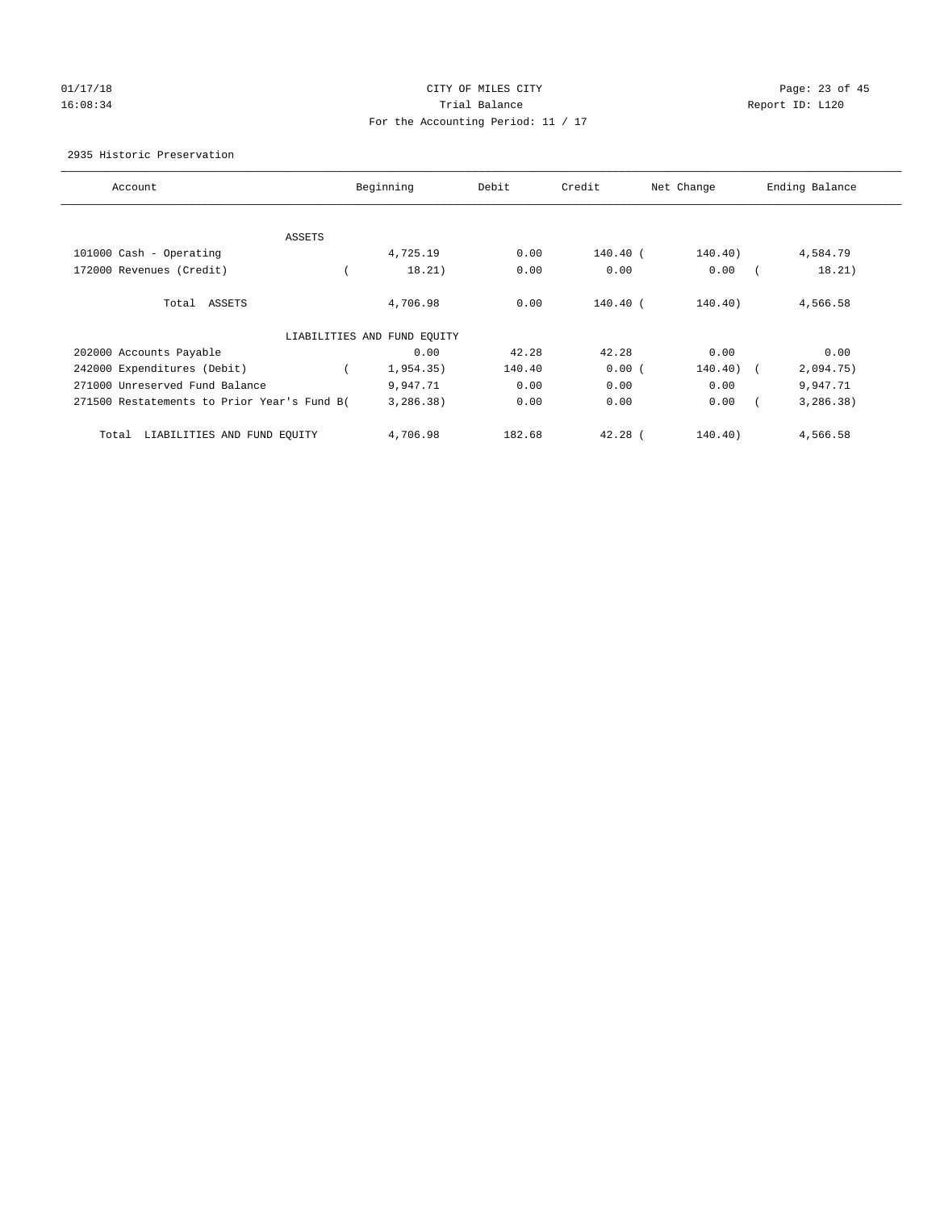## 01/17/18 Page: 23 of 45 16:08:34 Report ID: L120 For the Accounting Period: 11 / 17

#### 2935 Historic Preservation

| Account                                     | Beginning                   | Debit  | Credit     | Net Change | Ending Balance |
|---------------------------------------------|-----------------------------|--------|------------|------------|----------------|
|                                             |                             |        |            |            |                |
| ASSETS                                      |                             |        |            |            |                |
| 101000 Cash - Operating                     | 4,725.19                    | 0.00   | $140.40$ ( | 140.40)    | 4,584.79       |
| 172000 Revenues (Credit)                    | 18.21)                      | 0.00   | 0.00       | 0.00       | 18.21)         |
| Total ASSETS                                | 4,706.98                    | 0.00   | $140.40$ ( | 140.40)    | 4,566.58       |
|                                             | LIABILITIES AND FUND EQUITY |        |            |            |                |
| 202000 Accounts Payable                     | 0.00                        | 42.28  | 42.28      | 0.00       | 0.00           |
| 242000 Expenditures (Debit)                 | 1,954.35)                   | 140.40 | 0.00(      | 140.40)    | 2,094.75)      |
| 271000 Unreserved Fund Balance              | 9,947.71                    | 0.00   | 0.00       | 0.00       | 9,947.71       |
| 271500 Restatements to Prior Year's Fund B( | 3,286.38)                   | 0.00   | 0.00       | 0.00       | 3, 286.38)     |
| LIABILITIES AND FUND EQUITY<br>Total        | 4,706.98                    | 182.68 | $42.28$ (  | 140.40)    | 4,566.58       |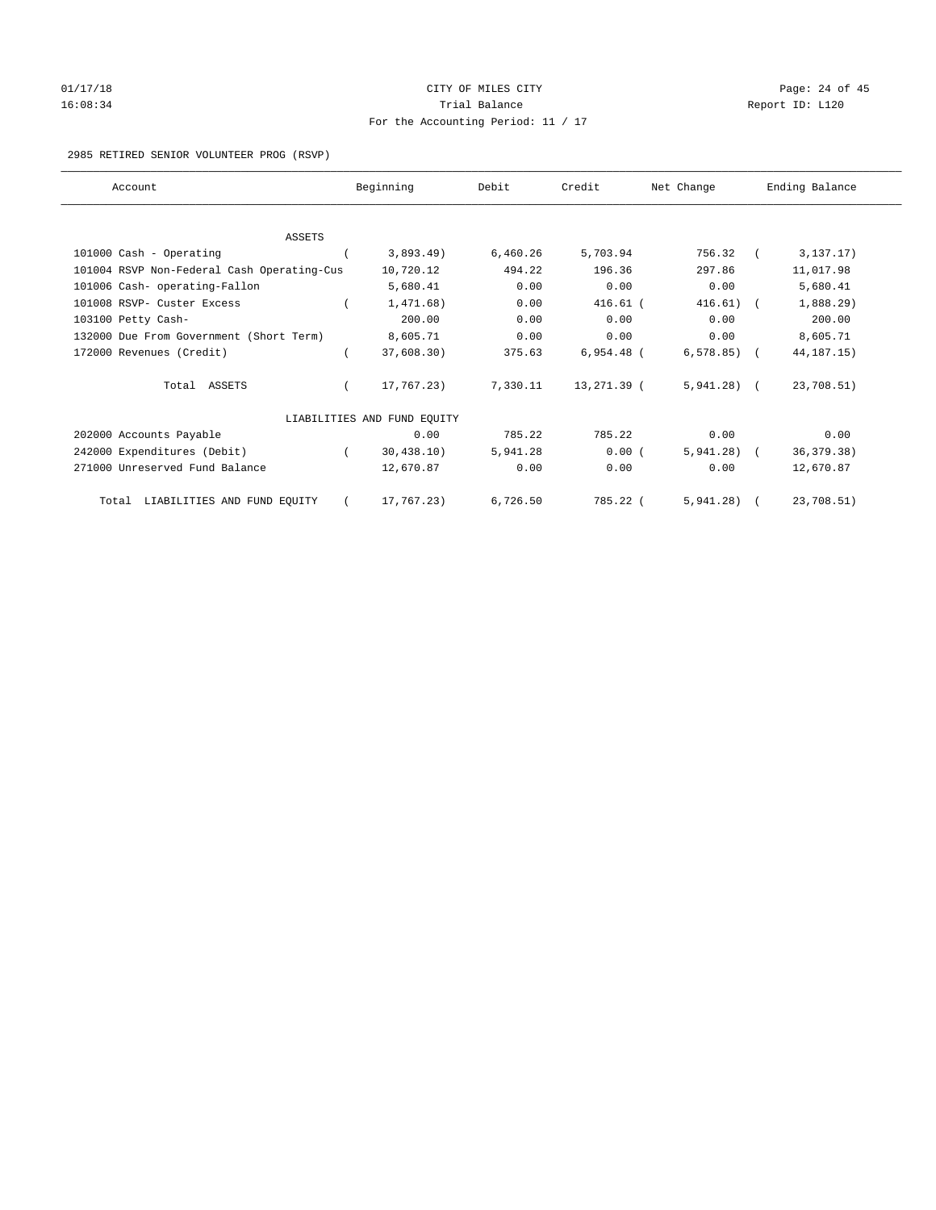# 01/17/18 Page: 24 of 45 16:08:34 Report ID: L120 For the Accounting Period: 11 / 17

#### 2985 RETIRED SENIOR VOLUNTEER PROG (RSVP)

| Account                                    | Beginning                   | Debit    | Credit       | Net Change   | Ending Balance |
|--------------------------------------------|-----------------------------|----------|--------------|--------------|----------------|
|                                            |                             |          |              |              |                |
| <b>ASSETS</b>                              |                             |          |              |              |                |
| 101000 Cash - Operating                    | 3,893.49)                   | 6,460.26 | 5,703.94     | 756.32       | 3, 137.17)     |
| 101004 RSVP Non-Federal Cash Operating-Cus | 10,720.12                   | 494.22   | 196.36       | 297.86       | 11,017.98      |
| 101006 Cash- operating-Fallon              | 5,680.41                    | 0.00     | 0.00         | 0.00         | 5,680.41       |
| 101008 RSVP- Custer Excess                 | 1,471.68)                   | 0.00     | $416.61$ (   | 416.61)      | 1,888.29)      |
| 103100 Petty Cash-                         | 200.00                      | 0.00     | 0.00         | 0.00         | 200.00         |
| 132000 Due From Government (Short Term)    | 8,605.71                    | 0.00     | 0.00         | 0.00         | 8,605.71       |
| 172000 Revenues (Credit)                   | 37,608.30)                  | 375.63   | $6,954.48$ ( | $6,578.85$ ( | 44, 187. 15)   |
| Total ASSETS                               | 17,767.23)                  | 7,330.11 | 13,271.39 (  | $5,941.28$ ( | 23,708.51)     |
|                                            | LIABILITIES AND FUND EQUITY |          |              |              |                |
| 202000 Accounts Payable                    | 0.00                        | 785.22   | 785.22       | 0.00         | 0.00           |
| 242000 Expenditures (Debit)                | 30,438.10)                  | 5,941.28 | 0.00(        | $5,941.28$ ( | 36, 379. 38)   |
| 271000 Unreserved Fund Balance             | 12,670.87                   | 0.00     | 0.00         | 0.00         | 12,670.87      |
| Total LIABILITIES AND FUND EQUITY          | 17,767.23)                  | 6,726.50 | 785.22 (     | $5,941.28$ ( | 23,708.51)     |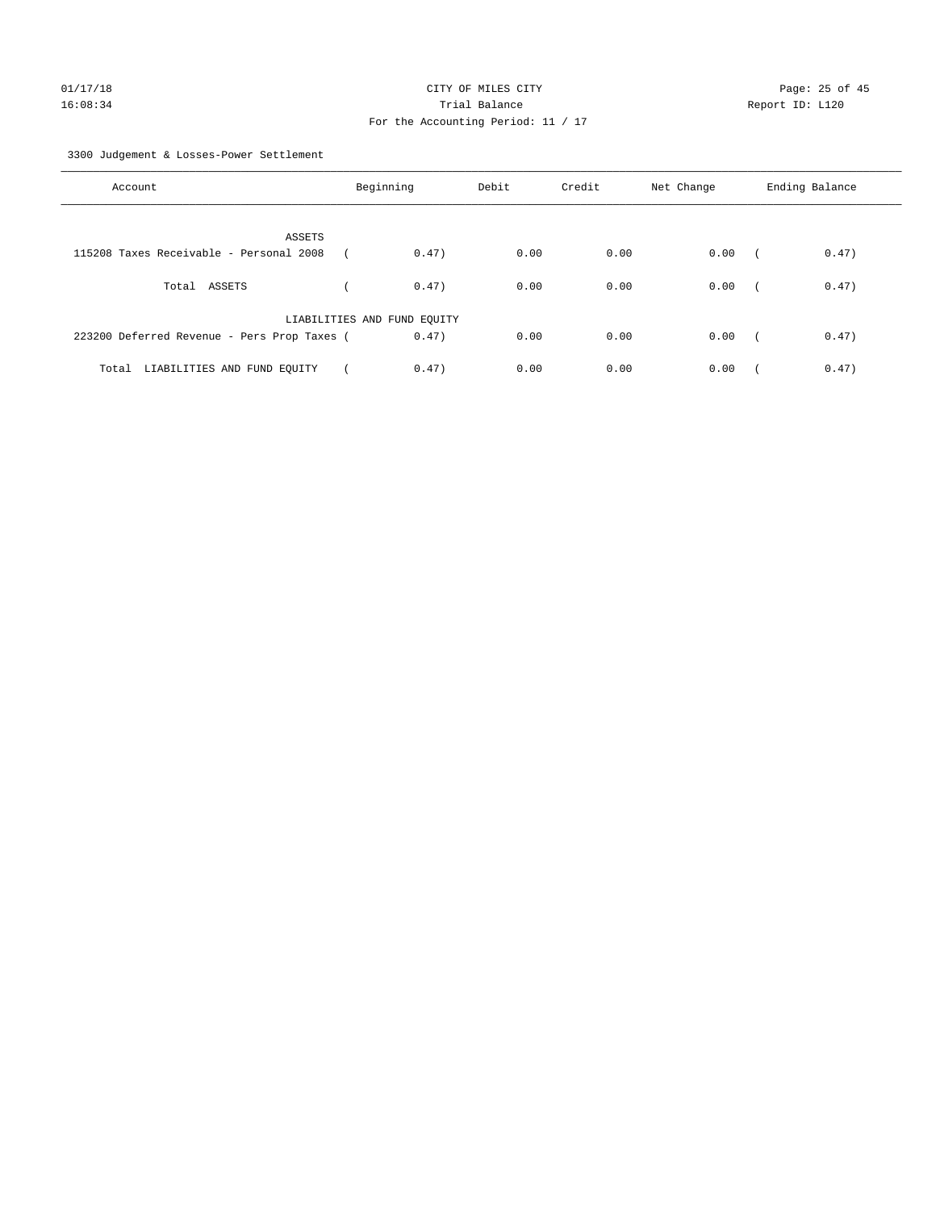3300 Judgement & Losses-Power Settlement

| Account                                     | Beginning                   |       | Debit | Credit | Net Change | Ending Balance |       |
|---------------------------------------------|-----------------------------|-------|-------|--------|------------|----------------|-------|
| ASSETS                                      |                             |       |       |        |            |                |       |
| 115208 Taxes Receivable - Personal 2008     |                             | 0.47) | 0.00  | 0.00   | 0.00       |                | 0.47) |
| Total ASSETS                                |                             | 0.47) | 0.00  | 0.00   | 0.00       | $\sqrt{2}$     | 0.47) |
|                                             | LIABILITIES AND FUND EQUITY |       |       |        |            |                |       |
| 223200 Deferred Revenue - Pers Prop Taxes ( |                             | 0.47) | 0.00  | 0.00   | 0.00       | $\sqrt{2}$     | 0.47) |
| Total LIABILITIES AND FUND EOUITY           |                             | 0.47) | 0.00  | 0.00   | 0.00       |                | 0.47) |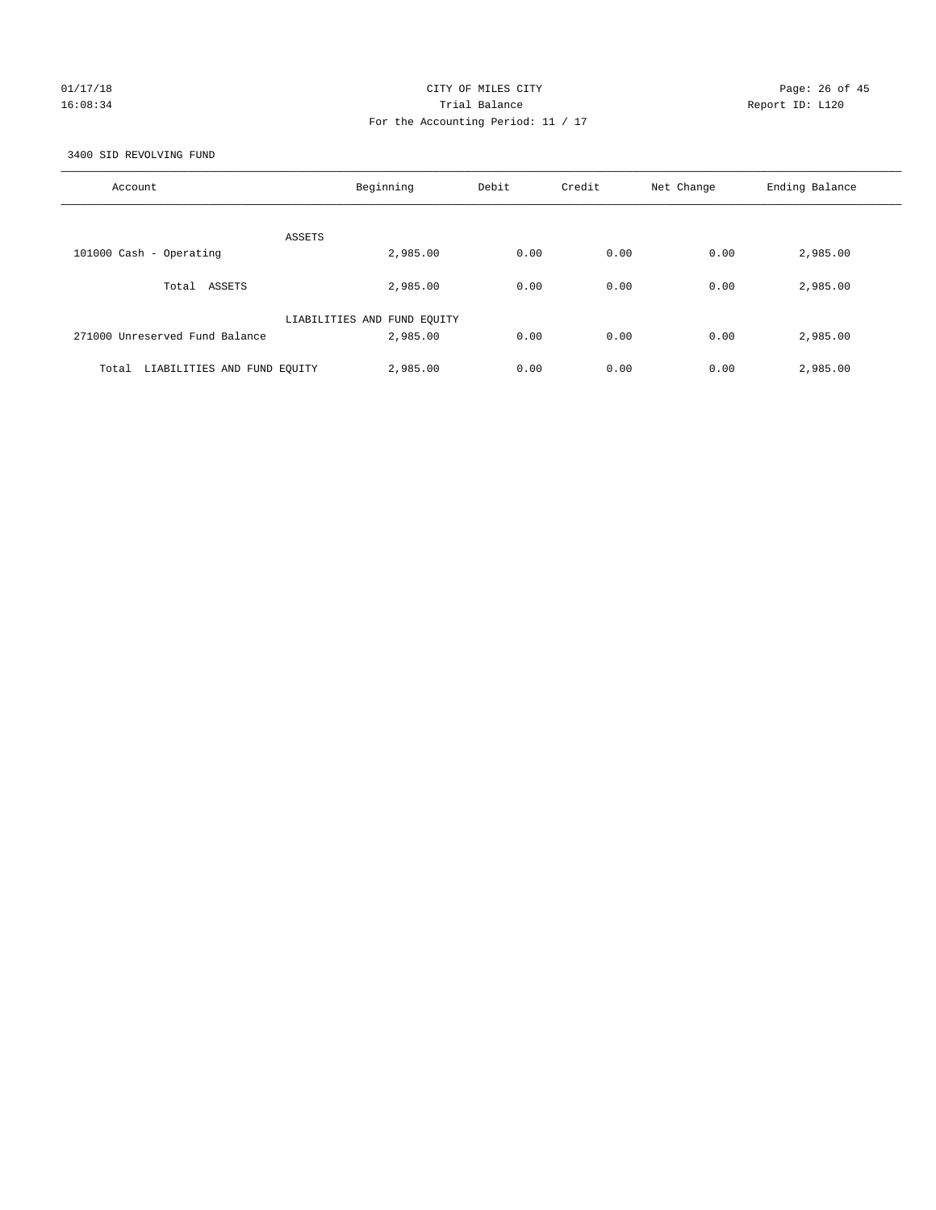## 01/17/18 Page: 26 of 45 16:08:34 Trial Balance Report ID: L120 For the Accounting Period: 11 / 17

3400 SID REVOLVING FUND

| Account                              | Beginning                   | Debit | Credit | Net Change | Ending Balance |
|--------------------------------------|-----------------------------|-------|--------|------------|----------------|
| ASSETS                               |                             |       |        |            |                |
| 101000 Cash - Operating              | 2,985.00                    | 0.00  | 0.00   | 0.00       | 2,985.00       |
| ASSETS<br>Total                      | 2,985.00                    | 0.00  | 0.00   | 0.00       | 2,985.00       |
|                                      | LIABILITIES AND FUND EQUITY |       |        |            |                |
| 271000 Unreserved Fund Balance       | 2,985.00                    | 0.00  | 0.00   | 0.00       | 2,985.00       |
| LIABILITIES AND FUND EQUITY<br>Total | 2,985.00                    | 0.00  | 0.00   | 0.00       | 2,985.00       |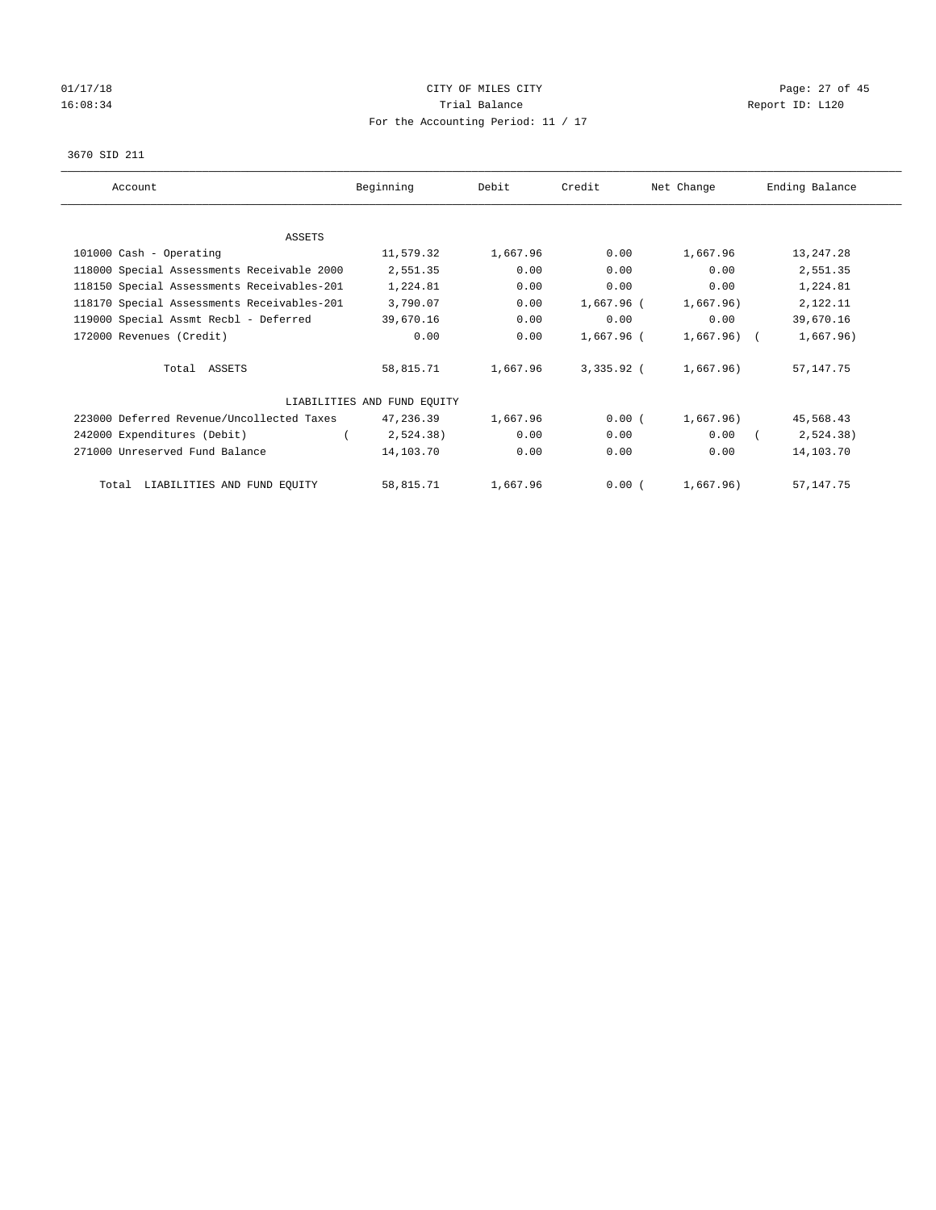# 01/17/18 Page: 27 of 45 16:08:34 Report ID: L120 For the Accounting Period: 11 / 17

#### 3670 SID 211

| Account                                    | Beginning                   | Debit    | Credit     | Net Change   | Ending Balance |  |
|--------------------------------------------|-----------------------------|----------|------------|--------------|----------------|--|
| ASSETS                                     |                             |          |            |              |                |  |
| 101000 Cash - Operating                    | 11,579.32                   | 1,667.96 | 0.00       | 1,667.96     | 13, 247. 28    |  |
| 118000 Special Assessments Receivable 2000 | 2,551.35                    | 0.00     | 0.00       | 0.00         | 2,551.35       |  |
| 118150 Special Assessments Receivables-201 | 1,224.81                    | 0.00     | 0.00       | 0.00         | 1,224.81       |  |
| 118170 Special Assessments Receivables-201 | 3,790.07                    | 0.00     | 1,667.96 ( | 1,667.96)    | 2,122.11       |  |
| 119000 Special Assmt Recbl - Deferred      | 39,670.16                   | 0.00     | 0.00       | 0.00         | 39,670.16      |  |
| 172000 Revenues (Credit)                   | 0.00                        | 0.00     | 1,667.96 ( | $1,667.96$ ( | 1,667.96)      |  |
| Total ASSETS                               | 58,815.71                   | 1,667.96 | 3,335.92 ( | 1,667.96)    | 57, 147. 75    |  |
|                                            | LIABILITIES AND FUND EQUITY |          |            |              |                |  |
| 223000 Deferred Revenue/Uncollected Taxes  | 47,236.39                   | 1,667.96 | 0.00(      | 1,667.96)    | 45,568.43      |  |
| 242000 Expenditures (Debit)                | 2,524.38)                   | 0.00     | 0.00       | 0.00         | 2,524.38)      |  |
| 271000 Unreserved Fund Balance             | 14,103.70                   | 0.00     | 0.00       | 0.00         | 14,103.70      |  |
| Total LIABILITIES AND FUND EQUITY          | 58,815.71                   | 1,667.96 | 0.00(      | 1,667.96)    | 57, 147. 75    |  |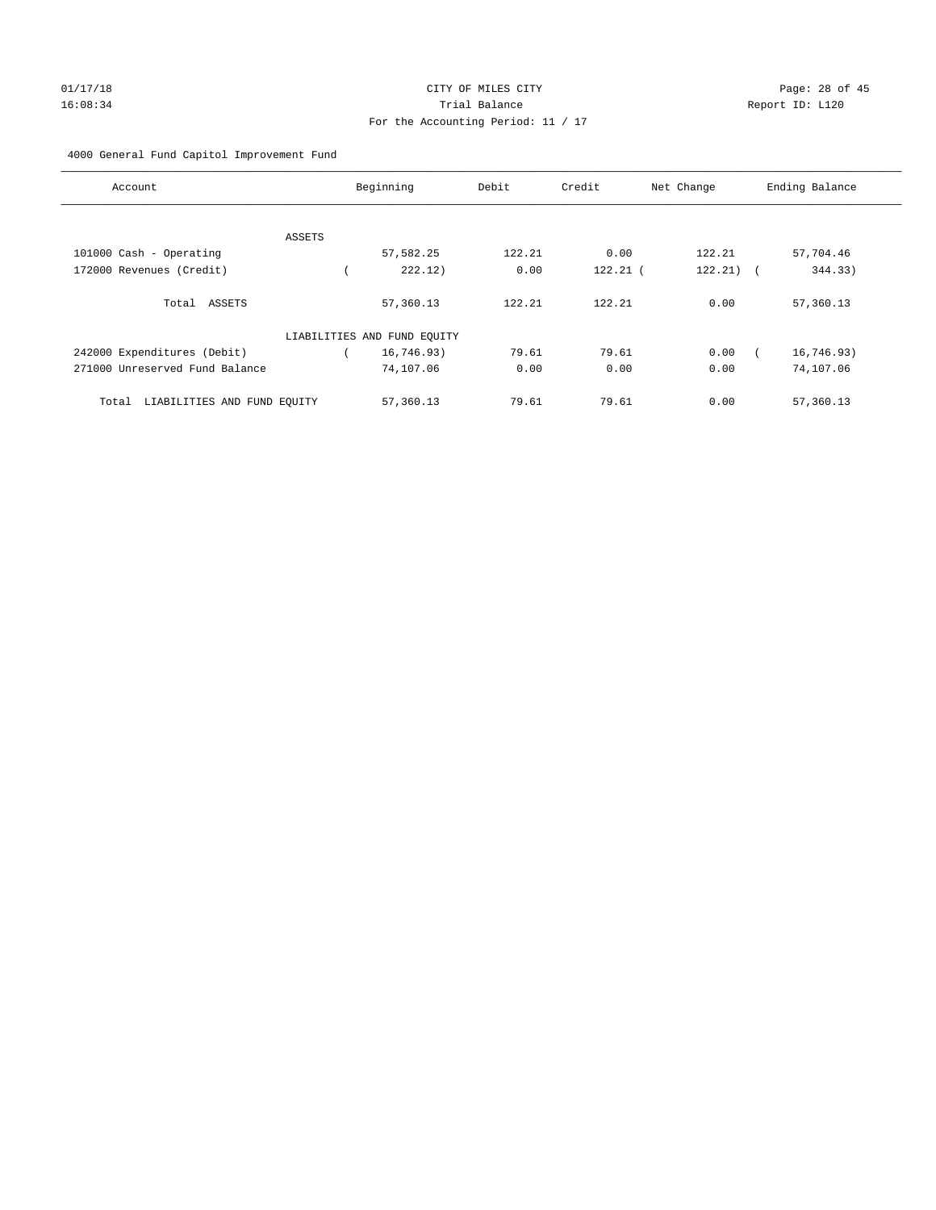# 01/17/18 Page: 28 of 45 16:08:34 Trial Balance Report ID: L120 For the Accounting Period: 11 / 17

#### 4000 General Fund Capitol Improvement Fund

| Account                              | Beginning                   | Debit  | Credit     | Net Change            | Ending Balance |
|--------------------------------------|-----------------------------|--------|------------|-----------------------|----------------|
| ASSETS                               |                             |        |            |                       |                |
| 101000 Cash - Operating              | 57,582.25                   | 122.21 | 0.00       | 122.21                | 57,704.46      |
| 172000 Revenues (Credit)             | 222.12)                     | 0.00   | $122.21$ ( | 122.21)<br>$\sqrt{2}$ | 344.33)        |
| Total ASSETS                         | 57,360.13                   | 122.21 | 122.21     | 0.00                  | 57,360.13      |
|                                      | LIABILITIES AND FUND EQUITY |        |            |                       |                |
| 242000 Expenditures (Debit)          | 16,746.93)                  | 79.61  | 79.61      | 0.00                  | 16,746.93)     |
| 271000 Unreserved Fund Balance       | 74,107.06                   | 0.00   | 0.00       | 0.00                  | 74,107.06      |
| LIABILITIES AND FUND EQUITY<br>Total | 57,360.13                   | 79.61  | 79.61      | 0.00                  | 57,360.13      |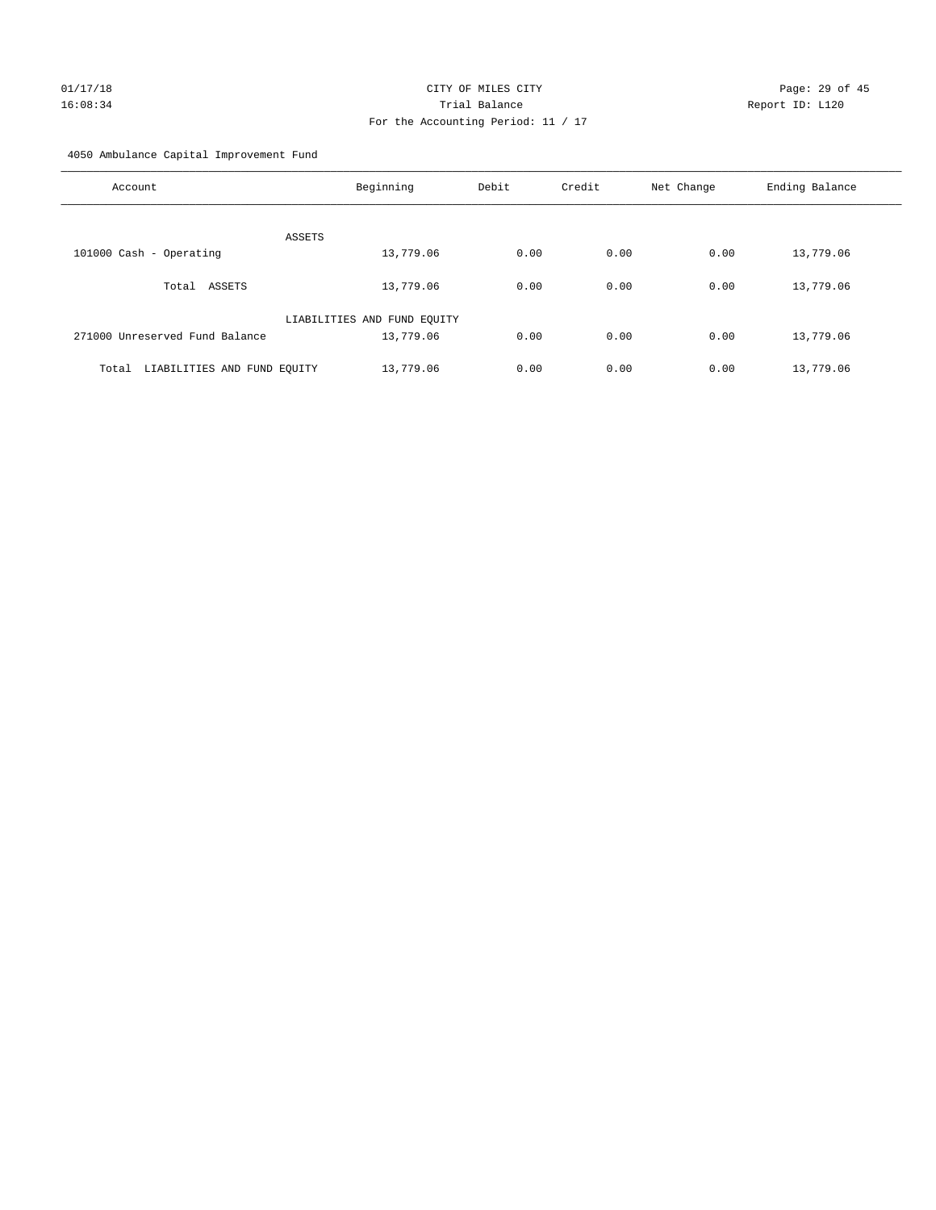# 01/17/18 Page: 29 of 45 16:08:34 Trial Balance Report ID: L120 For the Accounting Period: 11 / 17

4050 Ambulance Capital Improvement Fund

| Account                              | Beginning                   | Debit | Credit | Net Change | Ending Balance |
|--------------------------------------|-----------------------------|-------|--------|------------|----------------|
| ASSETS                               |                             |       |        |            |                |
| 101000 Cash - Operating              | 13,779.06                   | 0.00  | 0.00   | 0.00       | 13,779.06      |
| ASSETS<br>Total                      | 13,779.06                   | 0.00  | 0.00   | 0.00       | 13,779.06      |
|                                      | LIABILITIES AND FUND EQUITY |       |        |            |                |
| 271000 Unreserved Fund Balance       | 13,779.06                   | 0.00  | 0.00   | 0.00       | 13,779.06      |
| LIABILITIES AND FUND EQUITY<br>Total | 13,779.06                   | 0.00  | 0.00   | 0.00       | 13,779.06      |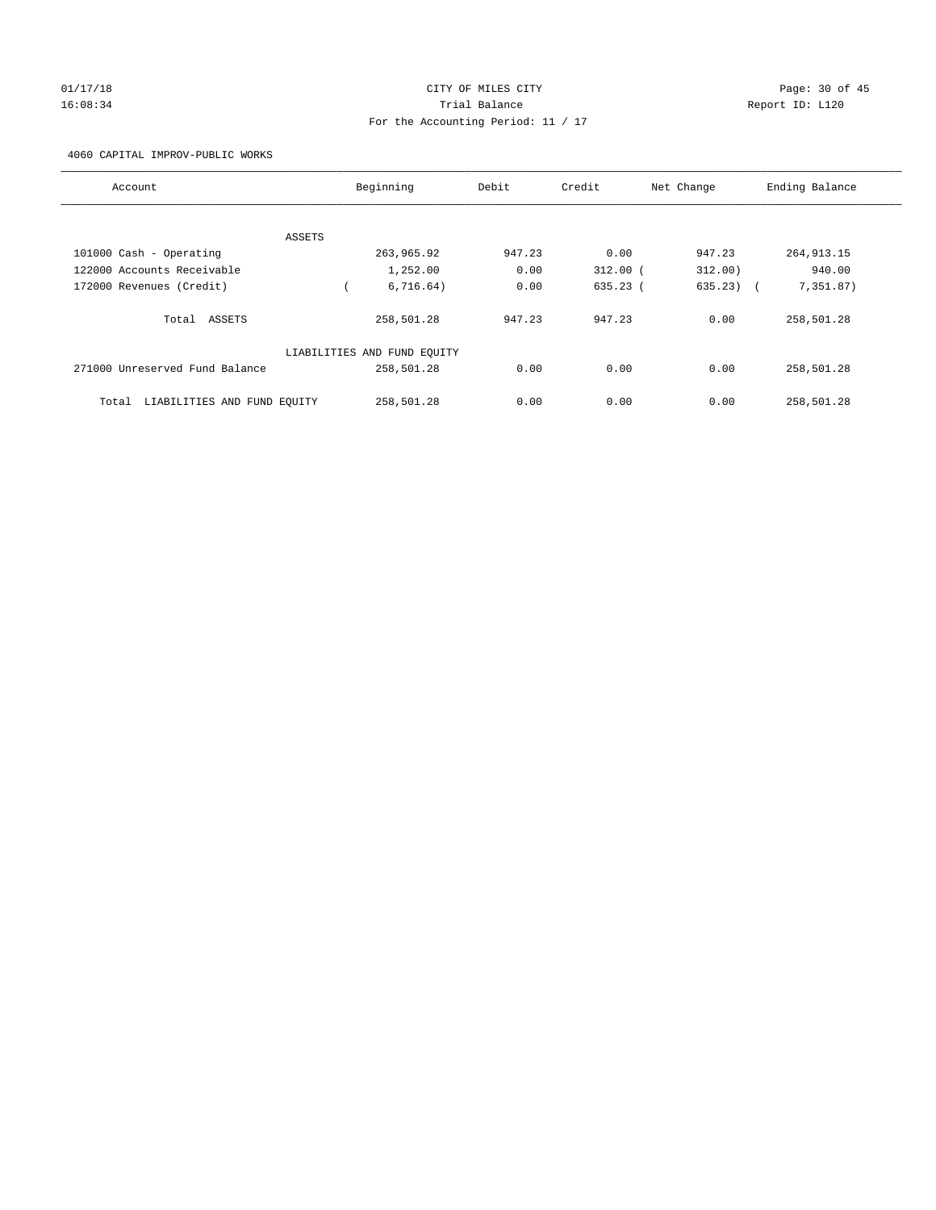# 01/17/18 Page: 30 of 45 16:08:34 Trial Balance Report ID: L120 For the Accounting Period: 11 / 17

4060 CAPITAL IMPROV-PUBLIC WORKS

| Account                              | Beginning                   | Debit  | Credit       | Net Change  | Ending Balance |
|--------------------------------------|-----------------------------|--------|--------------|-------------|----------------|
|                                      |                             |        |              |             |                |
| ASSETS                               |                             |        |              |             |                |
| 101000 Cash - Operating              | 263,965.92                  | 947.23 | 0.00         | 947.23      | 264, 913. 15   |
| 122000 Accounts Receivable           | 1,252.00                    | 0.00   | $312.00$ $($ | 312.00)     | 940.00         |
| 172000 Revenues (Credit)             | 6,716.64)                   | 0.00   | $635.23$ (   | $635.23)$ ( | 7,351.87)      |
| Total ASSETS                         | 258,501.28                  | 947.23 | 947.23       | 0.00        | 258,501.28     |
|                                      | LIABILITIES AND FUND EQUITY |        |              |             |                |
| 271000 Unreserved Fund Balance       | 258,501.28                  | 0.00   | 0.00         | 0.00        | 258,501.28     |
| LIABILITIES AND FUND EQUITY<br>Total | 258,501.28                  | 0.00   | 0.00         | 0.00        | 258,501.28     |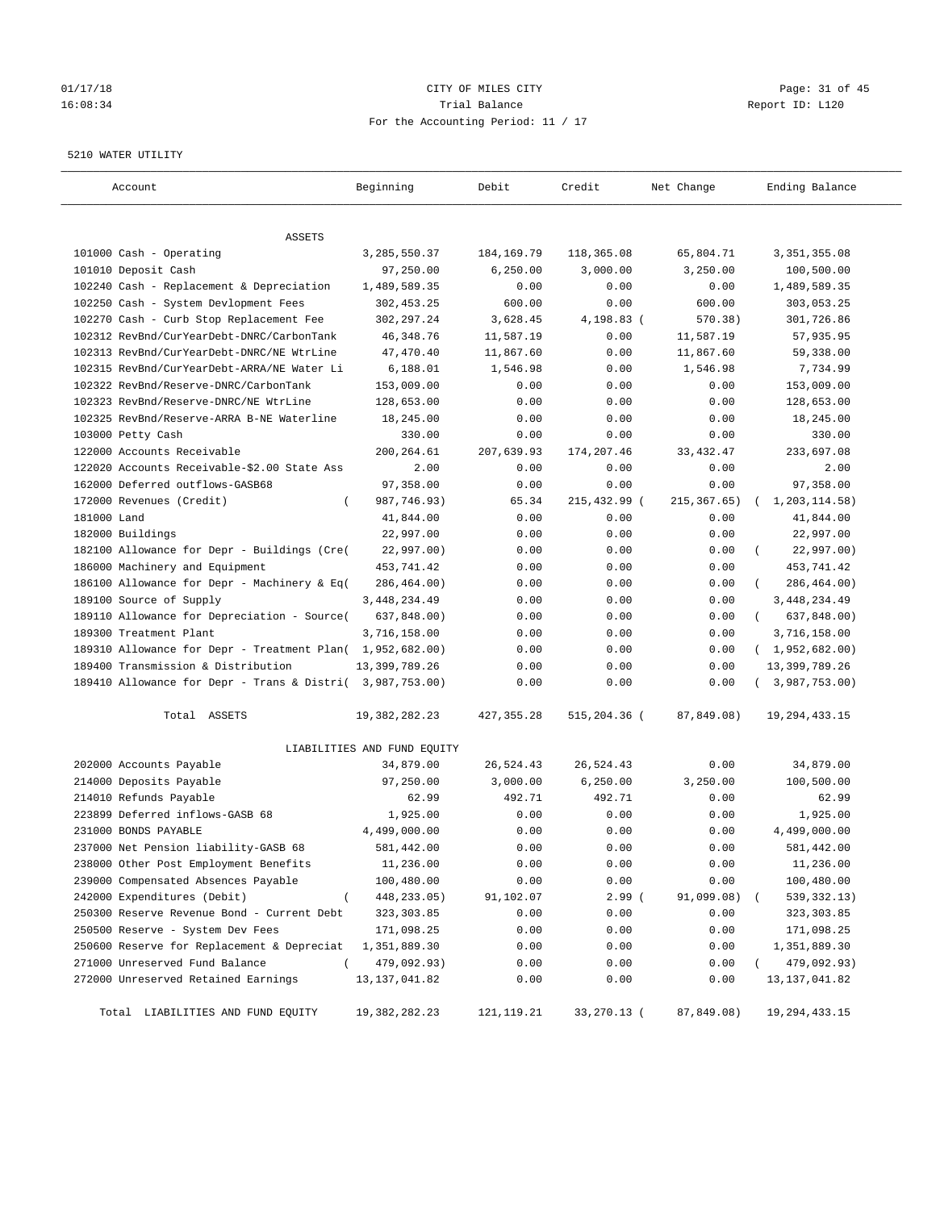# $CITY$  OF MILES  $CITY$  and the contract of  $P_0$  Page: 31 of 45 16:08:34 Trial Balance Report ID: L120 For the Accounting Period: 11 / 17

#### 5210 WATER UTILITY

| Account                                                   | Beginning                   | Debit        | Credit       | Net Change   | Ending Balance          |
|-----------------------------------------------------------|-----------------------------|--------------|--------------|--------------|-------------------------|
| ASSETS                                                    |                             |              |              |              |                         |
| 101000 Cash - Operating                                   | 3,285,550.37                | 184, 169. 79 | 118,365.08   | 65,804.71    | 3, 351, 355.08          |
| 101010 Deposit Cash                                       | 97,250.00                   | 6,250.00     | 3,000.00     | 3,250.00     | 100,500.00              |
| 102240 Cash - Replacement & Depreciation                  | 1,489,589.35                | 0.00         | 0.00         | 0.00         | 1,489,589.35            |
| 102250 Cash - System Devlopment Fees                      | 302,453.25                  | 600.00       | 0.00         | 600.00       | 303,053.25              |
| 102270 Cash - Curb Stop Replacement Fee                   | 302,297.24                  | 3,628.45     | 4,198.83 (   | 570.38)      | 301,726.86              |
| 102312 RevBnd/CurYearDebt-DNRC/CarbonTank                 | 46, 348.76                  | 11,587.19    | 0.00         | 11,587.19    | 57,935.95               |
| 102313 RevBnd/CurYearDebt-DNRC/NE WtrLine                 | 47,470.40                   | 11,867.60    | 0.00         | 11,867.60    | 59,338.00               |
| 102315 RevBnd/CurYearDebt-ARRA/NE Water Li                | 6,188.01                    | 1,546.98     | 0.00         | 1,546.98     | 7,734.99                |
| 102322 RevBnd/Reserve-DNRC/CarbonTank                     | 153,009.00                  | 0.00         | 0.00         | 0.00         | 153,009.00              |
| 102323 RevBnd/Reserve-DNRC/NE WtrLine                     | 128,653.00                  | 0.00         | 0.00         | 0.00         | 128,653.00              |
| 102325 RevBnd/Reserve-ARRA B-NE Waterline                 | 18,245.00                   | 0.00         | 0.00         | 0.00         | 18,245.00               |
| 103000 Petty Cash                                         | 330.00                      | 0.00         | 0.00         | 0.00         | 330.00                  |
| 122000 Accounts Receivable                                | 200,264.61                  | 207,639.93   | 174,207.46   | 33, 432.47   | 233,697.08              |
| 122020 Accounts Receivable-\$2.00 State Ass               | 2.00                        | 0.00         | 0.00         | 0.00         | 2.00                    |
| 162000 Deferred outflows-GASB68                           | 97,358.00                   | 0.00         | 0.00         | 0.00         | 97,358.00               |
| 172000 Revenues (Credit)<br>$\left($                      | 987,746.93)                 | 65.34        | 215,432.99 ( | 215, 367.65) | 1,203,114.58)           |
| 181000 Land                                               | 41,844.00                   | 0.00         | 0.00         | 0.00         | 41,844.00               |
| 182000 Buildings                                          | 22,997.00                   | 0.00         | 0.00         | 0.00         | 22,997.00               |
| 182100 Allowance for Depr - Buildings (Cre(               | 22,997.00)                  | 0.00         | 0.00         | 0.00         | 22,997.00)              |
| 186000 Machinery and Equipment                            | 453,741.42                  | 0.00         | 0.00         | 0.00         | 453,741.42              |
| 186100 Allowance for Depr - Machinery & Eq(               | 286,464.00)                 | 0.00         | 0.00         | 0.00         | 286,464.00)             |
| 189100 Source of Supply                                   | 3, 448, 234.49              | 0.00         | 0.00         | 0.00         | 3,448,234.49            |
| 189110 Allowance for Depreciation - Source(               | 637,848.00)                 | 0.00         | 0.00         | 0.00         | 637,848.00)<br>$\left($ |
| 189300 Treatment Plant                                    | 3,716,158.00                | 0.00         | 0.00         | 0.00         | 3,716,158.00            |
| 189310 Allowance for Depr - Treatment Plan( 1,952,682.00) |                             | 0.00         | 0.00         | 0.00         | (1,952,682.00)          |
| 189400 Transmission & Distribution                        | 13, 399, 789. 26            | 0.00         | 0.00         | 0.00         | 13, 399, 789. 26        |
| 189410 Allowance for Depr - Trans & Distri( 3,987,753.00) |                             | 0.00         | 0.00         | 0.00         | (3,987,753.00)          |
| Total ASSETS                                              | 19, 382, 282. 23            | 427,355.28   | 515,204.36 ( | 87,849.08)   | 19, 294, 433. 15        |
|                                                           | LIABILITIES AND FUND EQUITY |              |              |              |                         |
| 202000 Accounts Payable                                   | 34,879.00                   | 26,524.43    | 26,524.43    | 0.00         | 34,879.00               |
| 214000 Deposits Payable                                   | 97,250.00                   | 3,000.00     | 6, 250.00    | 3,250.00     | 100,500.00              |
| 214010 Refunds Payable                                    | 62.99                       | 492.71       | 492.71       | 0.00         | 62.99                   |
| 223899 Deferred inflows-GASB 68                           | 1,925.00                    | 0.00         | 0.00         | 0.00         | 1,925.00                |
| 231000 BONDS PAYABLE                                      | 4,499,000.00                | 0.00         | 0.00         | 0.00         | 4,499,000.00            |
| 237000 Net Pension liability-GASB 68                      | 581,442.00                  | 0.00         | 0.00         | 0.00         | 581,442.00              |
| 238000 Other Post Employment Benefits                     | 11,236.00                   | 0.00         | 0.00         | 0.00         | 11,236.00               |
| 239000 Compensated Absences Payable                       | 100,480.00                  | 0.00         | 0.00         | 0.00         | 100,480.00              |
| 242000 Expenditures (Debit)<br>$\overline{ }$             | 448, 233.05)                | 91,102.07    | 2.99(        | 91,099.08)   | 539, 332. 13)           |
| 250300 Reserve Revenue Bond - Current Debt                | 323, 303.85                 | 0.00         | 0.00         | 0.00         | 323, 303.85             |
| 250500 Reserve - System Dev Fees                          | 171,098.25                  | 0.00         | 0.00         | 0.00         | 171,098.25              |
| 250600 Reserve for Replacement & Depreciat                | 1,351,889.30                | 0.00         | 0.00         | 0.00         | 1,351,889.30            |
| 271000 Unreserved Fund Balance<br>$\left($                | 479,092.93)                 | 0.00         | 0.00         | 0.00         | 479,092.93)             |
| 272000 Unreserved Retained Earnings                       | 13, 137, 041.82             | 0.00         | 0.00         | 0.00         | 13, 137, 041.82         |
| Total LIABILITIES AND FUND EQUITY                         | 19, 382, 282. 23            | 121, 119. 21 | 33,270.13 (  | 87,849.08)   | 19, 294, 433. 15        |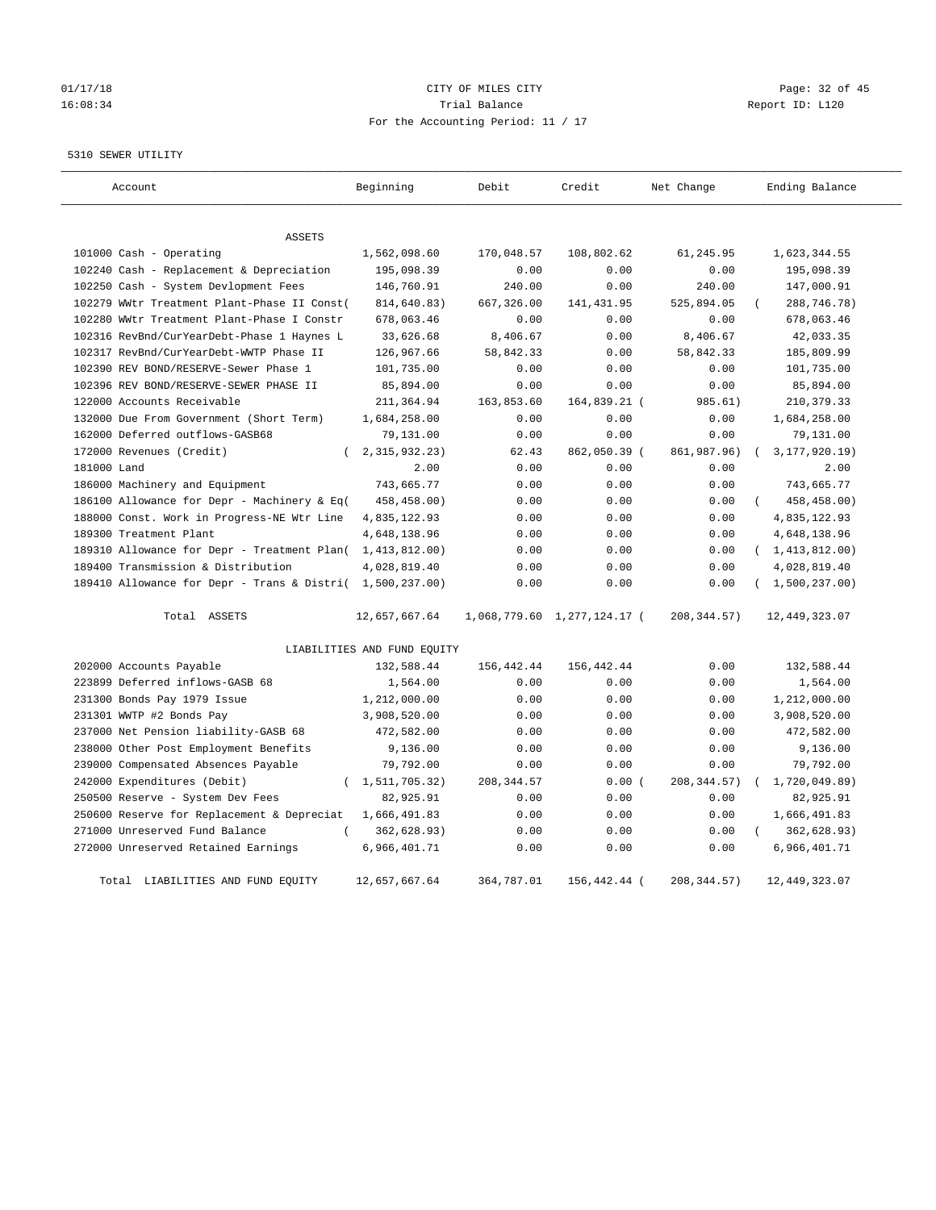# 01/17/18 Page: 32 of 45 16:08:34 Trial Balance Report ID: L120 For the Accounting Period: 11 / 17

#### 5310 SEWER UTILITY

| Account                                                   | Beginning                   | Debit        | Credit         | Net Change    | Ending Balance          |
|-----------------------------------------------------------|-----------------------------|--------------|----------------|---------------|-------------------------|
| <b>ASSETS</b>                                             |                             |              |                |               |                         |
| 101000 Cash - Operating                                   | 1,562,098.60                | 170,048.57   | 108,802.62     | 61,245.95     | 1,623,344.55            |
| 102240 Cash - Replacement & Depreciation                  | 195,098.39                  | 0.00         | 0.00           | 0.00          | 195,098.39              |
| 102250 Cash - System Devlopment Fees                      | 146,760.91                  | 240.00       | 0.00           | 240.00        | 147,000.91              |
| 102279 WWtr Treatment Plant-Phase II Const(               | 814,640.83)                 | 667,326.00   | 141, 431.95    | 525,894.05    | 288,746.78)             |
| 102280 WWtr Treatment Plant-Phase I Constr                | 678,063.46                  | 0.00         | 0.00           | 0.00          | 678,063.46              |
| 102316 RevBnd/CurYearDebt-Phase 1 Haynes L                | 33,626.68                   | 8,406.67     | 0.00           | 8,406.67      | 42,033.35               |
| 102317 RevBnd/CurYearDebt-WWTP Phase II                   | 126,967.66                  | 58,842.33    | 0.00           | 58,842.33     | 185,809.99              |
| 102390 REV BOND/RESERVE-Sewer Phase 1                     | 101,735.00                  | 0.00         | 0.00           | 0.00          | 101,735.00              |
| 102396 REV BOND/RESERVE-SEWER PHASE II                    | 85,894.00                   | 0.00         | 0.00           | 0.00          | 85,894.00               |
| 122000 Accounts Receivable                                | 211,364.94                  | 163,853.60   | 164,839.21 (   | 985.61)       | 210, 379.33             |
| 132000 Due From Government (Short Term)                   | 1,684,258.00                | 0.00         | 0.00           | 0.00          | 1,684,258.00            |
| 162000 Deferred outflows-GASB68                           | 79,131.00                   | 0.00         | 0.00           | 0.00          | 79,131.00               |
| 172000 Revenues (Credit)                                  | 2, 315, 932. 23)            | 62.43        | 862,050.39 (   | 861,987.96)   | 3, 177, 920. 19)        |
| 181000 Land                                               | 2.00                        | 0.00         | 0.00           | 0.00          | 2.00                    |
| 186000 Machinery and Equipment                            | 743,665.77                  | 0.00         | 0.00           | 0.00          | 743,665.77              |
| 186100 Allowance for Depr - Machinery & Eq(               | 458,458.00)                 | 0.00         | 0.00           | 0.00          | 458,458.00)<br>$\left($ |
| 188000 Const. Work in Progress-NE Wtr Line                | 4,835,122.93                | 0.00         | 0.00           | 0.00          | 4,835,122.93            |
| 189300 Treatment Plant                                    | 4,648,138.96                | 0.00         | 0.00           | 0.00          | 4,648,138.96            |
| 189310 Allowance for Depr - Treatment Plan( 1,413,812.00) |                             | 0.00         | 0.00           | 0.00          | (1, 413, 812.00)        |
| 189400 Transmission & Distribution                        | 4,028,819.40                | 0.00         | 0.00           | 0.00          | 4,028,819.40            |
| 189410 Allowance for Depr - Trans & Distri( 1,500,237.00) |                             | 0.00         | 0.00           | 0.00          | (1,500,237.00)          |
| Total ASSETS                                              | 12,657,667.64               | 1,068,779.60 | 1,277,124.17 ( | 208, 344.57)  | 12, 449, 323.07         |
|                                                           | LIABILITIES AND FUND EQUITY |              |                |               |                         |
| 202000 Accounts Payable                                   | 132,588.44                  | 156, 442.44  | 156,442.44     | 0.00          | 132,588.44              |
| 223899 Deferred inflows-GASB 68                           | 1,564.00                    | 0.00         | 0.00           | 0.00          | 1,564.00                |
| 231300 Bonds Pay 1979 Issue                               | 1,212,000.00                | 0.00         | 0.00           | 0.00          | 1,212,000.00            |
| 231301 WWTP #2 Bonds Pay                                  | 3,908,520.00                | 0.00         | 0.00           | 0.00          | 3,908,520.00            |
| 237000 Net Pension liability-GASB 68                      | 472,582.00                  | 0.00         | 0.00           | 0.00          | 472,582.00              |
| 238000 Other Post Employment Benefits                     | 9,136.00                    | 0.00         | 0.00           | 0.00          | 9,136.00                |
| 239000 Compensated Absences Payable                       | 79,792.00                   | 0.00         | 0.00           | 0.00          | 79,792.00               |
| 242000 Expenditures (Debit)<br>$\left($                   | 1,511,705.32)               | 208, 344.57  | 0.00(          | 208, 344.57)  | 1,720,049.89)           |
| 250500 Reserve - System Dev Fees                          | 82,925.91                   | 0.00         | 0.00           | 0.00          | 82,925.91               |
| 250600 Reserve for Replacement & Depreciat                | 1,666,491.83                | 0.00         | 0.00           | 0.00          | 1,666,491.83            |
| 271000 Unreserved Fund Balance                            | 362,628.93)                 | 0.00         | 0.00           | 0.00          | 362,628.93)             |
| 272000 Unreserved Retained Earnings                       | 6,966,401.71                | 0.00         | 0.00           | 0.00          | 6,966,401.71            |
| Total LIABILITIES AND FUND EOUITY                         | 12,657,667.64               | 364,787.01   | 156,442.44 (   | 208, 344, 57) | 12,449,323.07           |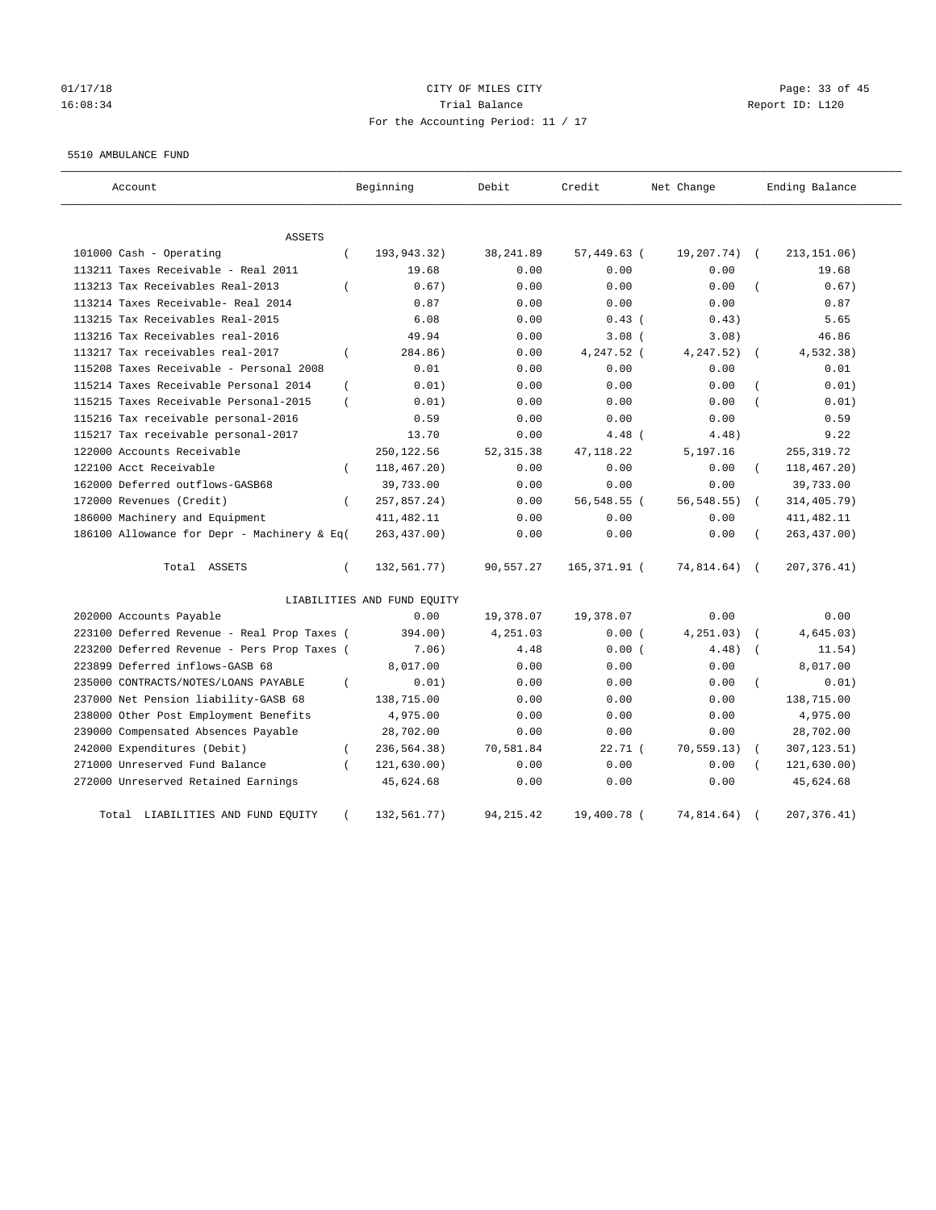#### 01/17/18 Page: 33 of 45 16:08:34 Trial Balance Report ID: L120 For the Accounting Period: 11 / 17

#### 5510 AMBULANCE FUND

| Account                                     |                | Beginning                   | Debit      | Credit       | Net Change     |            | Ending Balance |
|---------------------------------------------|----------------|-----------------------------|------------|--------------|----------------|------------|----------------|
| ASSETS                                      |                |                             |            |              |                |            |                |
| 101000 Cash - Operating                     | $\left($       | 193,943.32)                 | 38, 241.89 | 57,449.63 (  | 19,207.74)     | $\sqrt{ }$ | 213, 151.06)   |
| 113211 Taxes Receivable - Real 2011         |                | 19.68                       | 0.00       | 0.00         | 0.00           |            | 19.68          |
| 113213 Tax Receivables Real-2013            | $\left($       | 0.67)                       | 0.00       | 0.00         | 0.00           |            | 0.67)          |
| 113214 Taxes Receivable- Real 2014          |                | 0.87                        | 0.00       | 0.00         | 0.00           |            | 0.87           |
| 113215 Tax Receivables Real-2015            |                | 6.08                        | 0.00       | $0.43$ (     | 0.43)          |            | 5.65           |
| 113216 Tax Receivables real-2016            |                | 49.94                       | 0.00       | 3.08(        | 3.08)          |            | 46.86          |
| 113217 Tax receivables real-2017            | $\overline{ }$ | 284.86)                     | 0.00       | 4,247.52 (   | 4,247.52)      |            | 4,532.38)      |
| 115208 Taxes Receivable - Personal 2008     |                | 0.01                        | 0.00       | 0.00         | 0.00           |            | 0.01           |
| 115214 Taxes Receivable Personal 2014       | $\left($       | 0.01)                       | 0.00       | 0.00         | 0.00           |            | 0.01)          |
| 115215 Taxes Receivable Personal-2015       | $\left($       | 0.01)                       | 0.00       | 0.00         | 0.00           |            | 0.01)          |
| 115216 Tax receivable personal-2016         |                | 0.59                        | 0.00       | 0.00         | 0.00           |            | 0.59           |
| 115217 Tax receivable personal-2017         |                | 13.70                       | 0.00       | $4.48$ (     | 4.48)          |            | 9.22           |
| 122000 Accounts Receivable                  |                | 250,122.56                  | 52, 315.38 | 47, 118.22   | 5,197.16       |            | 255, 319.72    |
| 122100 Acct Receivable                      | $\left($       | 118,467.20)                 | 0.00       | 0.00         | 0.00           | $\left($   | 118,467.20)    |
| 162000 Deferred outflows-GASB68             |                | 39,733.00                   | 0.00       | 0.00         | 0.00           |            | 39,733.00      |
| 172000 Revenues (Credit)                    | $\left($       | 257,857.24)                 | 0.00       | 56,548.55 (  | $56, 548.55$ ) | $\left($   | 314,405.79)    |
| 186000 Machinery and Equipment              |                | 411, 482.11                 | 0.00       | 0.00         | 0.00           |            | 411, 482.11    |
| 186100 Allowance for Depr - Machinery & Eq( |                | 263,437.00)                 | 0.00       | 0.00         | 0.00           |            | 263, 437.00)   |
| Total ASSETS                                | $\left($       | 132,561.77)                 | 90,557.27  | 165,371.91 ( | 74,814.64)     | $\sqrt{2}$ | 207, 376.41)   |
|                                             |                | LIABILITIES AND FUND EQUITY |            |              |                |            |                |
| 202000 Accounts Payable                     |                | 0.00                        | 19,378.07  | 19,378.07    | 0.00           |            | 0.00           |
| 223100 Deferred Revenue - Real Prop Taxes ( |                | 394.00)                     | 4,251.03   | 0.00(        | 4, 251.03)     |            | 4,645.03)      |
| 223200 Deferred Revenue - Pers Prop Taxes ( |                | 7.06)                       | 4.48       | 0.00(        | 4.48)          |            | 11.54)         |
| 223899 Deferred inflows-GASB 68             |                | 8,017.00                    | 0.00       | 0.00         | 0.00           |            | 8,017.00       |
| 235000 CONTRACTS/NOTES/LOANS PAYABLE        | $\left($       | 0.01)                       | 0.00       | 0.00         | 0.00           |            | 0.01)          |
| 237000 Net Pension liability-GASB 68        |                | 138,715.00                  | 0.00       | 0.00         | 0.00           |            | 138,715.00     |
| 238000 Other Post Employment Benefits       |                | 4,975.00                    | 0.00       | 0.00         | 0.00           |            | 4,975.00       |
| 239000 Compensated Absences Payable         |                | 28,702.00                   | 0.00       | 0.00         | 0.00           |            | 28,702.00      |
| 242000 Expenditures (Debit)                 | $\left($       | 236,564.38)                 | 70,581.84  | 22.71(       | 70, 559.13)    |            | 307, 123.51)   |
| 271000 Unreserved Fund Balance              |                | 121, 630.00)                | 0.00       | 0.00         | 0.00           |            | 121,630.00)    |
| 272000 Unreserved Retained Earnings         |                | 45,624.68                   | 0.00       | 0.00         | 0.00           |            | 45,624.68      |
| LIABILITIES AND FUND EQUITY<br>Total        |                | 132,561.77)                 | 94, 215.42 | 19,400.78 (  | 74,814.64)     |            | 207, 376.41)   |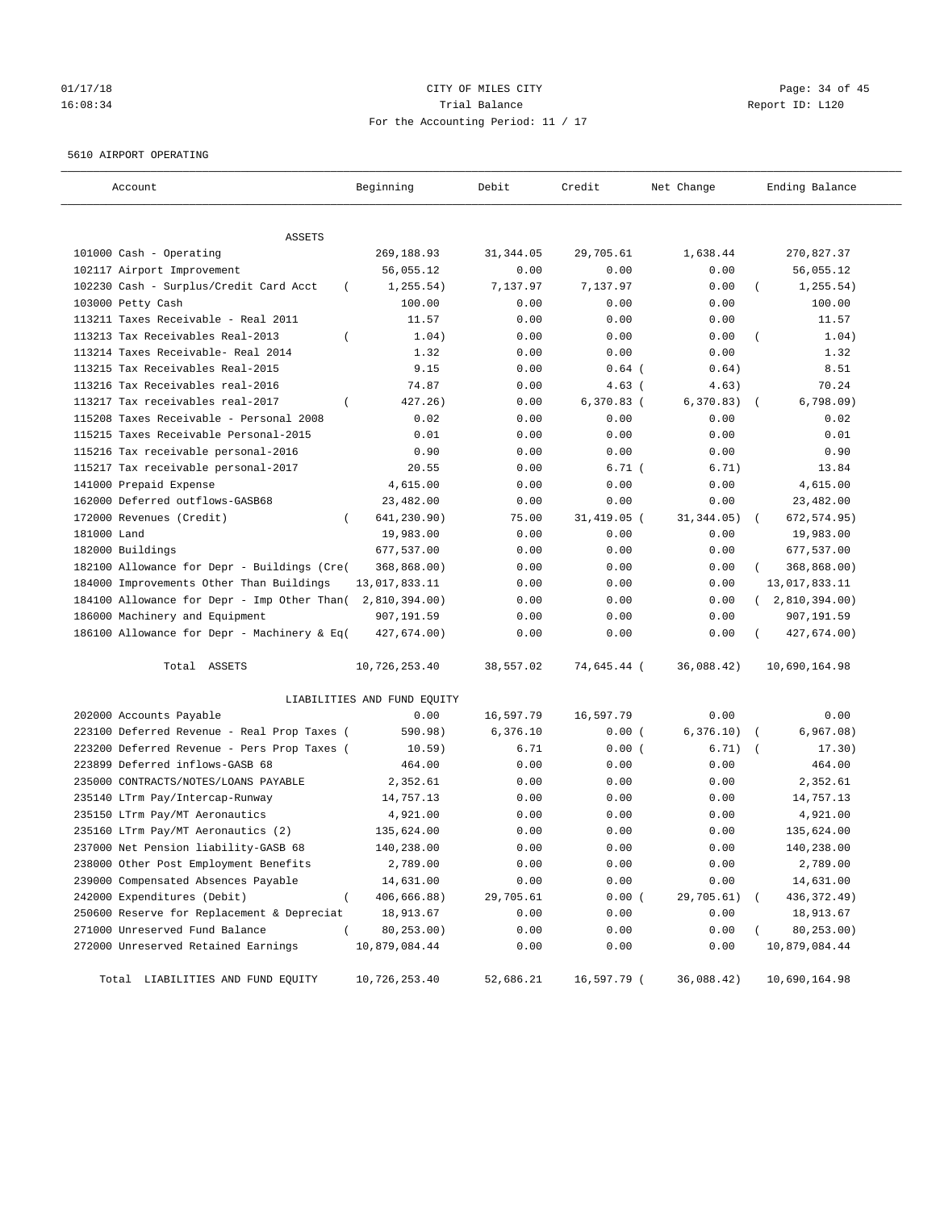# 01/17/18 Page: 34 of 45 16:08:34 Trial Balance Report ID: L120 For the Accounting Period: 11 / 17

#### 5610 AIRPORT OPERATING

| Account                                            | Beginning                   | Debit      | Credit       | Net Change  | Ending Balance             |
|----------------------------------------------------|-----------------------------|------------|--------------|-------------|----------------------------|
| ASSETS                                             |                             |            |              |             |                            |
| 101000 Cash - Operating                            | 269,188.93                  | 31, 344.05 | 29,705.61    | 1,638.44    | 270,827.37                 |
| 102117 Airport Improvement                         | 56,055.12                   | 0.00       | 0.00         | 0.00        | 56,055.12                  |
| 102230 Cash - Surplus/Credit Card Acct<br>$\left($ | 1, 255.54)                  | 7,137.97   | 7,137.97     | 0.00        | 1, 255.54)                 |
| 103000 Petty Cash                                  | 100.00                      | 0.00       | 0.00         | 0.00        | 100.00                     |
| 113211 Taxes Receivable - Real 2011                | 11.57                       | 0.00       | 0.00         | 0.00        | 11.57                      |
| 113213 Tax Receivables Real-2013                   | 1.04)                       | 0.00       | 0.00         | 0.00        | 1.04)                      |
| 113214 Taxes Receivable- Real 2014                 | 1.32                        | 0.00       | 0.00         | 0.00        | 1.32                       |
| 113215 Tax Receivables Real-2015                   | 9.15                        | 0.00       | $0.64$ (     | 0.64)       | 8.51                       |
| 113216 Tax Receivables real-2016                   | 74.87                       | 0.00       | $4.63$ (     | 4.63)       | 70.24                      |
| 113217 Tax receivables real-2017<br>$\left($       | 427.26)                     | 0.00       | $6,370.83$ ( | 6,370.83)   | 6,798.09                   |
| 115208 Taxes Receivable - Personal 2008            | 0.02                        | 0.00       | 0.00         | 0.00        | 0.02                       |
| 115215 Taxes Receivable Personal-2015              | 0.01                        | 0.00       | 0.00         | 0.00        | 0.01                       |
| 115216 Tax receivable personal-2016                | 0.90                        | 0.00       | 0.00         | 0.00        | 0.90                       |
| 115217 Tax receivable personal-2017                | 20.55                       | 0.00       | 6.71(        | 6.71)       | 13.84                      |
| 141000 Prepaid Expense                             | 4,615.00                    | 0.00       | 0.00         | 0.00        | 4,615.00                   |
| 162000 Deferred outflows-GASB68                    | 23,482.00                   | 0.00       | 0.00         | 0.00        | 23,482.00                  |
| 172000 Revenues (Credit)                           | 641,230.90)                 | 75.00      | 31,419.05 (  | 31, 344.05) | 672, 574.95)<br>$\sqrt{2}$ |
| 181000 Land                                        | 19,983.00                   | 0.00       | 0.00         | 0.00        | 19,983.00                  |
| 182000 Buildings                                   | 677,537.00                  | 0.00       | 0.00         | 0.00        | 677,537.00                 |
| 182100 Allowance for Depr - Buildings (Cre(        | 368,868.00)                 | 0.00       | 0.00         | 0.00        | 368,868.00)                |
| 184000 Improvements Other Than Buildings           | 13,017,833.11               | 0.00       | 0.00         | 0.00        | 13,017,833.11              |
| 184100 Allowance for Depr - Imp Other Than(        | 2,810,394.00)               | 0.00       | 0.00         | 0.00        | (2,810,394.00)             |
| 186000 Machinery and Equipment                     | 907,191.59                  | 0.00       | 0.00         | 0.00        | 907,191.59                 |
| 186100 Allowance for Depr - Machinery & Eq(        | 427,674.00)                 | 0.00       | 0.00         | 0.00        | 427,674.00)                |
| Total ASSETS                                       | 10,726,253.40               | 38,557.02  | 74,645.44 (  | 36,088.42)  | 10,690,164.98              |
|                                                    | LIABILITIES AND FUND EQUITY |            |              |             |                            |
| 202000 Accounts Payable                            | 0.00                        | 16,597.79  | 16,597.79    | 0.00        | 0.00                       |
| 223100 Deferred Revenue - Real Prop Taxes (        | 590.98)                     | 6,376.10   | 0.00(        | 6,376.10)   | 6,967.08)                  |
| 223200 Deferred Revenue - Pers Prop Taxes (        | 10.59)                      | 6.71       | 0.00(        | 6.71)       | 17.30)                     |
| 223899 Deferred inflows-GASB 68                    | 464.00                      | 0.00       | 0.00         | 0.00        | 464.00                     |
| 235000 CONTRACTS/NOTES/LOANS PAYABLE               | 2,352.61                    | 0.00       | 0.00         | 0.00        | 2,352.61                   |
| 235140 LTrm Pay/Intercap-Runway                    | 14,757.13                   | 0.00       | 0.00         | 0.00        | 14,757.13                  |
| 235150 LTrm Pay/MT Aeronautics                     | 4,921.00                    | 0.00       | 0.00         | 0.00        | 4,921.00                   |
| 235160 LTrm Pay/MT Aeronautics (2)                 | 135,624.00                  | 0.00       | 0.00         | 0.00        | 135,624.00                 |
| 237000 Net Pension liability-GASB 68               | 140,238.00                  | 0.00       | 0.00         | 0.00        | 140,238.00                 |
| 238000 Other Post Employment Benefits              | 2,789.00                    | 0.00       | 0.00         | 0.00        | 2,789.00                   |
| 239000 Compensated Absences Payable                | 14,631.00                   | 0.00       | 0.00         | 0.00        | 14,631.00                  |
| 242000 Expenditures (Debit)<br>$\left($            | 406,666.88)                 | 29,705.61  | 0.00(        | 29,705.61)  | 436,372.49)                |
| 250600 Reserve for Replacement & Depreciat         | 18,913.67                   | 0.00       | 0.00         | 0.00        | 18,913.67                  |
| 271000 Unreserved Fund Balance<br>$\left($         | 80,253.00)                  | 0.00       | 0.00         | 0.00        | 80,253.00)                 |
| 272000 Unreserved Retained Earnings                | 10,879,084.44               | 0.00       | 0.00         | 0.00        | 10,879,084.44              |
| Total LIABILITIES AND FUND EQUITY                  | 10,726,253.40               | 52,686.21  | 16,597.79 (  | 36,088.42)  | 10,690,164.98              |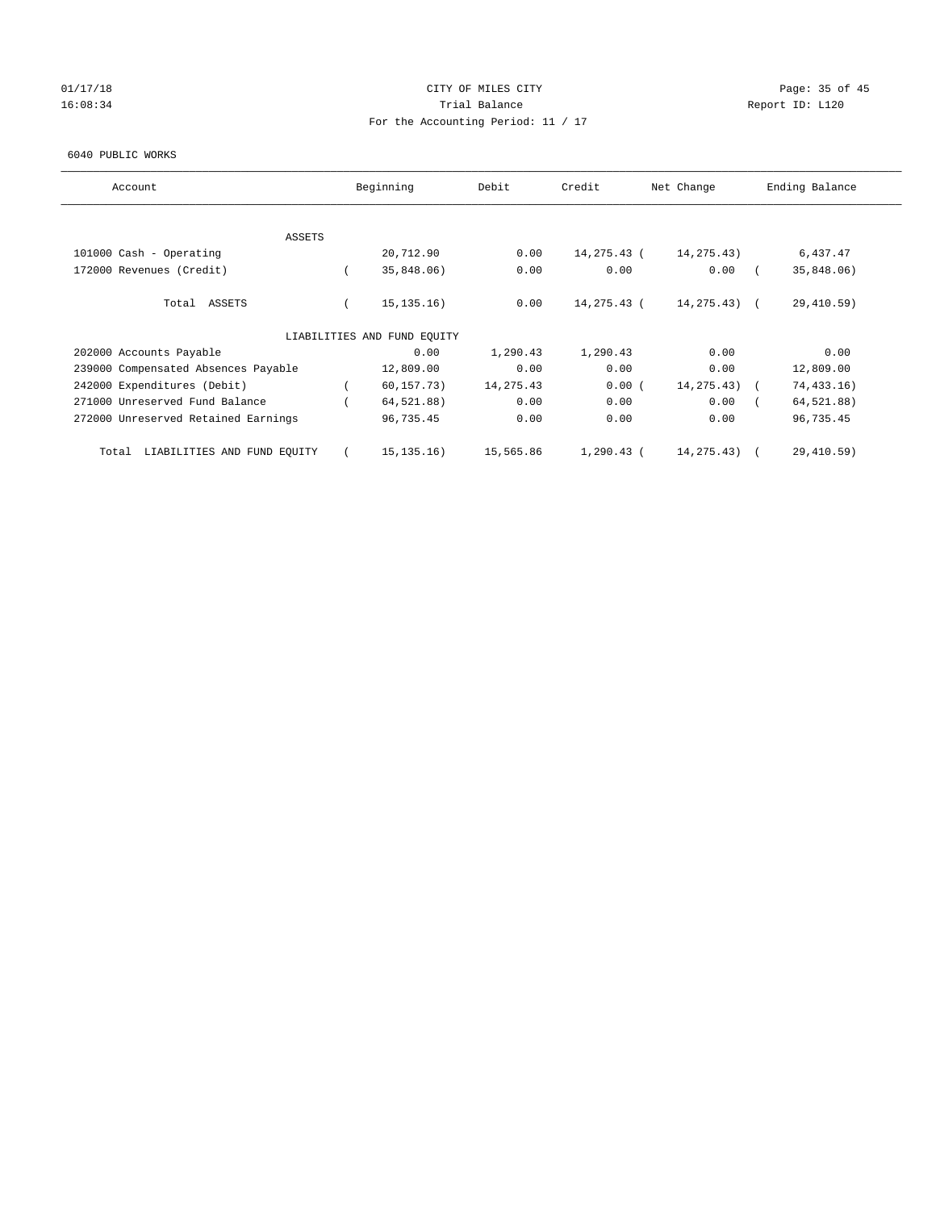## 01/17/18 Page: 35 of 45 16:08:34 Report ID: L120 For the Accounting Period: 11 / 17

#### 6040 PUBLIC WORKS

| Account                              | Beginning                   | Debit      | Credit       | Net Change   | Ending Balance |
|--------------------------------------|-----------------------------|------------|--------------|--------------|----------------|
|                                      |                             |            |              |              |                |
| ASSETS                               |                             |            |              |              |                |
| 101000 Cash - Operating              | 20,712.90                   | 0.00       | 14,275.43 (  | 14, 275. 43) | 6,437.47       |
| 172000 Revenues (Credit)             | 35,848.06)                  | 0.00       | 0.00         | 0.00         | 35,848.06)     |
| Total ASSETS                         | 15, 135, 16)                | 0.00       | 14,275.43 (  | 14,275.43) ( | 29,410.59)     |
|                                      | LIABILITIES AND FUND EOUITY |            |              |              |                |
| 202000 Accounts Payable              | 0.00                        | 1,290.43   | 1,290.43     | 0.00         | 0.00           |
| 239000 Compensated Absences Payable  | 12,809.00                   | 0.00       | 0.00         | 0.00         | 12,809.00      |
| 242000 Expenditures (Debit)          | 60, 157.73)                 | 14, 275.43 | 0.00(        | 14, 275. 43) | 74, 433.16)    |
| 271000 Unreserved Fund Balance       | 64,521.88)                  | 0.00       | 0.00         | 0.00         | 64,521.88)     |
| 272000 Unreserved Retained Earnings  | 96,735.45                   | 0.00       | 0.00         | 0.00         | 96,735.45      |
| LIABILITIES AND FUND EQUITY<br>Total | 15, 135, 16)                | 15,565.86  | $1,290.43$ ( | 14, 275. 43) | 29,410.59)     |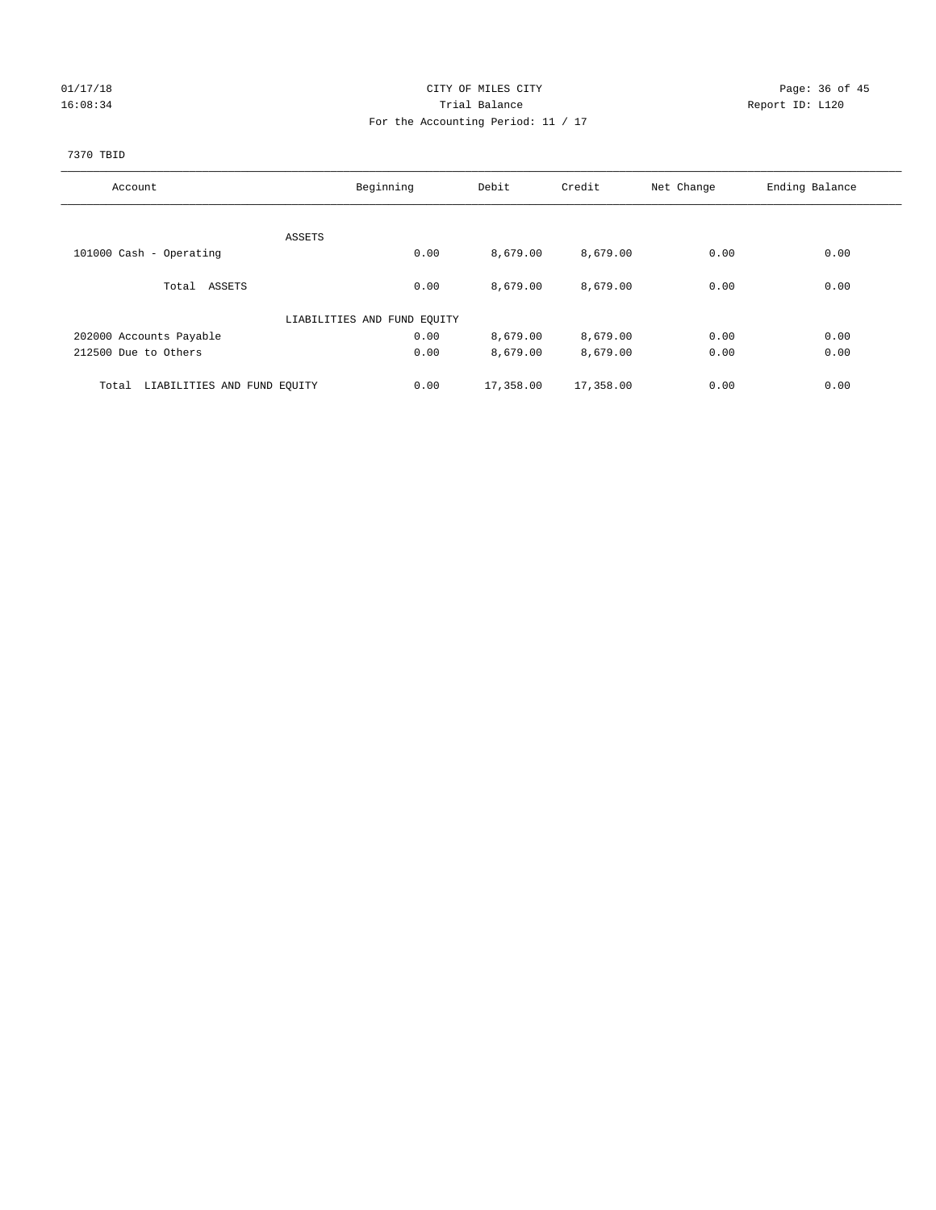## 01/17/18 Page: 36 of 45 16:08:34 Report ID: L120 For the Accounting Period: 11 / 17

#### 7370 TBID

| Account                              | Beginning                   | Debit     | Credit    | Net Change | Ending Balance |
|--------------------------------------|-----------------------------|-----------|-----------|------------|----------------|
|                                      |                             |           |           |            |                |
|                                      | ASSETS                      |           |           |            |                |
| 101000 Cash - Operating              | 0.00                        | 8,679.00  | 8,679.00  | 0.00       | 0.00           |
| Total ASSETS                         | 0.00                        | 8,679.00  | 8,679.00  | 0.00       | 0.00           |
|                                      | LIABILITIES AND FUND EQUITY |           |           |            |                |
| 202000 Accounts Payable              | 0.00                        | 8,679.00  | 8,679.00  | 0.00       | 0.00           |
| 212500 Due to Others                 | 0.00                        | 8,679.00  | 8,679.00  | 0.00       | 0.00           |
| LIABILITIES AND FUND EQUITY<br>Total | 0.00                        | 17,358.00 | 17,358.00 | 0.00       | 0.00           |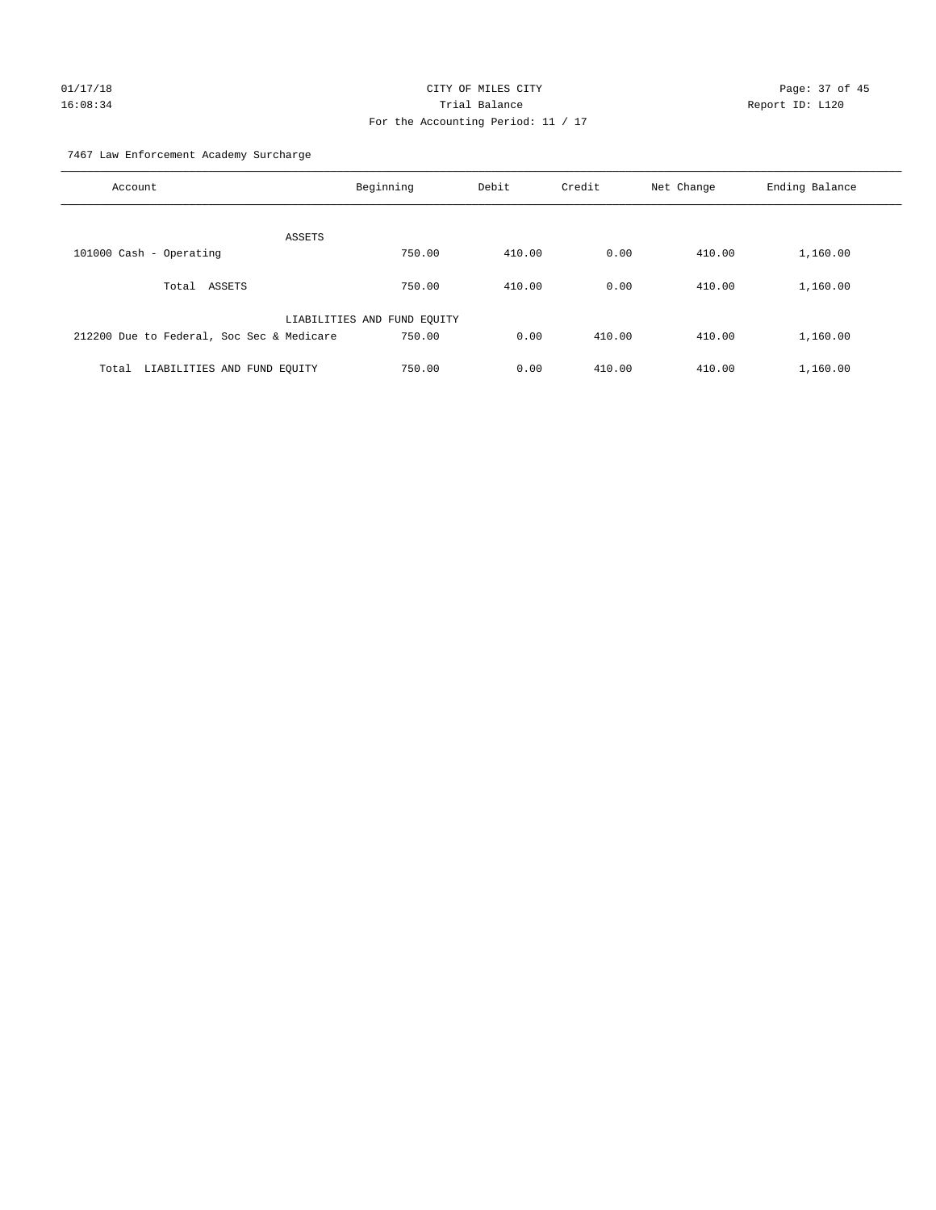# 01/17/18 Page: 37 of 45 16:08:34 Trial Balance Report ID: L120 For the Accounting Period: 11 / 17

7467 Law Enforcement Academy Surcharge

| Account                                   | Beginning                   | Debit  | Credit | Net Change | Ending Balance |
|-------------------------------------------|-----------------------------|--------|--------|------------|----------------|
| ASSETS                                    |                             |        |        |            |                |
| 101000 Cash - Operating                   | 750.00                      | 410.00 | 0.00   | 410.00     | 1,160.00       |
| ASSETS<br>Total                           | 750.00                      | 410.00 | 0.00   | 410.00     | 1,160.00       |
|                                           | LIABILITIES AND FUND EQUITY |        |        |            |                |
| 212200 Due to Federal, Soc Sec & Medicare | 750.00                      | 0.00   | 410.00 | 410.00     | 1,160.00       |
| LIABILITIES AND FUND EQUITY<br>Total      | 750.00                      | 0.00   | 410.00 | 410.00     | 1,160.00       |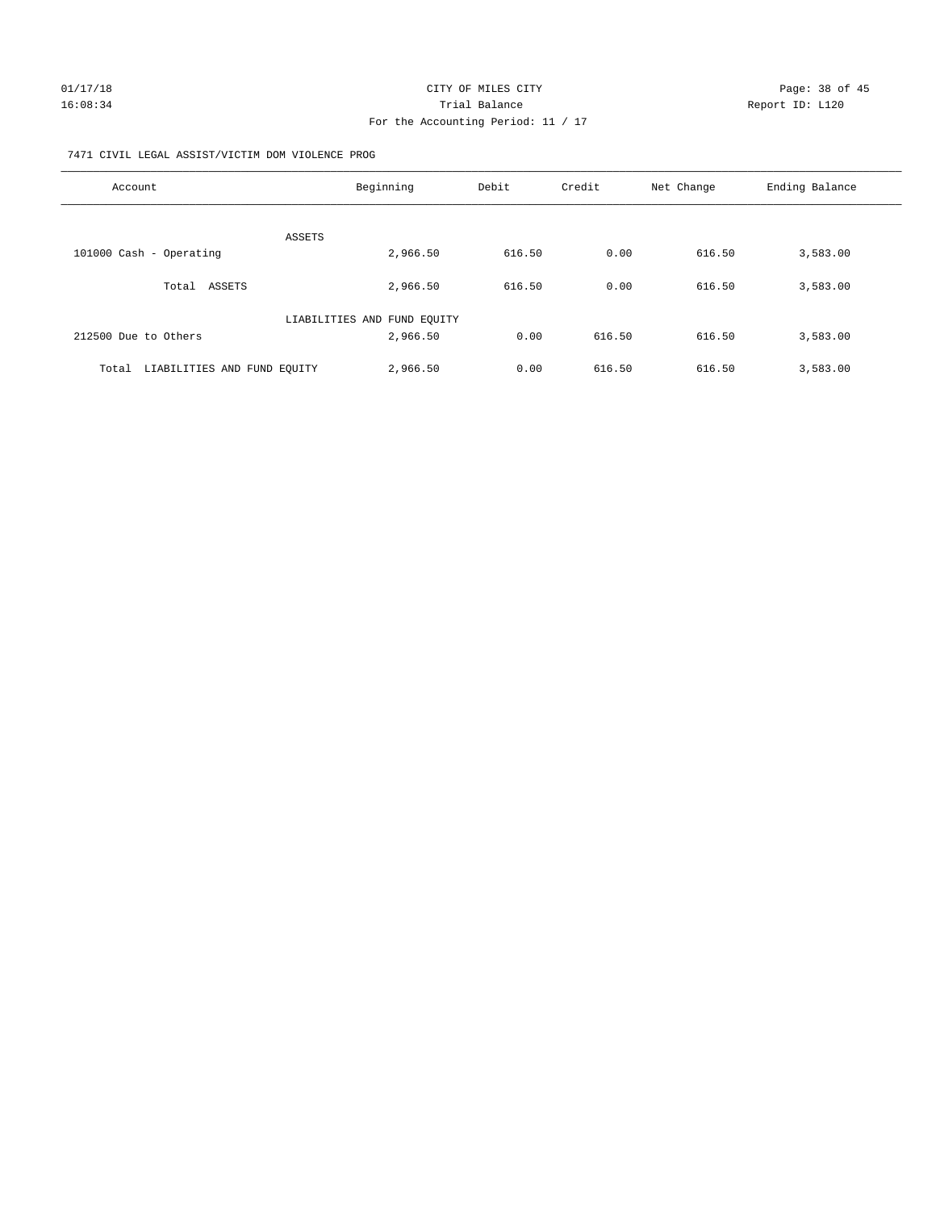#### 7471 CIVIL LEGAL ASSIST/VICTIM DOM VIOLENCE PROG

| Account                              | Beginning                   | Debit  | Credit | Net Change | Ending Balance |
|--------------------------------------|-----------------------------|--------|--------|------------|----------------|
|                                      |                             |        |        |            |                |
|                                      | <b>ASSETS</b>               |        |        |            |                |
| 101000 Cash - Operating              | 2,966.50                    | 616.50 | 0.00   | 616.50     | 3,583.00       |
| ASSETS<br>Total                      | 2,966.50                    | 616.50 | 0.00   | 616.50     | 3,583.00       |
|                                      | LIABILITIES AND FUND EQUITY |        |        |            |                |
| 212500 Due to Others                 | 2,966.50                    | 0.00   | 616.50 | 616.50     | 3,583.00       |
|                                      |                             |        |        |            |                |
| LIABILITIES AND FUND EQUITY<br>Total | 2,966.50                    | 0.00   | 616.50 | 616.50     | 3,583.00       |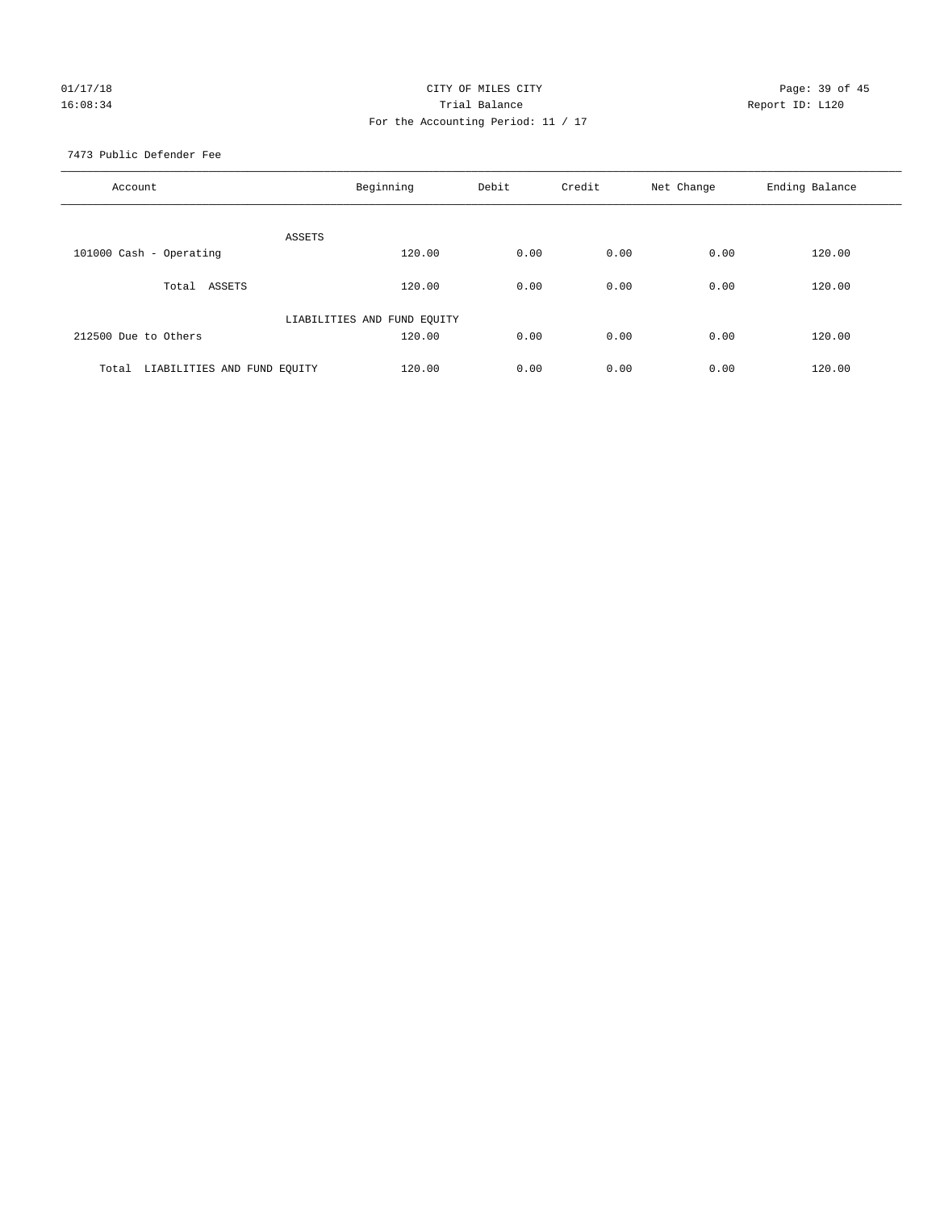## 01/17/18 Page: 39 of 45 16:08:34 Report ID: L120 For the Accounting Period: 11 / 17

7473 Public Defender Fee

| Account                              | Beginning                   | Debit | Credit | Net Change | Ending Balance |
|--------------------------------------|-----------------------------|-------|--------|------------|----------------|
| ASSETS                               |                             |       |        |            |                |
| 101000 Cash - Operating              | 120.00                      | 0.00  | 0.00   | 0.00       | 120.00         |
| Total ASSETS                         | 120.00                      | 0.00  | 0.00   | 0.00       | 120.00         |
|                                      | LIABILITIES AND FUND EQUITY |       |        |            |                |
| 212500 Due to Others                 | 120.00                      | 0.00  | 0.00   | 0.00       | 120.00         |
| LIABILITIES AND FUND EQUITY<br>Total | 120.00                      | 0.00  | 0.00   | 0.00       | 120.00         |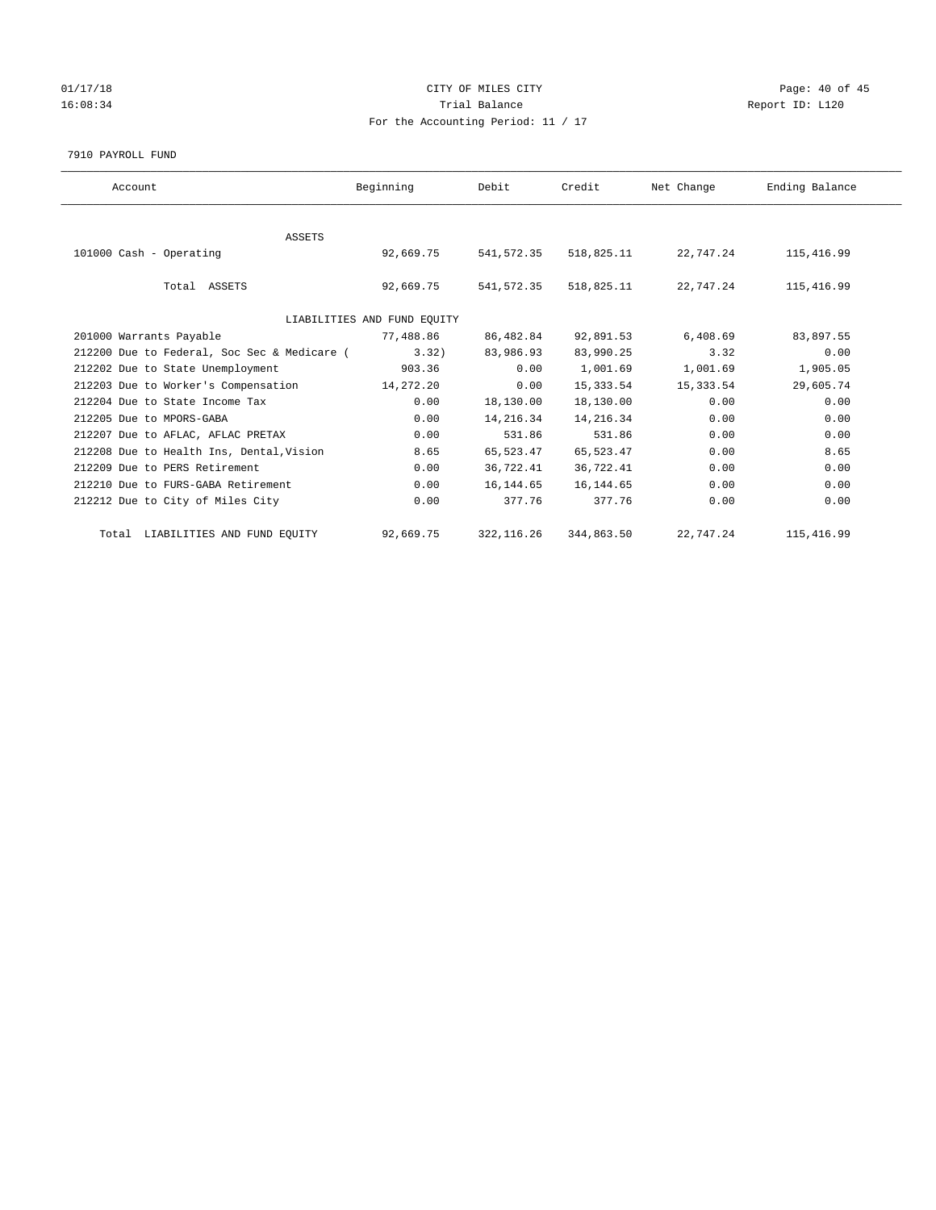## 01/17/18 Page: 40 of 45 16:08:34 Report ID: L120 For the Accounting Period: 11 / 17

#### 7910 PAYROLL FUND

| Account                                     | Beginning | Debit       | Credit     | Net Change | Ending Balance |  |  |
|---------------------------------------------|-----------|-------------|------------|------------|----------------|--|--|
|                                             |           |             |            |            |                |  |  |
| ASSETS                                      |           |             |            |            |                |  |  |
| 101000 Cash - Operating                     | 92,669.75 | 541,572.35  | 518,825.11 | 22,747.24  | 115,416.99     |  |  |
|                                             |           |             |            |            |                |  |  |
| Total ASSETS                                | 92,669.75 | 541,572.35  | 518,825.11 | 22,747.24  | 115,416.99     |  |  |
| LIABILITIES AND FUND EQUITY                 |           |             |            |            |                |  |  |
| 201000 Warrants Payable                     | 77,488.86 | 86,482.84   | 92,891.53  | 6,408.69   | 83,897.55      |  |  |
| 212200 Due to Federal, Soc Sec & Medicare ( | 3.32      | 83,986.93   | 83,990.25  | 3.32       | 0.00           |  |  |
| 212202 Due to State Unemployment            | 903.36    | 0.00        | 1,001.69   | 1,001.69   | 1,905.05       |  |  |
| 212203 Due to Worker's Compensation         | 14,272.20 | 0.00        | 15,333.54  | 15,333.54  | 29,605.74      |  |  |
| 212204 Due to State Income Tax              | 0.00      | 18,130.00   | 18,130.00  | 0.00       | 0.00           |  |  |
| 212205 Due to MPORS-GABA                    | 0.00      | 14,216.34   | 14,216.34  | 0.00       | 0.00           |  |  |
| 212207 Due to AFLAC, AFLAC PRETAX           | 0.00      | 531.86      | 531.86     | 0.00       | 0.00           |  |  |
| 212208 Due to Health Ins, Dental, Vision    | 8.65      | 65,523.47   | 65,523.47  | 0.00       | 8.65           |  |  |
| 212209 Due to PERS Retirement               | 0.00      | 36,722.41   | 36,722.41  | 0.00       | 0.00           |  |  |
| 212210 Due to FURS-GABA Retirement          | 0.00      | 16,144.65   | 16, 144.65 | 0.00       | 0.00           |  |  |
| 212212 Due to City of Miles City            | 0.00      | 377.76      | 377.76     | 0.00       | 0.00           |  |  |
| Total LIABILITIES AND FUND EQUITY           | 92,669.75 | 322, 116.26 | 344,863.50 | 22,747.24  | 115,416.99     |  |  |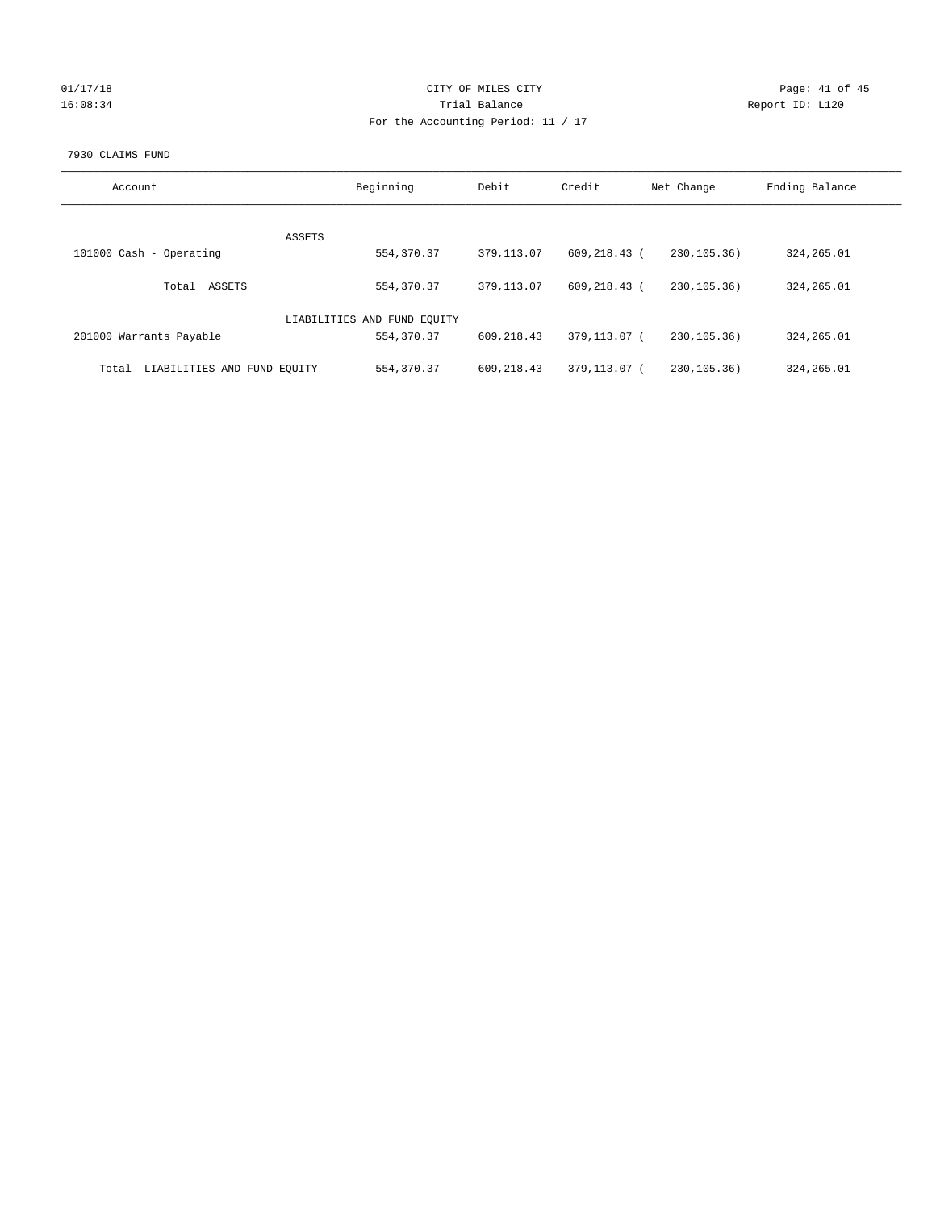| 01/17/18 |  |
|----------|--|
| 16:08:34 |  |

#### CITY OF MILES CITY CONTROL CONTROL CITY CONTROL Page: 41 of 45 16:08:34 Report ID: L120 For the Accounting Period: 11 / 17

#### 7930 CLAIMS FUND

| Account                              | Beginning                   | Debit       | Credit       | Net Change    | Ending Balance |
|--------------------------------------|-----------------------------|-------------|--------------|---------------|----------------|
|                                      | ASSETS                      |             |              |               |                |
| 101000 Cash - Operating              | 554, 370.37                 | 379,113.07  | 609,218.43 ( | 230, 105. 36) | 324, 265.01    |
| ASSETS<br>Total                      | 554, 370.37                 | 379,113.07  | 609,218.43 ( | 230, 105. 36) | 324, 265.01    |
|                                      | LIABILITIES AND FUND EQUITY |             |              |               |                |
| 201000 Warrants Payable              | 554, 370.37                 | 609,218.43  | 379,113.07 ( | 230.105.36    | 324, 265.01    |
| LIABILITIES AND FUND EQUITY<br>Total | 554, 370.37                 | 609, 218.43 | 379,113.07 ( | 230.105.36    | 324, 265.01    |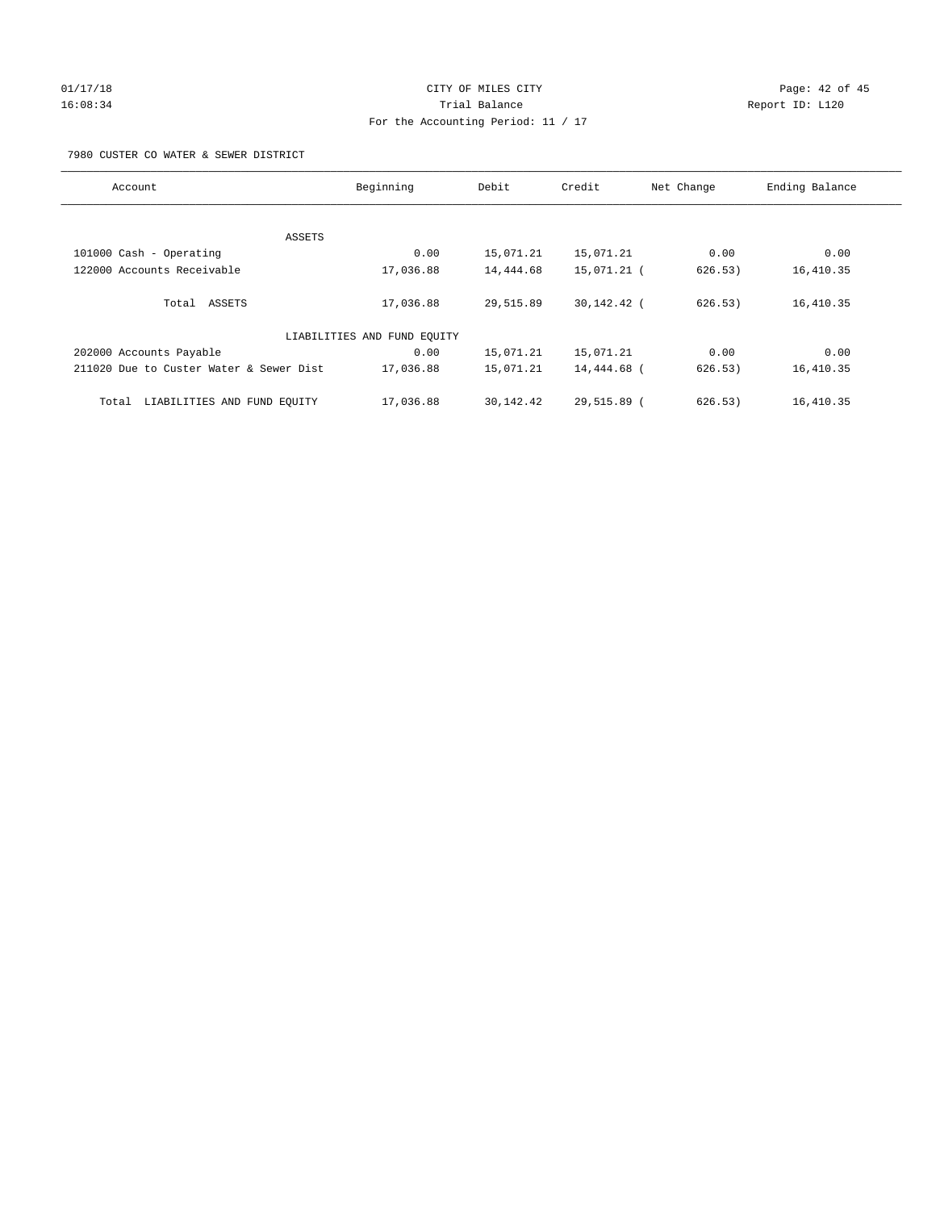# 01/17/18 Page: 42 of 45 16:08:34 Trial Balance Report ID: L120 For the Accounting Period: 11 / 17

7980 CUSTER CO WATER & SEWER DISTRICT

| Account                                 | Beginning                   | Debit     | Credit      | Net Change | Ending Balance |
|-----------------------------------------|-----------------------------|-----------|-------------|------------|----------------|
|                                         |                             |           |             |            |                |
| ASSETS                                  |                             |           |             |            |                |
| 101000 Cash - Operating                 | 0.00                        | 15,071.21 | 15,071.21   | 0.00       | 0.00           |
| 122000 Accounts Receivable              | 17,036.88                   | 14,444.68 | 15,071.21 ( | 626.53)    | 16,410.35      |
| Total ASSETS                            | 17,036.88                   | 29,515.89 | 30,142.42 ( | 626.53)    | 16,410.35      |
|                                         | LIABILITIES AND FUND EQUITY |           |             |            |                |
| 202000 Accounts Payable                 | 0.00                        | 15,071.21 | 15,071.21   | 0.00       | 0.00           |
| 211020 Due to Custer Water & Sewer Dist | 17,036.88                   | 15,071.21 | 14,444.68 ( | 626.53)    | 16,410.35      |
| LIABILITIES AND FUND EQUITY<br>Total    | 17,036.88                   | 30,142.42 | 29,515.89 ( | 626.53)    | 16,410.35      |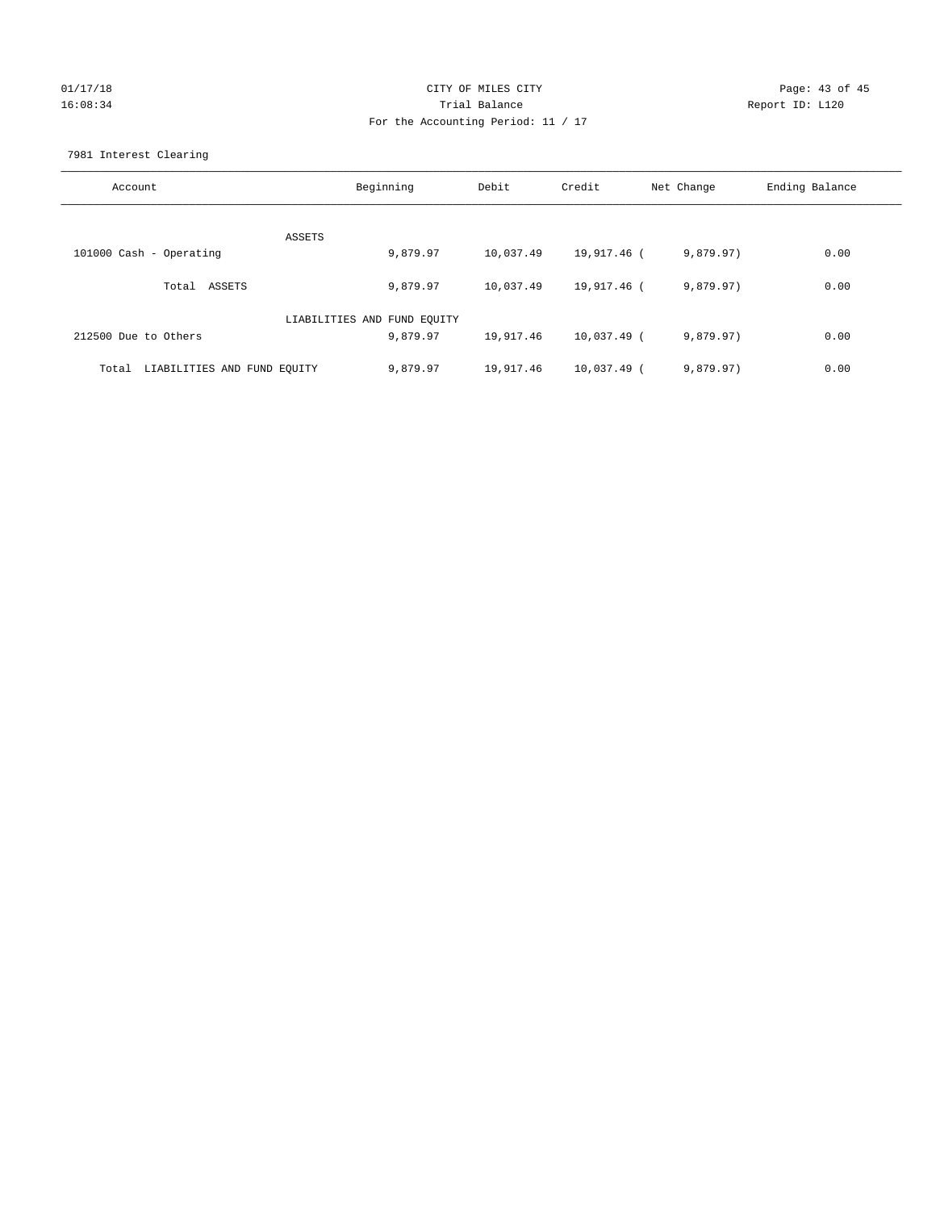## 01/17/18 Page: 43 of 45 16:08:34 Trial Balance Report ID: L120 For the Accounting Period: 11 / 17

7981 Interest Clearing

| Account                           | Beginning                   | Debit     | Credit      | Net Change | Ending Balance |
|-----------------------------------|-----------------------------|-----------|-------------|------------|----------------|
|                                   |                             |           |             |            |                |
|                                   | ASSETS                      |           |             |            |                |
| 101000 Cash - Operating           | 9,879.97                    | 10,037.49 | 19,917.46 ( | 9,879.97)  | 0.00           |
| Total ASSETS                      | 9,879.97                    | 10,037.49 | 19,917.46 ( | 9,879.97)  | 0.00           |
|                                   | LIABILITIES AND FUND EQUITY |           |             |            |                |
| 212500 Due to Others              | 9,879.97                    | 19,917.46 | 10,037.49 ( | 9,879.97)  | 0.00           |
| Total LIABILITIES AND FUND EOUITY | 9,879.97                    | 19,917.46 | 10,037.49 ( | 9,879.97)  | 0.00           |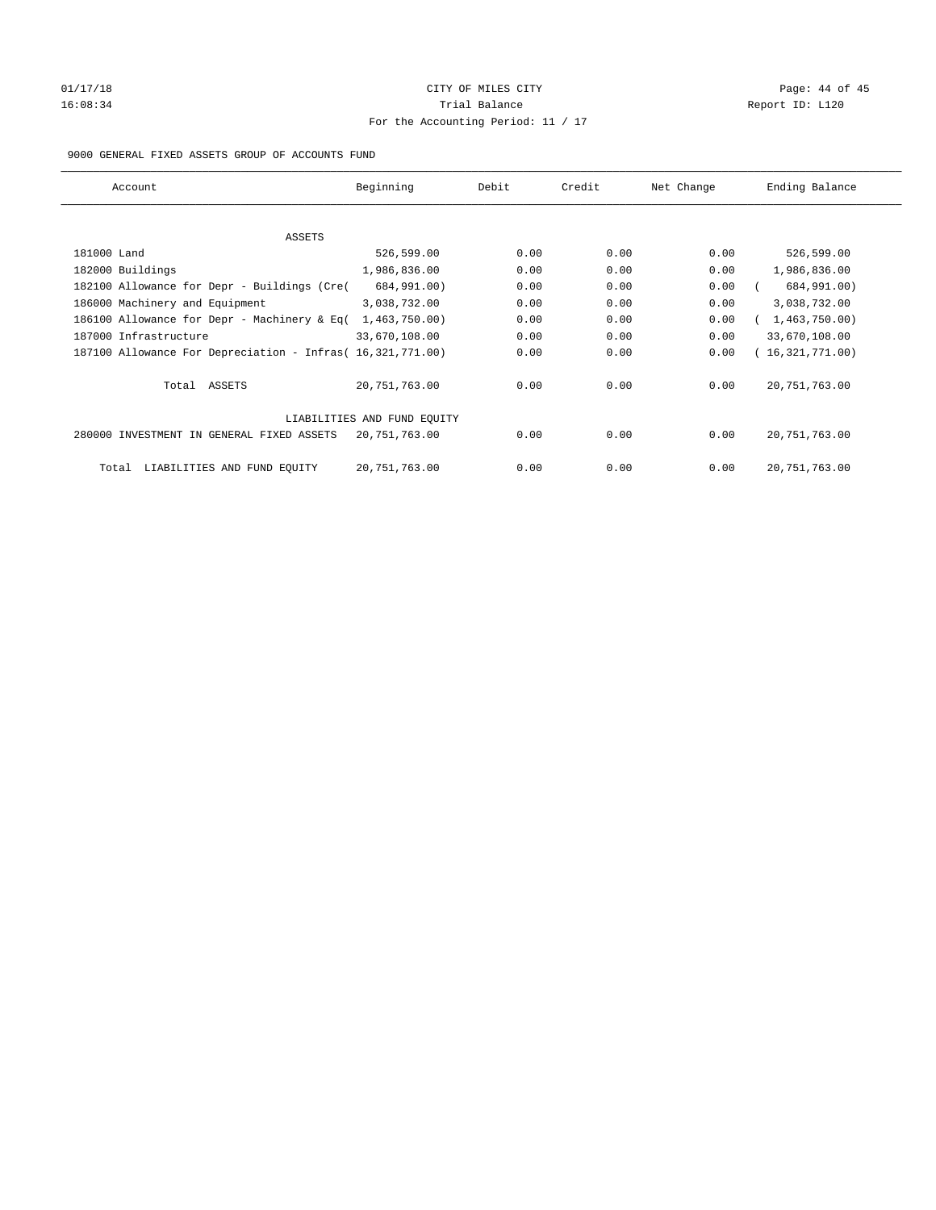## 01/17/18 Page: 44 of 45 16:08:34 Report ID: L120 For the Accounting Period: 11 / 17

#### 9000 GENERAL FIXED ASSETS GROUP OF ACCOUNTS FUND

| Account                                                    | Beginning                   | Debit | Credit | Net Change | Ending Balance  |
|------------------------------------------------------------|-----------------------------|-------|--------|------------|-----------------|
| ASSETS                                                     |                             |       |        |            |                 |
| 181000 Land                                                | 526,599.00                  | 0.00  | 0.00   | 0.00       | 526,599.00      |
| 182000 Buildings                                           | 1,986,836.00                | 0.00  | 0.00   | 0.00       | 1,986,836.00    |
| 182100 Allowance for Depr - Buildings (Cre(                | 684,991.00)                 | 0.00  | 0.00   | 0.00       | 684,991.00)     |
| 186000 Machinery and Equipment                             | 3,038,732.00                | 0.00  | 0.00   | 0.00       | 3,038,732.00    |
| 186100 Allowance for Depr - Machinery & Eq(                | 1,463,750.00                | 0.00  | 0.00   | 0.00       | 1,463,750.00    |
| 187000 Infrastructure                                      | 33,670,108.00               | 0.00  | 0.00   | 0.00       | 33,670,108.00   |
| 187100 Allowance For Depreciation - Infras( 16,321,771.00) |                             | 0.00  | 0.00   | 0.00       | 16,321,771.00)  |
| Total ASSETS                                               | 20, 751, 763.00             | 0.00  | 0.00   | 0.00       | 20, 751, 763.00 |
|                                                            | LIABILITIES AND FUND EQUITY |       |        |            |                 |
| 280000 INVESTMENT IN GENERAL FIXED ASSETS                  | 20, 751, 763.00             | 0.00  | 0.00   | 0.00       | 20, 751, 763.00 |
| LIABILITIES AND FUND EQUITY<br>Total                       | 20, 751, 763.00             | 0.00  | 0.00   | 0.00       | 20, 751, 763.00 |